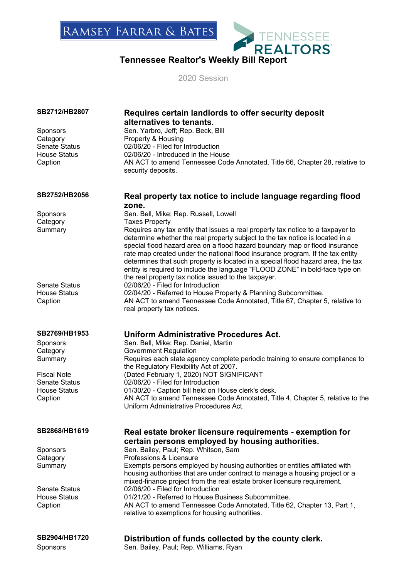# **TENNESSEE**<br>Tennessee Realtor's Weekly Bill Report<br>Tennessee Realtor's Weekly Bill Report

2020 Session

| SB2712/HB2807                                          | Requires certain landlords to offer security deposit<br>alternatives to tenants.                                                                                                                                                                                                                                                                                                                                                                                                                                                                              |
|--------------------------------------------------------|---------------------------------------------------------------------------------------------------------------------------------------------------------------------------------------------------------------------------------------------------------------------------------------------------------------------------------------------------------------------------------------------------------------------------------------------------------------------------------------------------------------------------------------------------------------|
| Sponsors<br>Category<br>Senate Status                  | Sen. Yarbro, Jeff; Rep. Beck, Bill<br>Property & Housing<br>02/06/20 - Filed for Introduction                                                                                                                                                                                                                                                                                                                                                                                                                                                                 |
| <b>House Status</b><br>Caption                         | 02/06/20 - Introduced in the House<br>AN ACT to amend Tennessee Code Annotated, Title 66, Chapter 28, relative to<br>security deposits.                                                                                                                                                                                                                                                                                                                                                                                                                       |
| SB2752/HB2056                                          | Real property tax notice to include language regarding flood<br>zone.                                                                                                                                                                                                                                                                                                                                                                                                                                                                                         |
| Sponsors<br>Category                                   | Sen. Bell, Mike; Rep. Russell, Lowell<br><b>Taxes Property</b>                                                                                                                                                                                                                                                                                                                                                                                                                                                                                                |
| Summary                                                | Requires any tax entity that issues a real property tax notice to a taxpayer to<br>determine whether the real property subject to the tax notice is located in a<br>special flood hazard area on a flood hazard boundary map or flood insurance<br>rate map created under the national flood insurance program. If the tax entity<br>determines that such property is located in a special flood hazard area, the tax<br>entity is required to include the language "FLOOD ZONE" in bold-face type on<br>the real property tax notice issued to the taxpayer. |
| <b>Senate Status</b><br><b>House Status</b><br>Caption | 02/06/20 - Filed for Introduction<br>02/04/20 - Referred to House Property & Planning Subcommittee.<br>AN ACT to amend Tennessee Code Annotated, Title 67, Chapter 5, relative to<br>real property tax notices.                                                                                                                                                                                                                                                                                                                                               |
| SB2769/HB1953                                          | <b>Uniform Administrative Procedures Act.</b>                                                                                                                                                                                                                                                                                                                                                                                                                                                                                                                 |
| Sponsors<br>Category                                   | Sen. Bell, Mike; Rep. Daniel, Martin<br><b>Government Regulation</b>                                                                                                                                                                                                                                                                                                                                                                                                                                                                                          |
| Summary                                                | Requires each state agency complete periodic training to ensure compliance to<br>the Regulatory Flexibility Act of 2007.                                                                                                                                                                                                                                                                                                                                                                                                                                      |
| <b>Fiscal Note</b><br><b>Senate Status</b>             | (Dated February 1, 2020) NOT SIGNIFICANT<br>02/06/20 - Filed for Introduction                                                                                                                                                                                                                                                                                                                                                                                                                                                                                 |
| <b>House Status</b><br>Caption                         | 01/30/20 - Caption bill held on House clerk's desk.<br>AN ACT to amend Tennessee Code Annotated, Title 4, Chapter 5, relative to the<br>Uniform Administrative Procedures Act.                                                                                                                                                                                                                                                                                                                                                                                |
| SB2868/HB1619                                          | Real estate broker licensure requirements - exemption for                                                                                                                                                                                                                                                                                                                                                                                                                                                                                                     |
| Sponsors                                               | certain persons employed by housing authorities.<br>Sen. Bailey, Paul; Rep. Whitson, Sam                                                                                                                                                                                                                                                                                                                                                                                                                                                                      |
| Category                                               | Professions & Licensure                                                                                                                                                                                                                                                                                                                                                                                                                                                                                                                                       |
| Summary                                                | Exempts persons employed by housing authorities or entities affiliated with<br>housing authorities that are under contract to manage a housing project or a<br>mixed-finance project from the real estate broker licensure requirement.                                                                                                                                                                                                                                                                                                                       |
| <b>Senate Status</b><br>House Status                   | 02/06/20 - Filed for Introduction<br>01/21/20 - Referred to House Business Subcommittee.                                                                                                                                                                                                                                                                                                                                                                                                                                                                      |
| Caption                                                | AN ACT to amend Tennessee Code Annotated, Title 62, Chapter 13, Part 1,<br>relative to exemptions for housing authorities.                                                                                                                                                                                                                                                                                                                                                                                                                                    |
| SB2904/HB1720                                          | Distribution of funds collected by the county clerk.                                                                                                                                                                                                                                                                                                                                                                                                                                                                                                          |
| <b>Sponsors</b>                                        | Sen. Bailey, Paul; Rep. Williams, Ryan                                                                                                                                                                                                                                                                                                                                                                                                                                                                                                                        |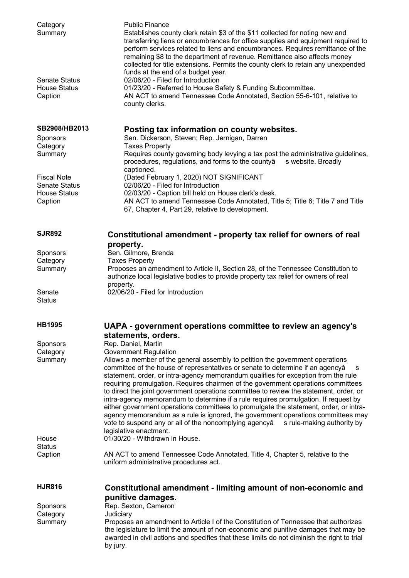| Category<br>Summary                                    | <b>Public Finance</b><br>Establishes county clerk retain \$3 of the \$11 collected for noting new and<br>transferring liens or encumbrances for office supplies and equipment required to<br>perform services related to liens and encumbrances. Requires remittance of the<br>remaining \$8 to the department of revenue. Remittance also affects money<br>collected for title extensions. Permits the county clerk to retain any unexpended<br>funds at the end of a budget year.                                                                                                                                                                                                                                                                                                                   |
|--------------------------------------------------------|-------------------------------------------------------------------------------------------------------------------------------------------------------------------------------------------------------------------------------------------------------------------------------------------------------------------------------------------------------------------------------------------------------------------------------------------------------------------------------------------------------------------------------------------------------------------------------------------------------------------------------------------------------------------------------------------------------------------------------------------------------------------------------------------------------|
| <b>Senate Status</b><br><b>House Status</b><br>Caption | 02/06/20 - Filed for Introduction<br>01/23/20 - Referred to House Safety & Funding Subcommittee.<br>AN ACT to amend Tennessee Code Annotated, Section 55-6-101, relative to<br>county clerks.                                                                                                                                                                                                                                                                                                                                                                                                                                                                                                                                                                                                         |
| SB2908/HB2013                                          | Posting tax information on county websites.                                                                                                                                                                                                                                                                                                                                                                                                                                                                                                                                                                                                                                                                                                                                                           |
| Sponsors                                               | Sen. Dickerson, Steven; Rep. Jernigan, Darren                                                                                                                                                                                                                                                                                                                                                                                                                                                                                                                                                                                                                                                                                                                                                         |
| Category<br>Summary                                    | <b>Taxes Property</b><br>Requires county governing body levying a tax post the administrative guidelines,<br>procedures, regulations, and forms to the countyâ<br>s website. Broadly                                                                                                                                                                                                                                                                                                                                                                                                                                                                                                                                                                                                                  |
| <b>Fiscal Note</b>                                     | captioned.<br>(Dated February 1, 2020) NOT SIGNIFICANT                                                                                                                                                                                                                                                                                                                                                                                                                                                                                                                                                                                                                                                                                                                                                |
| <b>Senate Status</b><br><b>House Status</b>            | 02/06/20 - Filed for Introduction<br>02/03/20 - Caption bill held on House clerk's desk.                                                                                                                                                                                                                                                                                                                                                                                                                                                                                                                                                                                                                                                                                                              |
| Caption                                                | AN ACT to amend Tennessee Code Annotated, Title 5; Title 6; Title 7 and Title<br>67, Chapter 4, Part 29, relative to development.                                                                                                                                                                                                                                                                                                                                                                                                                                                                                                                                                                                                                                                                     |
| <b>SJR892</b>                                          | Constitutional amendment - property tax relief for owners of real<br>property.                                                                                                                                                                                                                                                                                                                                                                                                                                                                                                                                                                                                                                                                                                                        |
| Sponsors                                               | Sen. Gilmore, Brenda                                                                                                                                                                                                                                                                                                                                                                                                                                                                                                                                                                                                                                                                                                                                                                                  |
| Category                                               | <b>Taxes Property</b>                                                                                                                                                                                                                                                                                                                                                                                                                                                                                                                                                                                                                                                                                                                                                                                 |
| Summary                                                | Proposes an amendment to Article II, Section 28, of the Tennessee Constitution to<br>authorize local legislative bodies to provide property tax relief for owners of real<br>property.                                                                                                                                                                                                                                                                                                                                                                                                                                                                                                                                                                                                                |
| Senate<br><b>Status</b>                                | 02/06/20 - Filed for Introduction                                                                                                                                                                                                                                                                                                                                                                                                                                                                                                                                                                                                                                                                                                                                                                     |
|                                                        |                                                                                                                                                                                                                                                                                                                                                                                                                                                                                                                                                                                                                                                                                                                                                                                                       |
| <b>HB1995</b>                                          | UAPA - government operations committee to review an agency's                                                                                                                                                                                                                                                                                                                                                                                                                                                                                                                                                                                                                                                                                                                                          |
|                                                        | statements, orders.                                                                                                                                                                                                                                                                                                                                                                                                                                                                                                                                                                                                                                                                                                                                                                                   |
| Sponsors<br>Category                                   | Rep. Daniel, Martin<br><b>Government Regulation</b>                                                                                                                                                                                                                                                                                                                                                                                                                                                                                                                                                                                                                                                                                                                                                   |
| Summary                                                | Allows a member of the general assembly to petition the government operations<br>committee of the house of representatives or senate to determine if an agencyâ<br>s<br>statement, order, or intra-agency memorandum qualifies for exception from the rule<br>requiring promulgation. Requires chairmen of the government operations committees<br>to direct the joint government operations committee to review the statement, order, or<br>intra-agency memorandum to determine if a rule requires promulgation. If request by<br>either government operations committees to promulgate the statement, order, or intra-<br>agency memorandum as a rule is ignored, the government operations committees may<br>vote to suspend any or all of the noncomplying agencyâ<br>s rule-making authority by |
| House                                                  | legislative enactment.<br>01/30/20 - Withdrawn in House.                                                                                                                                                                                                                                                                                                                                                                                                                                                                                                                                                                                                                                                                                                                                              |
| <b>Status</b><br>Caption                               | AN ACT to amend Tennessee Code Annotated, Title 4, Chapter 5, relative to the                                                                                                                                                                                                                                                                                                                                                                                                                                                                                                                                                                                                                                                                                                                         |
|                                                        | uniform administrative procedures act.                                                                                                                                                                                                                                                                                                                                                                                                                                                                                                                                                                                                                                                                                                                                                                |
| <b>HJR816</b>                                          | Constitutional amendment - limiting amount of non-economic and                                                                                                                                                                                                                                                                                                                                                                                                                                                                                                                                                                                                                                                                                                                                        |
|                                                        | punitive damages.                                                                                                                                                                                                                                                                                                                                                                                                                                                                                                                                                                                                                                                                                                                                                                                     |
| Sponsors<br>Category                                   | Rep. Sexton, Cameron<br>Judiciary                                                                                                                                                                                                                                                                                                                                                                                                                                                                                                                                                                                                                                                                                                                                                                     |
| Summary                                                | Proposes an amendment to Article I of the Constitution of Tennessee that authorizes<br>the legislature to limit the amount of non-economic and punitive damages that may be<br>awarded in civil actions and specifies that these limits do not diminish the right to trial<br>by jury.                                                                                                                                                                                                                                                                                                                                                                                                                                                                                                                |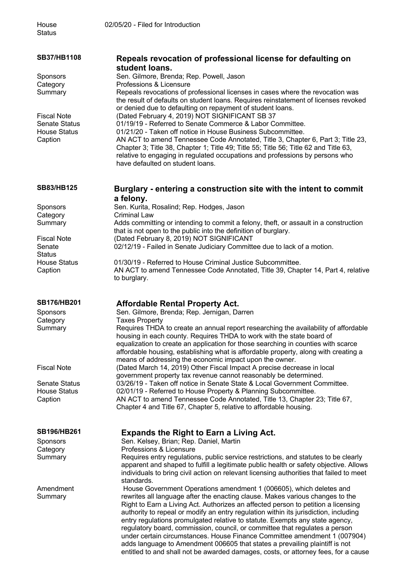| <b>SB37/HB1108</b>             | Repeals revocation of professional license for defaulting on<br>student loans.                                                                                                   |
|--------------------------------|----------------------------------------------------------------------------------------------------------------------------------------------------------------------------------|
| Sponsors                       | Sen. Gilmore, Brenda; Rep. Powell, Jason                                                                                                                                         |
| Category                       | Professions & Licensure                                                                                                                                                          |
| Summary                        | Repeals revocations of professional licenses in cases where the revocation was                                                                                                   |
|                                | the result of defaults on student loans. Requires reinstatement of licenses revoked                                                                                              |
| <b>Fiscal Note</b>             | or denied due to defaulting on repayment of student loans.<br>(Dated February 4, 2019) NOT SIGNIFICANT SB 37                                                                     |
| <b>Senate Status</b>           | 01/19/19 - Referred to Senate Commerce & Labor Committee.                                                                                                                        |
| <b>House Status</b>            | 01/21/20 - Taken off notice in House Business Subcommittee.                                                                                                                      |
| Caption                        | AN ACT to amend Tennessee Code Annotated, Title 3, Chapter 6, Part 3; Title 23,                                                                                                  |
|                                | Chapter 3; Title 38, Chapter 1; Title 49; Title 55; Title 56; Title 62 and Title 63,                                                                                             |
|                                | relative to engaging in regulated occupations and professions by persons who<br>have defaulted on student loans.                                                                 |
|                                |                                                                                                                                                                                  |
| <b>SB83/HB125</b>              | Burglary - entering a construction site with the intent to commit                                                                                                                |
|                                | a felony.                                                                                                                                                                        |
| Sponsors                       | Sen. Kurita, Rosalind; Rep. Hodges, Jason                                                                                                                                        |
| Category                       | Criminal Law                                                                                                                                                                     |
| Summary                        | Adds committing or intending to commit a felony, theft, or assault in a construction                                                                                             |
| <b>Fiscal Note</b>             | that is not open to the public into the definition of burglary.<br>(Dated February 8, 2019) NOT SIGNIFICANT                                                                      |
| Senate                         | 02/12/19 - Failed in Senate Judiciary Committee due to lack of a motion.                                                                                                         |
| <b>Status</b>                  |                                                                                                                                                                                  |
| <b>House Status</b>            | 01/30/19 - Referred to House Criminal Justice Subcommittee.                                                                                                                      |
| Caption                        | AN ACT to amend Tennessee Code Annotated, Title 39, Chapter 14, Part 4, relative<br>to burglary.                                                                                 |
|                                |                                                                                                                                                                                  |
| <b>SB176/HB201</b>             | <b>Affordable Rental Property Act.</b>                                                                                                                                           |
| Sponsors                       | Sen. Gilmore, Brenda; Rep. Jernigan, Darren                                                                                                                                      |
| Category                       | <b>Taxes Property</b>                                                                                                                                                            |
| Summary                        | Requires THDA to create an annual report researching the availability of affordable                                                                                              |
|                                | housing in each county. Requires THDA to work with the state board of<br>equalization to create an application for those searching in counties with scarce                       |
|                                | affordable housing, establishing what is affordable property, along with creating a                                                                                              |
|                                | means of addressing the economic impact upon the owner.                                                                                                                          |
| <b>Fiscal Note</b>             | (Dated March 14, 2019) Other Fiscal Impact A precise decrease in local                                                                                                           |
|                                | government property tax revenue cannot reasonably be determined.                                                                                                                 |
| <b>Senate Status</b>           | 03/26/19 - Taken off notice in Senate State & Local Government Committee.                                                                                                        |
| <b>House Status</b><br>Caption | 02/01/19 - Referred to House Property & Planning Subcommittee.<br>AN ACT to amend Tennessee Code Annotated, Title 13, Chapter 23; Title 67,                                      |
|                                | Chapter 4 and Title 67, Chapter 5, relative to affordable housing.                                                                                                               |
|                                |                                                                                                                                                                                  |
| <b>SB196/HB261</b>             | <b>Expands the Right to Earn a Living Act.</b>                                                                                                                                   |
| <b>Sponsors</b>                | Sen. Kelsey, Brian; Rep. Daniel, Martin                                                                                                                                          |
| Category                       | Professions & Licensure                                                                                                                                                          |
| Summary                        | Requires entry regulations, public service restrictions, and statutes to be clearly                                                                                              |
|                                | apparent and shaped to fulfill a legitimate public health or safety objective. Allows<br>individuals to bring civil action on relevant licensing authorities that failed to meet |
|                                | standards.                                                                                                                                                                       |
| Amendment                      | House Government Operations amendment 1 (006605), which deletes and                                                                                                              |
| Summary                        | rewrites all language after the enacting clause. Makes various changes to the                                                                                                    |
|                                | Right to Earn a Living Act. Authorizes an affected person to petition a licensing                                                                                                |
|                                | authority to repeal or modify an entry regulation within its jurisdiction, including                                                                                             |
|                                | entry regulations promulgated relative to statute. Exempts any state agency,<br>regulatory board, commission, council, or committee that regulates a person                      |
|                                | under certain circumstances. House Finance Committee amendment 1 (007904)                                                                                                        |
|                                | adds language to Amendment 006605 that states a prevailing plaintiff is not                                                                                                      |

entitled to and shall not be awarded damages, costs, or attorney fees, for a cause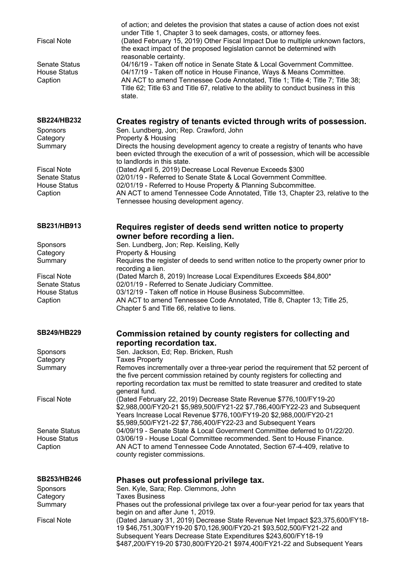| <b>Fiscal Note</b><br><b>Senate Status</b><br><b>House Status</b><br>Caption | of action; and deletes the provision that states a cause of action does not exist<br>under Title 1, Chapter 3 to seek damages, costs, or attorney fees.<br>(Dated February 15, 2019) Other Fiscal Impact Due to multiple unknown factors,<br>the exact impact of the proposed legislation cannot be determined with<br>reasonable certainty.<br>04/16/19 - Taken off notice in Senate State & Local Government Committee.<br>04/17/19 - Taken off notice in House Finance, Ways & Means Committee.<br>AN ACT to amend Tennessee Code Annotated, Title 1; Title 4; Title 7; Title 38;<br>Title 62; Title 63 and Title 67, relative to the ability to conduct business in this<br>state. |
|------------------------------------------------------------------------------|----------------------------------------------------------------------------------------------------------------------------------------------------------------------------------------------------------------------------------------------------------------------------------------------------------------------------------------------------------------------------------------------------------------------------------------------------------------------------------------------------------------------------------------------------------------------------------------------------------------------------------------------------------------------------------------|
| <b>SB224/HB232</b><br>Sponsors<br>Category<br>Summary                        | Creates registry of tenants evicted through writs of possession.<br>Sen. Lundberg, Jon; Rep. Crawford, John<br>Property & Housing<br>Directs the housing development agency to create a registry of tenants who have<br>been evicted through the execution of a writ of possession, which will be accessible                                                                                                                                                                                                                                                                                                                                                                           |
| <b>Fiscal Note</b><br><b>Senate Status</b><br><b>House Status</b><br>Caption | to landlords in this state.<br>(Dated April 5, 2019) Decrease Local Revenue Exceeds \$300<br>02/01/19 - Referred to Senate State & Local Government Committee.<br>02/01/19 - Referred to House Property & Planning Subcommittee.<br>AN ACT to amend Tennessee Code Annotated, Title 13, Chapter 23, relative to the<br>Tennessee housing development agency.                                                                                                                                                                                                                                                                                                                           |
| SB231/HB913                                                                  | Requires register of deeds send written notice to property                                                                                                                                                                                                                                                                                                                                                                                                                                                                                                                                                                                                                             |
| Sponsors<br>Category<br>Summary                                              | owner before recording a lien.<br>Sen. Lundberg, Jon; Rep. Keisling, Kelly<br>Property & Housing<br>Requires the register of deeds to send written notice to the property owner prior to<br>recording a lien.                                                                                                                                                                                                                                                                                                                                                                                                                                                                          |
| <b>Fiscal Note</b><br><b>Senate Status</b><br><b>House Status</b><br>Caption | (Dated March 8, 2019) Increase Local Expenditures Exceeds \$84,800*<br>02/01/19 - Referred to Senate Judiciary Committee.<br>03/12/19 - Taken off notice in House Business Subcommittee.<br>AN ACT to amend Tennessee Code Annotated, Title 8, Chapter 13; Title 25,<br>Chapter 5 and Title 66, relative to liens.                                                                                                                                                                                                                                                                                                                                                                     |
| <b>SB249/HB229</b>                                                           | Commission retained by county registers for collecting and                                                                                                                                                                                                                                                                                                                                                                                                                                                                                                                                                                                                                             |
| Sponsors<br>Category<br>Summary                                              | reporting recordation tax.<br>Sen. Jackson, Ed; Rep. Bricken, Rush<br><b>Taxes Property</b><br>Removes incrementally over a three-year period the requirement that 52 percent of<br>the five percent commission retained by county registers for collecting and<br>reporting recordation tax must be remitted to state treasurer and credited to state                                                                                                                                                                                                                                                                                                                                 |
| <b>Fiscal Note</b>                                                           | general fund.<br>(Dated February 22, 2019) Decrease State Revenue \$776,100/FY19-20<br>\$2,988,000/FY20-21 \$5,989,500/FY21-22 \$7,786,400/FY22-23 and Subsequent<br>Years Increase Local Revenue \$776,100/FY19-20 \$2,988,000/FY20-21                                                                                                                                                                                                                                                                                                                                                                                                                                                |
| <b>Senate Status</b><br><b>House Status</b><br>Caption                       | \$5,989,500/FY21-22 \$7,786,400/FY22-23 and Subsequent Years<br>04/09/19 - Senate State & Local Government Committee deferred to 01/22/20.<br>03/06/19 - House Local Committee recommended. Sent to House Finance.<br>AN ACT to amend Tennessee Code Annotated, Section 67-4-409, relative to<br>county register commissions.                                                                                                                                                                                                                                                                                                                                                          |
| <b>SB253/HB246</b><br>Sponsors<br>Category                                   | Phases out professional privilege tax.<br>Sen. Kyle, Sara; Rep. Clemmons, John<br><b>Taxes Business</b>                                                                                                                                                                                                                                                                                                                                                                                                                                                                                                                                                                                |
| Summary<br><b>Fiscal Note</b>                                                | Phases out the professional privilege tax over a four-year period for tax years that<br>begin on and after June 1, 2019.<br>(Dated January 31, 2019) Decrease State Revenue Net Impact \$23,375,600/FY18-<br>19 \$46,751,300/FY19-20 \$70,126,900/FY20-21 \$93,502,500/FY21-22 and<br>Subsequent Years Decrease State Expenditures \$243,600/FY18-19<br>\$487,200/FY19-20 \$730,800/FY20-21 \$974,400/FY21-22 and Subsequent Years                                                                                                                                                                                                                                                     |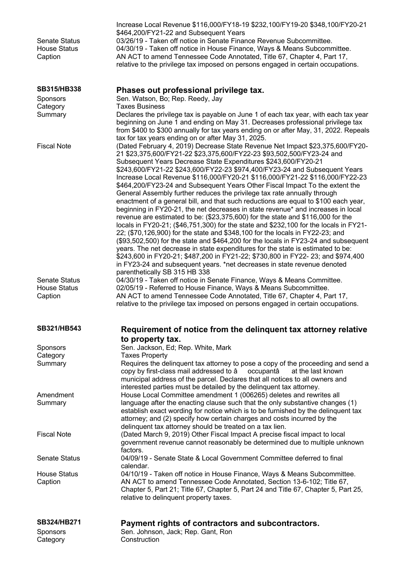| <b>Senate Status</b><br><b>House Status</b><br>Caption | Increase Local Revenue \$116,000/FY18-19 \$232,100/FY19-20 \$348,100/FY20-21<br>\$464,200/FY21-22 and Subsequent Years<br>03/26/19 - Taken off notice in Senate Finance Revenue Subcommittee.<br>04/30/19 - Taken off notice in House Finance, Ways & Means Subcommittee.<br>AN ACT to amend Tennessee Code Annotated, Title 67, Chapter 4, Part 17,<br>relative to the privilege tax imposed on persons engaged in certain occupations.                                                                                                                                                                                                                                                                                                                                                                                                                                                                                                                                                                                                                                                                                                                                                                                                                                                                                             |
|--------------------------------------------------------|--------------------------------------------------------------------------------------------------------------------------------------------------------------------------------------------------------------------------------------------------------------------------------------------------------------------------------------------------------------------------------------------------------------------------------------------------------------------------------------------------------------------------------------------------------------------------------------------------------------------------------------------------------------------------------------------------------------------------------------------------------------------------------------------------------------------------------------------------------------------------------------------------------------------------------------------------------------------------------------------------------------------------------------------------------------------------------------------------------------------------------------------------------------------------------------------------------------------------------------------------------------------------------------------------------------------------------------|
| <b>SB315/HB338</b>                                     | Phases out professional privilege tax.                                                                                                                                                                                                                                                                                                                                                                                                                                                                                                                                                                                                                                                                                                                                                                                                                                                                                                                                                                                                                                                                                                                                                                                                                                                                                               |
| <b>Sponsors</b>                                        | Sen. Watson, Bo; Rep. Reedy, Jay                                                                                                                                                                                                                                                                                                                                                                                                                                                                                                                                                                                                                                                                                                                                                                                                                                                                                                                                                                                                                                                                                                                                                                                                                                                                                                     |
| Category<br>Summary                                    | <b>Taxes Business</b><br>Declares the privilege tax is payable on June 1 of each tax year, with each tax year<br>beginning on June 1 and ending on May 31. Decreases professional privilege tax<br>from \$400 to \$300 annually for tax years ending on or after May, 31, 2022. Repeals<br>tax for tax years ending on or after May 31, 2025.                                                                                                                                                                                                                                                                                                                                                                                                                                                                                                                                                                                                                                                                                                                                                                                                                                                                                                                                                                                        |
| <b>Fiscal Note</b>                                     | (Dated February 4, 2019) Decrease State Revenue Net Impact \$23,375,600/FY20-<br>21 \$23,375,600/FY21-22 \$23,375,600/FY22-23 \$93,502,500/FY23-24 and<br>Subsequent Years Decrease State Expenditures \$243,600/FY20-21<br>\$243,600/FY21-22 \$243,600/FY22-23 \$974,400/FY23-24 and Subsequent Years<br>Increase Local Revenue \$116,000/FY20-21 \$116,000/FY21-22 \$116,000/FY22-23<br>\$464,200/FY23-24 and Subsequent Years Other Fiscal Impact To the extent the<br>General Assembly further reduces the privilege tax rate annually through<br>enactment of a general bill, and that such reductions are equal to \$100 each year,<br>beginning in FY20-21, the net decreases in state revenue* and increases in local<br>revenue are estimated to be: (\$23,375,600) for the state and \$116,000 for the<br>locals in FY20-21; (\$46,751,300) for the state and \$232,100 for the locals in FY21-<br>22; (\$70,126,900) for the state and \$348,100 for the locals in FY22-23; and<br>(\$93,502,500) for the state and \$464,200 for the locals in FY23-24 and subsequent<br>years. The net decrease in state expenditures for the state is estimated to be:<br>\$243,600 in FY20-21; \$487,200 in FY21-22; \$730,800 in FY22- 23; and \$974,400<br>in FY23-24 and subsequent years. *net decreases in state revenue denoted |
| <b>Senate Status</b>                                   | parenthetically SB 315 HB 338<br>04/30/19 - Taken off notice in Senate Finance, Ways & Means Committee.                                                                                                                                                                                                                                                                                                                                                                                                                                                                                                                                                                                                                                                                                                                                                                                                                                                                                                                                                                                                                                                                                                                                                                                                                              |
| <b>House Status</b><br>Caption                         | 02/05/19 - Referred to House Finance, Ways & Means Subcommittee.<br>AN ACT to amend Tennessee Code Annotated, Title 67, Chapter 4, Part 17,<br>relative to the privilege tax imposed on persons engaged in certain occupations.                                                                                                                                                                                                                                                                                                                                                                                                                                                                                                                                                                                                                                                                                                                                                                                                                                                                                                                                                                                                                                                                                                      |
| <b>SB321/HB543</b>                                     | Requirement of notice from the delinquent tax attorney relative                                                                                                                                                                                                                                                                                                                                                                                                                                                                                                                                                                                                                                                                                                                                                                                                                                                                                                                                                                                                                                                                                                                                                                                                                                                                      |
| <b>Sponsors</b>                                        | to property tax.<br>Sen. Jackson, Ed; Rep. White, Mark                                                                                                                                                                                                                                                                                                                                                                                                                                                                                                                                                                                                                                                                                                                                                                                                                                                                                                                                                                                                                                                                                                                                                                                                                                                                               |
| Category                                               | <b>Taxes Property</b>                                                                                                                                                                                                                                                                                                                                                                                                                                                                                                                                                                                                                                                                                                                                                                                                                                                                                                                                                                                                                                                                                                                                                                                                                                                                                                                |
| Summary                                                | Requires the delinguent tax attorney to pose a copy of the proceeding and send a<br>copy by first-class mail addressed to â<br>occupantâ<br>at the last known<br>municipal address of the parcel. Declares that all notices to all owners and<br>interested parties must be detailed by the delinquent tax attorney.                                                                                                                                                                                                                                                                                                                                                                                                                                                                                                                                                                                                                                                                                                                                                                                                                                                                                                                                                                                                                 |
| Amendment<br>Summary                                   | House Local Committee amendment 1 (006265) deletes and rewrites all<br>language after the enacting clause such that the only substantive changes (1)<br>establish exact wording for notice which is to be furnished by the delinquent tax<br>attorney; and (2) specify how certain charges and costs incurred by the<br>delinquent tax attorney should be treated on a tax lien.                                                                                                                                                                                                                                                                                                                                                                                                                                                                                                                                                                                                                                                                                                                                                                                                                                                                                                                                                     |
| <b>Fiscal Note</b>                                     | (Dated March 9, 2019) Other Fiscal Impact A precise fiscal impact to local<br>government revenue cannot reasonably be determined due to multiple unknown<br>factors.                                                                                                                                                                                                                                                                                                                                                                                                                                                                                                                                                                                                                                                                                                                                                                                                                                                                                                                                                                                                                                                                                                                                                                 |
| <b>Senate Status</b>                                   | 04/09/19 - Senate State & Local Government Committee deferred to final<br>calendar.                                                                                                                                                                                                                                                                                                                                                                                                                                                                                                                                                                                                                                                                                                                                                                                                                                                                                                                                                                                                                                                                                                                                                                                                                                                  |
| <b>House Status</b><br>Caption                         | 04/10/19 - Taken off notice in House Finance, Ways & Means Subcommittee.<br>AN ACT to amend Tennessee Code Annotated, Section 13-6-102; Title 67,<br>Chapter 5, Part 21; Title 67, Chapter 5, Part 24 and Title 67, Chapter 5, Part 25,<br>relative to delinquent property taxes.                                                                                                                                                                                                                                                                                                                                                                                                                                                                                                                                                                                                                                                                                                                                                                                                                                                                                                                                                                                                                                                    |
| <b>SB324/HB271</b><br><b>Sponsors</b><br>Category      | Payment rights of contractors and subcontractors.<br>Sen. Johnson, Jack; Rep. Gant, Ron<br>Construction                                                                                                                                                                                                                                                                                                                                                                                                                                                                                                                                                                                                                                                                                                                                                                                                                                                                                                                                                                                                                                                                                                                                                                                                                              |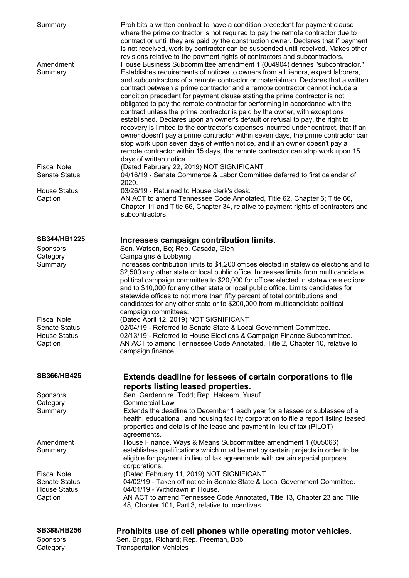| Summary                                    | Prohibits a written contract to have a condition precedent for payment clause<br>where the prime contractor is not required to pay the remote contractor due to<br>contract or until they are paid by the construction owner. Declares that if payment<br>is not received, work by contractor can be suspended until received. Makes other<br>revisions relative to the payment rights of contractors and subcontractors.                                                                                                                                                                                                                                                                                                                                                                                                                                                                                                                                                                                                             |
|--------------------------------------------|---------------------------------------------------------------------------------------------------------------------------------------------------------------------------------------------------------------------------------------------------------------------------------------------------------------------------------------------------------------------------------------------------------------------------------------------------------------------------------------------------------------------------------------------------------------------------------------------------------------------------------------------------------------------------------------------------------------------------------------------------------------------------------------------------------------------------------------------------------------------------------------------------------------------------------------------------------------------------------------------------------------------------------------|
| Amendment<br>Summary                       | House Business Subcommittee amendment 1 (004904) defines "subcontractor."<br>Establishes requirements of notices to owners from all lienors, expect laborers,<br>and subcontractors of a remote contractor or materialman. Declares that a written<br>contract between a prime contractor and a remote contractor cannot include a<br>condition precedent for payment clause stating the prime contractor is not<br>obligated to pay the remote contractor for performing in accordance with the<br>contract unless the prime contractor is paid by the owner, with exceptions<br>established. Declares upon an owner's default or refusal to pay, the right to<br>recovery is limited to the contractor's expenses incurred under contract, that if an<br>owner doesn't pay a prime contractor within seven days, the prime contractor can<br>stop work upon seven days of written notice, and if an owner doesn't pay a<br>remote contractor within 15 days, the remote contractor can stop work upon 15<br>days of written notice. |
| <b>Fiscal Note</b><br><b>Senate Status</b> | (Dated February 22, 2019) NOT SIGNIFICANT<br>04/16/19 - Senate Commerce & Labor Committee deferred to first calendar of<br>2020.                                                                                                                                                                                                                                                                                                                                                                                                                                                                                                                                                                                                                                                                                                                                                                                                                                                                                                      |
| <b>House Status</b><br>Caption             | 03/26/19 - Returned to House clerk's desk.<br>AN ACT to amend Tennessee Code Annotated, Title 62, Chapter 6; Title 66,<br>Chapter 11 and Title 66, Chapter 34, relative to payment rights of contractors and<br>subcontractors.                                                                                                                                                                                                                                                                                                                                                                                                                                                                                                                                                                                                                                                                                                                                                                                                       |
| SB344/HB1225                               | Increases campaign contribution limits.                                                                                                                                                                                                                                                                                                                                                                                                                                                                                                                                                                                                                                                                                                                                                                                                                                                                                                                                                                                               |
| Sponsors                                   | Sen. Watson, Bo; Rep. Casada, Glen                                                                                                                                                                                                                                                                                                                                                                                                                                                                                                                                                                                                                                                                                                                                                                                                                                                                                                                                                                                                    |
| Category                                   | Campaigns & Lobbying                                                                                                                                                                                                                                                                                                                                                                                                                                                                                                                                                                                                                                                                                                                                                                                                                                                                                                                                                                                                                  |
| Summary                                    | Increases contribution limits to \$4,200 offices elected in statewide elections and to                                                                                                                                                                                                                                                                                                                                                                                                                                                                                                                                                                                                                                                                                                                                                                                                                                                                                                                                                |
|                                            | \$2,500 any other state or local public office. Increases limits from multicandidate<br>political campaign committee to \$20,000 for offices elected in statewide elections<br>and to \$10,000 for any other state or local public office. Limits candidates for<br>statewide offices to not more than fifty percent of total contributions and<br>candidates for any other state or to \$200,000 from multicandidate political<br>campaign committees.                                                                                                                                                                                                                                                                                                                                                                                                                                                                                                                                                                               |
| <b>Fiscal Note</b>                         | (Dated April 12, 2019) NOT SIGNIFICANT                                                                                                                                                                                                                                                                                                                                                                                                                                                                                                                                                                                                                                                                                                                                                                                                                                                                                                                                                                                                |
| Senate Status                              | 02/04/19 - Referred to Senate State & Local Government Committee.                                                                                                                                                                                                                                                                                                                                                                                                                                                                                                                                                                                                                                                                                                                                                                                                                                                                                                                                                                     |
| <b>House Status</b>                        | 02/13/19 - Referred to House Elections & Campaign Finance Subcommittee.                                                                                                                                                                                                                                                                                                                                                                                                                                                                                                                                                                                                                                                                                                                                                                                                                                                                                                                                                               |
| Caption                                    | AN ACT to amend Tennessee Code Annotated, Title 2, Chapter 10, relative to<br>campaign finance.                                                                                                                                                                                                                                                                                                                                                                                                                                                                                                                                                                                                                                                                                                                                                                                                                                                                                                                                       |
| <b>SB366/HB425</b>                         | Extends deadline for lessees of certain corporations to file                                                                                                                                                                                                                                                                                                                                                                                                                                                                                                                                                                                                                                                                                                                                                                                                                                                                                                                                                                          |
|                                            | reports listing leased properties.                                                                                                                                                                                                                                                                                                                                                                                                                                                                                                                                                                                                                                                                                                                                                                                                                                                                                                                                                                                                    |
| Sponsors                                   | Sen. Gardenhire, Todd; Rep. Hakeem, Yusuf                                                                                                                                                                                                                                                                                                                                                                                                                                                                                                                                                                                                                                                                                                                                                                                                                                                                                                                                                                                             |
| Category                                   | <b>Commercial Law</b>                                                                                                                                                                                                                                                                                                                                                                                                                                                                                                                                                                                                                                                                                                                                                                                                                                                                                                                                                                                                                 |
| Summary                                    | Extends the deadline to December 1 each year for a lessee or sublessee of a                                                                                                                                                                                                                                                                                                                                                                                                                                                                                                                                                                                                                                                                                                                                                                                                                                                                                                                                                           |
|                                            | health, educational, and housing facility corporation to file a report listing leased                                                                                                                                                                                                                                                                                                                                                                                                                                                                                                                                                                                                                                                                                                                                                                                                                                                                                                                                                 |
|                                            | properties and details of the lease and payment in lieu of tax (PILOT)                                                                                                                                                                                                                                                                                                                                                                                                                                                                                                                                                                                                                                                                                                                                                                                                                                                                                                                                                                |
| Amendment                                  | agreements.<br>House Finance, Ways & Means Subcommittee amendment 1 (005066)                                                                                                                                                                                                                                                                                                                                                                                                                                                                                                                                                                                                                                                                                                                                                                                                                                                                                                                                                          |
| Summary                                    | establishes qualifications which must be met by certain projects in order to be                                                                                                                                                                                                                                                                                                                                                                                                                                                                                                                                                                                                                                                                                                                                                                                                                                                                                                                                                       |
|                                            | eligible for payment in lieu of tax agreements with certain special purpose<br>corporations.                                                                                                                                                                                                                                                                                                                                                                                                                                                                                                                                                                                                                                                                                                                                                                                                                                                                                                                                          |
| <b>Fiscal Note</b>                         | (Dated February 11, 2019) NOT SIGNIFICANT                                                                                                                                                                                                                                                                                                                                                                                                                                                                                                                                                                                                                                                                                                                                                                                                                                                                                                                                                                                             |
| <b>Senate Status</b>                       | 04/02/19 - Taken off notice in Senate State & Local Government Committee.                                                                                                                                                                                                                                                                                                                                                                                                                                                                                                                                                                                                                                                                                                                                                                                                                                                                                                                                                             |
| <b>House Status</b>                        | 04/01/19 - Withdrawn in House.                                                                                                                                                                                                                                                                                                                                                                                                                                                                                                                                                                                                                                                                                                                                                                                                                                                                                                                                                                                                        |
| Caption                                    | AN ACT to amend Tennessee Code Annotated, Title 13, Chapter 23 and Title<br>48, Chapter 101, Part 3, relative to incentives.                                                                                                                                                                                                                                                                                                                                                                                                                                                                                                                                                                                                                                                                                                                                                                                                                                                                                                          |
| <b>SB388/HB256</b>                         | Prohibits use of cell phones while operating motor vehicles.                                                                                                                                                                                                                                                                                                                                                                                                                                                                                                                                                                                                                                                                                                                                                                                                                                                                                                                                                                          |
| Sponsors                                   | Sen. Briggs, Richard; Rep. Freeman, Bob                                                                                                                                                                                                                                                                                                                                                                                                                                                                                                                                                                                                                                                                                                                                                                                                                                                                                                                                                                                               |
| Category                                   | <b>Transportation Vehicles</b>                                                                                                                                                                                                                                                                                                                                                                                                                                                                                                                                                                                                                                                                                                                                                                                                                                                                                                                                                                                                        |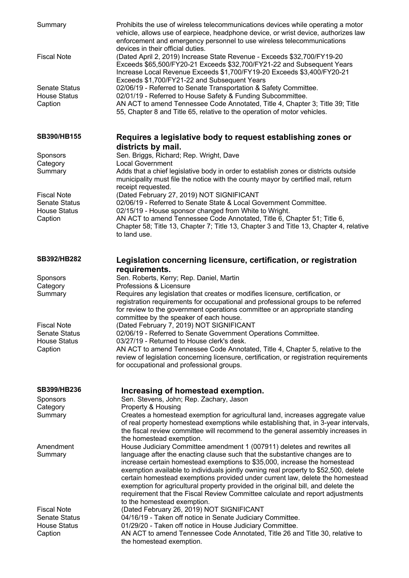| Summary                                                | Prohibits the use of wireless telecommunications devices while operating a motor<br>vehicle, allows use of earpiece, headphone device, or wrist device, authorizes law<br>enforcement and emergency personnel to use wireless telecommunications<br>devices in their official duties.                                                                                                                                                                                                                                                                                                                            |
|--------------------------------------------------------|------------------------------------------------------------------------------------------------------------------------------------------------------------------------------------------------------------------------------------------------------------------------------------------------------------------------------------------------------------------------------------------------------------------------------------------------------------------------------------------------------------------------------------------------------------------------------------------------------------------|
| <b>Fiscal Note</b>                                     | (Dated April 2, 2019) Increase State Revenue - Exceeds \$32,700/FY19-20<br>Exceeds \$65,500/FY20-21 Exceeds \$32,700/FY21-22 and Subsequent Years<br>Increase Local Revenue Exceeds \$1,700/FY19-20 Exceeds \$3,400/FY20-21<br>Exceeds \$1,700/FY21-22 and Subsequent Years                                                                                                                                                                                                                                                                                                                                      |
| <b>Senate Status</b><br><b>House Status</b><br>Caption | 02/06/19 - Referred to Senate Transportation & Safety Committee.<br>02/01/19 - Referred to House Safety & Funding Subcommittee.<br>AN ACT to amend Tennessee Code Annotated, Title 4, Chapter 3; Title 39; Title<br>55, Chapter 8 and Title 65, relative to the operation of motor vehicles.                                                                                                                                                                                                                                                                                                                     |
| SB390/HB155                                            | Requires a legislative body to request establishing zones or<br>districts by mail.                                                                                                                                                                                                                                                                                                                                                                                                                                                                                                                               |
| <b>Sponsors</b><br>Category                            | Sen. Briggs, Richard; Rep. Wright, Dave<br><b>Local Government</b>                                                                                                                                                                                                                                                                                                                                                                                                                                                                                                                                               |
| Summary                                                | Adds that a chief legislative body in order to establish zones or districts outside<br>municipality must file the notice with the county mayor by certified mail, return<br>receipt requested.                                                                                                                                                                                                                                                                                                                                                                                                                   |
| <b>Fiscal Note</b>                                     | (Dated February 27, 2019) NOT SIGNIFICANT                                                                                                                                                                                                                                                                                                                                                                                                                                                                                                                                                                        |
| <b>Senate Status</b><br><b>House Status</b>            | 02/06/19 - Referred to Senate State & Local Government Committee.<br>02/15/19 - House sponsor changed from White to Wright.                                                                                                                                                                                                                                                                                                                                                                                                                                                                                      |
| Caption                                                | AN ACT to amend Tennessee Code Annotated, Title 6, Chapter 51; Title 6,<br>Chapter 58; Title 13, Chapter 7; Title 13, Chapter 3 and Title 13, Chapter 4, relative<br>to land use.                                                                                                                                                                                                                                                                                                                                                                                                                                |
| <b>SB392/HB282</b>                                     | Legislation concerning licensure, certification, or registration<br>requirements.                                                                                                                                                                                                                                                                                                                                                                                                                                                                                                                                |
| <b>Sponsors</b>                                        | Sen. Roberts, Kerry; Rep. Daniel, Martin                                                                                                                                                                                                                                                                                                                                                                                                                                                                                                                                                                         |
| Category                                               | Professions & Licensure                                                                                                                                                                                                                                                                                                                                                                                                                                                                                                                                                                                          |
| Summary                                                | Requires any legislation that creates or modifies licensure, certification, or<br>registration requirements for occupational and professional groups to be referred<br>for review to the government operations committee or an appropriate standing<br>committee by the speaker of each house.                                                                                                                                                                                                                                                                                                                   |
| <b>Fiscal Note</b>                                     | (Dated February 7, 2019) NOT SIGNIFICANT                                                                                                                                                                                                                                                                                                                                                                                                                                                                                                                                                                         |
| <b>Senate Status</b><br><b>House Status</b>            | 02/06/19 - Referred to Senate Government Operations Committee.<br>03/27/19 - Returned to House clerk's desk.                                                                                                                                                                                                                                                                                                                                                                                                                                                                                                     |
| Caption                                                | AN ACT to amend Tennessee Code Annotated, Title 4, Chapter 5, relative to the<br>review of legislation concerning licensure, certification, or registration requirements<br>for occupational and professional groups.                                                                                                                                                                                                                                                                                                                                                                                            |
| <b>SB399/HB236</b>                                     | Increasing of homestead exemption.                                                                                                                                                                                                                                                                                                                                                                                                                                                                                                                                                                               |
| <b>Sponsors</b><br>Category                            | Sen. Stevens, John; Rep. Zachary, Jason<br>Property & Housing                                                                                                                                                                                                                                                                                                                                                                                                                                                                                                                                                    |
| Summary                                                | Creates a homestead exemption for agricultural land, increases aggregate value<br>of real property homestead exemptions while establishing that, in 3-year intervals,<br>the fiscal review committee will recommend to the general assembly increases in<br>the homestead exemption.                                                                                                                                                                                                                                                                                                                             |
| Amendment<br>Summary                                   | House Judiciary Committee amendment 1 (007911) deletes and rewrites all<br>language after the enacting clause such that the substantive changes are to<br>increase certain homestead exemptions to \$35,000, increase the homestead<br>exemption available to individuals jointly owning real property to \$52,500, delete<br>certain homestead exemptions provided under current law, delete the homestead<br>exemption for agricultural property provided in the original bill, and delete the<br>requirement that the Fiscal Review Committee calculate and report adjustments<br>to the homestead exemption. |
| <b>Fiscal Note</b>                                     | (Dated February 26, 2019) NOT SIGNIFICANT                                                                                                                                                                                                                                                                                                                                                                                                                                                                                                                                                                        |
| <b>Senate Status</b><br><b>House Status</b>            | 04/16/19 - Taken off notice in Senate Judiciary Committee.<br>01/29/20 - Taken off notice in House Judiciary Committee.                                                                                                                                                                                                                                                                                                                                                                                                                                                                                          |
| Caption                                                | AN ACT to amend Tennessee Code Annotated, Title 26 and Title 30, relative to<br>the homestead exemption.                                                                                                                                                                                                                                                                                                                                                                                                                                                                                                         |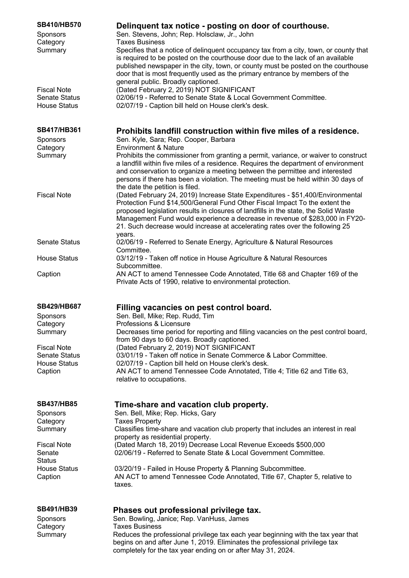| SB410/HB570<br>Sponsors<br>Category<br>Summary                    | Delinquent tax notice - posting on door of courthouse.<br>Sen. Stevens, John; Rep. Holsclaw, Jr., John<br><b>Taxes Business</b><br>Specifies that a notice of delinquent occupancy tax from a city, town, or county that<br>is required to be posted on the courthouse door due to the lack of an available<br>published newspaper in the city, town, or county must be posted on the courthouse<br>door that is most frequently used as the primary entrance by members of the |
|-------------------------------------------------------------------|---------------------------------------------------------------------------------------------------------------------------------------------------------------------------------------------------------------------------------------------------------------------------------------------------------------------------------------------------------------------------------------------------------------------------------------------------------------------------------|
| <b>Fiscal Note</b><br><b>Senate Status</b><br><b>House Status</b> | general public. Broadly captioned.<br>(Dated February 2, 2019) NOT SIGNIFICANT<br>02/06/19 - Referred to Senate State & Local Government Committee.<br>02/07/19 - Caption bill held on House clerk's desk.                                                                                                                                                                                                                                                                      |
| SB417/HB361                                                       | Prohibits landfill construction within five miles of a residence.                                                                                                                                                                                                                                                                                                                                                                                                               |
| Sponsors                                                          | Sen. Kyle, Sara; Rep. Cooper, Barbara                                                                                                                                                                                                                                                                                                                                                                                                                                           |
| Category                                                          | <b>Environment &amp; Nature</b>                                                                                                                                                                                                                                                                                                                                                                                                                                                 |
| Summary                                                           | Prohibits the commissioner from granting a permit, variance, or waiver to construct<br>a landfill within five miles of a residence. Requires the department of environment<br>and conservation to organize a meeting between the permittee and interested<br>persons if there has been a violation. The meeting must be held within 30 days of                                                                                                                                  |
|                                                                   | the date the petition is filed.                                                                                                                                                                                                                                                                                                                                                                                                                                                 |
| <b>Fiscal Note</b>                                                | (Dated February 24, 2019) Increase State Expenditures - \$51,400/Environmental<br>Protection Fund \$14,500/General Fund Other Fiscal Impact To the extent the<br>proposed legislation results in closures of landfills in the state, the Solid Waste<br>Management Fund would experience a decrease in revenue of \$283,000 in FY20-<br>21. Such decrease would increase at accelerating rates over the following 25                                                            |
| <b>Senate Status</b>                                              | years.<br>02/06/19 - Referred to Senate Energy, Agriculture & Natural Resources<br>Committee.                                                                                                                                                                                                                                                                                                                                                                                   |
| <b>House Status</b>                                               | 03/12/19 - Taken off notice in House Agriculture & Natural Resources<br>Subcommittee.                                                                                                                                                                                                                                                                                                                                                                                           |
| Caption                                                           | AN ACT to amend Tennessee Code Annotated, Title 68 and Chapter 169 of the<br>Private Acts of 1990, relative to environmental protection.                                                                                                                                                                                                                                                                                                                                        |
| <b>SB429/HB687</b>                                                | Filling vacancies on pest control board.                                                                                                                                                                                                                                                                                                                                                                                                                                        |
| Sponsors                                                          | Sen. Bell, Mike; Rep. Rudd, Tim                                                                                                                                                                                                                                                                                                                                                                                                                                                 |
| Category                                                          | Professions & Licensure                                                                                                                                                                                                                                                                                                                                                                                                                                                         |
| Summary                                                           | Decreases time period for reporting and filling vacancies on the pest control board,                                                                                                                                                                                                                                                                                                                                                                                            |
|                                                                   | from 90 days to 60 days. Broadly captioned.                                                                                                                                                                                                                                                                                                                                                                                                                                     |
| <b>Fiscal Note</b>                                                | (Dated February 2, 2019) NOT SIGNIFICANT                                                                                                                                                                                                                                                                                                                                                                                                                                        |
| <b>Senate Status</b>                                              | 03/01/19 - Taken off notice in Senate Commerce & Labor Committee.                                                                                                                                                                                                                                                                                                                                                                                                               |
| <b>House Status</b><br>Caption                                    | 02/07/19 - Caption bill held on House clerk's desk.<br>AN ACT to amend Tennessee Code Annotated, Title 4; Title 62 and Title 63,                                                                                                                                                                                                                                                                                                                                                |
|                                                                   | relative to occupations.                                                                                                                                                                                                                                                                                                                                                                                                                                                        |
| <b>SB437/HB85</b>                                                 | Time-share and vacation club property.                                                                                                                                                                                                                                                                                                                                                                                                                                          |
| Sponsors                                                          | Sen. Bell, Mike; Rep. Hicks, Gary                                                                                                                                                                                                                                                                                                                                                                                                                                               |
| Category                                                          | <b>Taxes Property</b>                                                                                                                                                                                                                                                                                                                                                                                                                                                           |
| Summary                                                           | Classifies time-share and vacation club property that includes an interest in real                                                                                                                                                                                                                                                                                                                                                                                              |
|                                                                   | property as residential property.                                                                                                                                                                                                                                                                                                                                                                                                                                               |
| <b>Fiscal Note</b>                                                | (Dated March 18, 2019) Decrease Local Revenue Exceeds \$500,000                                                                                                                                                                                                                                                                                                                                                                                                                 |
| Senate                                                            | 02/06/19 - Referred to Senate State & Local Government Committee.                                                                                                                                                                                                                                                                                                                                                                                                               |
| <b>Status</b><br><b>House Status</b>                              | 03/20/19 - Failed in House Property & Planning Subcommittee.                                                                                                                                                                                                                                                                                                                                                                                                                    |
| Caption                                                           | AN ACT to amend Tennessee Code Annotated, Title 67, Chapter 5, relative to<br>taxes.                                                                                                                                                                                                                                                                                                                                                                                            |
| <b>SB491/HB39</b>                                                 | Phases out professional privilege tax.                                                                                                                                                                                                                                                                                                                                                                                                                                          |
| Sponsors                                                          | Sen. Bowling, Janice; Rep. VanHuss, James                                                                                                                                                                                                                                                                                                                                                                                                                                       |
| Category                                                          | <b>Taxes Business</b>                                                                                                                                                                                                                                                                                                                                                                                                                                                           |
| Summary                                                           | Reduces the professional privilege tax each year beginning with the tax year that<br>begins on and after June 1, 2019. Eliminates the professional privilege tax<br>completely for the tax year ending on or after May 31, 2024.                                                                                                                                                                                                                                                |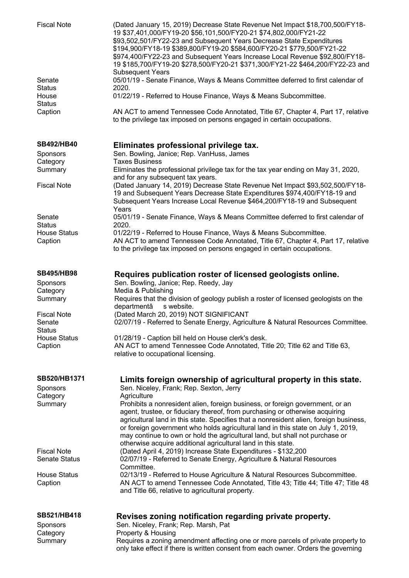| <b>Fiscal Note</b>                            | (Dated January 15, 2019) Decrease State Revenue Net Impact \$18,700,500/FY18-<br>19 \$37,401,000/FY19-20 \$56,101,500/FY20-21 \$74,802,000/FY21-22<br>\$93,502,501/FY22-23 and Subsequent Years Decrease State Expenditures<br>\$194,900/FY18-19 \$389,800/FY19-20 \$584,600/FY20-21 \$779,500/FY21-22<br>\$974,400/FY22-23 and Subsequent Years Increase Local Revenue \$92,800/FY18-<br>19 \$185,700/FY19-20 \$278,500/FY20-21 \$371,300/FY21-22 \$464,200/FY22-23 and<br><b>Subsequent Years</b> |
|-----------------------------------------------|-----------------------------------------------------------------------------------------------------------------------------------------------------------------------------------------------------------------------------------------------------------------------------------------------------------------------------------------------------------------------------------------------------------------------------------------------------------------------------------------------------|
| Senate<br><b>Status</b>                       | 05/01/19 - Senate Finance, Ways & Means Committee deferred to first calendar of<br>2020.                                                                                                                                                                                                                                                                                                                                                                                                            |
| House<br><b>Status</b>                        | 01/22/19 - Referred to House Finance, Ways & Means Subcommittee.                                                                                                                                                                                                                                                                                                                                                                                                                                    |
| Caption                                       | AN ACT to amend Tennessee Code Annotated, Title 67, Chapter 4, Part 17, relative<br>to the privilege tax imposed on persons engaged in certain occupations.                                                                                                                                                                                                                                                                                                                                         |
| <b>SB492/HB40</b>                             | Eliminates professional privilege tax.                                                                                                                                                                                                                                                                                                                                                                                                                                                              |
| Sponsors<br>Category                          | Sen. Bowling, Janice; Rep. VanHuss, James<br><b>Taxes Business</b>                                                                                                                                                                                                                                                                                                                                                                                                                                  |
| Summary                                       | Eliminates the professional privilege tax for the tax year ending on May 31, 2020,<br>and for any subsequent tax years.                                                                                                                                                                                                                                                                                                                                                                             |
| <b>Fiscal Note</b>                            | (Dated January 14, 2019) Decrease State Revenue Net Impact \$93,502,500/FY18-<br>19 and Subsequent Years Decrease State Expenditures \$974,400/FY18-19 and<br>Subsequent Years Increase Local Revenue \$464,200/FY18-19 and Subsequent                                                                                                                                                                                                                                                              |
|                                               | Years                                                                                                                                                                                                                                                                                                                                                                                                                                                                                               |
| Senate<br><b>Status</b>                       | 05/01/19 - Senate Finance, Ways & Means Committee deferred to first calendar of<br>2020.                                                                                                                                                                                                                                                                                                                                                                                                            |
| <b>House Status</b><br>Caption                | 01/22/19 - Referred to House Finance, Ways & Means Subcommittee.<br>AN ACT to amend Tennessee Code Annotated, Title 67, Chapter 4, Part 17, relative<br>to the privilege tax imposed on persons engaged in certain occupations.                                                                                                                                                                                                                                                                     |
| <b>SB495/HB98</b><br><b>Sponsors</b>          | Requires publication roster of licensed geologists online.<br>Sen. Bowling, Janice; Rep. Reedy, Jay                                                                                                                                                                                                                                                                                                                                                                                                 |
| Category<br>Summary                           | Media & Publishing<br>Requires that the division of geology publish a roster of licensed geologists on the<br>departmentâ<br>s website.                                                                                                                                                                                                                                                                                                                                                             |
| <b>Fiscal Note</b><br>Senate<br><b>Status</b> | (Dated March 20, 2019) NOT SIGNIFICANT<br>02/07/19 - Referred to Senate Energy, Agriculture & Natural Resources Committee.                                                                                                                                                                                                                                                                                                                                                                          |
| <b>House Status</b><br>Caption                | 01/28/19 - Caption bill held on House clerk's desk.<br>AN ACT to amend Tennessee Code Annotated, Title 20; Title 62 and Title 63,<br>relative to occupational licensing.                                                                                                                                                                                                                                                                                                                            |
| SB520/HB1371<br>Sponsors<br>Category          | Limits foreign ownership of agricultural property in this state.<br>Sen. Niceley, Frank; Rep. Sexton, Jerry<br>Agriculture                                                                                                                                                                                                                                                                                                                                                                          |
| Summary                                       | Prohibits a nonresident alien, foreign business, or foreign government, or an<br>agent, trustee, or fiduciary thereof, from purchasing or otherwise acquiring<br>agricultural land in this state. Specifies that a nonresident alien, foreign business,<br>or foreign government who holds agricultural land in this state on July 1, 2019,<br>may continue to own or hold the agricultural land, but shall not purchase or<br>otherwise acquire additional agricultural land in this state.        |
| <b>Fiscal Note</b><br><b>Senate Status</b>    | (Dated April 4, 2019) Increase State Expenditures - \$132,200<br>02/07/19 - Referred to Senate Energy, Agriculture & Natural Resources                                                                                                                                                                                                                                                                                                                                                              |
| <b>House Status</b><br>Caption                | Committee.<br>02/13/19 - Referred to House Agriculture & Natural Resources Subcommittee.<br>AN ACT to amend Tennessee Code Annotated, Title 43; Title 44; Title 47; Title 48<br>and Title 66, relative to agricultural property.                                                                                                                                                                                                                                                                    |
| SB521/HB418                                   | Revises zoning notification regarding private property.                                                                                                                                                                                                                                                                                                                                                                                                                                             |
| Sponsors                                      | Sen. Niceley, Frank; Rep. Marsh, Pat                                                                                                                                                                                                                                                                                                                                                                                                                                                                |
| Category<br>Summary                           | Property & Housing<br>Requires a zoning amendment affecting one or more parcels of private property to<br>only take effect if there is written consent from each owner. Orders the governing                                                                                                                                                                                                                                                                                                        |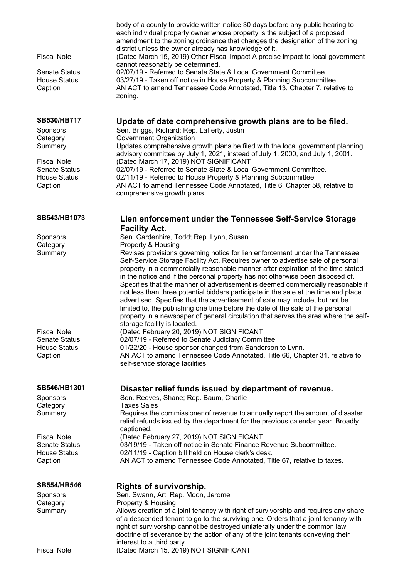| <b>Fiscal Note</b><br>Senate Status<br><b>House Status</b><br>Caption | body of a county to provide written notice 30 days before any public hearing to<br>each individual property owner whose property is the subject of a proposed<br>amendment to the zoning ordinance that changes the designation of the zoning<br>district unless the owner already has knowledge of it.<br>(Dated March 15, 2019) Other Fiscal Impact A precise impact to local government<br>cannot reasonably be determined.<br>02/07/19 - Referred to Senate State & Local Government Committee.<br>03/27/19 - Taken off notice in House Property & Planning Subcommittee.<br>AN ACT to amend Tennessee Code Annotated, Title 13, Chapter 7, relative to<br>zoning. |
|-----------------------------------------------------------------------|------------------------------------------------------------------------------------------------------------------------------------------------------------------------------------------------------------------------------------------------------------------------------------------------------------------------------------------------------------------------------------------------------------------------------------------------------------------------------------------------------------------------------------------------------------------------------------------------------------------------------------------------------------------------|
| <b>SB530/HB717</b>                                                    | Update of date comprehensive growth plans are to be filed.                                                                                                                                                                                                                                                                                                                                                                                                                                                                                                                                                                                                             |
| Sponsors                                                              | Sen. Briggs, Richard; Rep. Lafferty, Justin                                                                                                                                                                                                                                                                                                                                                                                                                                                                                                                                                                                                                            |
| Category<br>Summary                                                   | Government Organization<br>Updates comprehensive growth plans be filed with the local government planning                                                                                                                                                                                                                                                                                                                                                                                                                                                                                                                                                              |
|                                                                       | advisory committee by July 1, 2021, instead of July 1, 2000, and July 1, 2001.                                                                                                                                                                                                                                                                                                                                                                                                                                                                                                                                                                                         |
| <b>Fiscal Note</b><br><b>Senate Status</b>                            | (Dated March 17, 2019) NOT SIGNIFICANT<br>02/07/19 - Referred to Senate State & Local Government Committee.                                                                                                                                                                                                                                                                                                                                                                                                                                                                                                                                                            |
| <b>House Status</b>                                                   | 02/11/19 - Referred to House Property & Planning Subcommittee.                                                                                                                                                                                                                                                                                                                                                                                                                                                                                                                                                                                                         |
| Caption                                                               | AN ACT to amend Tennessee Code Annotated, Title 6, Chapter 58, relative to                                                                                                                                                                                                                                                                                                                                                                                                                                                                                                                                                                                             |
|                                                                       | comprehensive growth plans.                                                                                                                                                                                                                                                                                                                                                                                                                                                                                                                                                                                                                                            |
| SB543/HB1073                                                          | Lien enforcement under the Tennessee Self-Service Storage<br><b>Facility Act.</b>                                                                                                                                                                                                                                                                                                                                                                                                                                                                                                                                                                                      |
| Sponsors                                                              | Sen. Gardenhire, Todd; Rep. Lynn, Susan                                                                                                                                                                                                                                                                                                                                                                                                                                                                                                                                                                                                                                |
| Category                                                              | Property & Housing                                                                                                                                                                                                                                                                                                                                                                                                                                                                                                                                                                                                                                                     |
| Summary                                                               | Revises provisions governing notice for lien enforcement under the Tennessee<br>Self-Service Storage Facility Act. Requires owner to advertise sale of personal                                                                                                                                                                                                                                                                                                                                                                                                                                                                                                        |
|                                                                       | property in a commercially reasonable manner after expiration of the time stated<br>in the notice and if the personal property has not otherwise been disposed of.<br>Specifies that the manner of advertisement is deemed commercially reasonable if<br>not less than three potential bidders participate in the sale at the time and place<br>advertised. Specifies that the advertisement of sale may include, but not be<br>limited to, the publishing one time before the date of the sale of the personal<br>property in a newspaper of general circulation that serves the area where the self-<br>storage facility is located.                                 |
| <b>Fiscal Note</b>                                                    | (Dated February 20, 2019) NOT SIGNIFICANT                                                                                                                                                                                                                                                                                                                                                                                                                                                                                                                                                                                                                              |
| <b>Senate Status</b>                                                  | 02/07/19 - Referred to Senate Judiciary Committee.                                                                                                                                                                                                                                                                                                                                                                                                                                                                                                                                                                                                                     |
| <b>House Status</b><br>Caption                                        | 01/22/20 - House sponsor changed from Sanderson to Lynn.<br>AN ACT to amend Tennessee Code Annotated, Title 66, Chapter 31, relative to                                                                                                                                                                                                                                                                                                                                                                                                                                                                                                                                |
|                                                                       | self-service storage facilities.                                                                                                                                                                                                                                                                                                                                                                                                                                                                                                                                                                                                                                       |
| SB546/HB1301<br><b>Sponsors</b><br>Category                           | Disaster relief funds issued by department of revenue.<br>Sen. Reeves, Shane; Rep. Baum, Charlie<br><b>Taxes Sales</b>                                                                                                                                                                                                                                                                                                                                                                                                                                                                                                                                                 |
| Summary                                                               | Requires the commissioner of revenue to annually report the amount of disaster<br>relief refunds issued by the department for the previous calendar year. Broadly<br>captioned.                                                                                                                                                                                                                                                                                                                                                                                                                                                                                        |
| <b>Fiscal Note</b>                                                    | (Dated February 27, 2019) NOT SIGNIFICANT                                                                                                                                                                                                                                                                                                                                                                                                                                                                                                                                                                                                                              |
| <b>Senate Status</b><br><b>House Status</b>                           | 03/19/19 - Taken off notice in Senate Finance Revenue Subcommittee.<br>02/11/19 - Caption bill held on House clerk's desk.                                                                                                                                                                                                                                                                                                                                                                                                                                                                                                                                             |
| Caption                                                               | AN ACT to amend Tennessee Code Annotated, Title 67, relative to taxes.                                                                                                                                                                                                                                                                                                                                                                                                                                                                                                                                                                                                 |
| <b>SB554/HB546</b>                                                    |                                                                                                                                                                                                                                                                                                                                                                                                                                                                                                                                                                                                                                                                        |
| Sponsors                                                              | <b>Rights of survivorship.</b><br>Sen. Swann, Art; Rep. Moon, Jerome                                                                                                                                                                                                                                                                                                                                                                                                                                                                                                                                                                                                   |
| Category                                                              | Property & Housing                                                                                                                                                                                                                                                                                                                                                                                                                                                                                                                                                                                                                                                     |
| Summary                                                               | Allows creation of a joint tenancy with right of survivorship and requires any share<br>of a descended tenant to go to the surviving one. Orders that a joint tenancy with<br>right of survivorship cannot be destroyed unilaterally under the common law<br>doctrine of severance by the action of any of the joint tenants conveying their<br>interest to a third party.                                                                                                                                                                                                                                                                                             |
| <b>Fiscal Note</b>                                                    | (Dated March 15, 2019) NOT SIGNIFICANT                                                                                                                                                                                                                                                                                                                                                                                                                                                                                                                                                                                                                                 |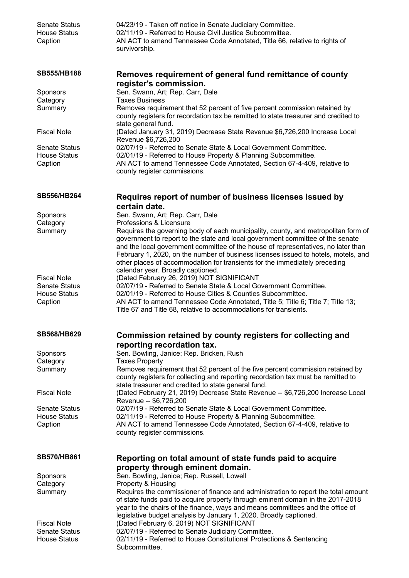| <b>Senate Status</b><br><b>House Status</b><br>Caption                       | 04/23/19 - Taken off notice in Senate Judiciary Committee.<br>02/11/19 - Referred to House Civil Justice Subcommittee.<br>AN ACT to amend Tennessee Code Annotated, Title 66, relative to rights of<br>survivorship.                                                                                                                                                                                                                                                                         |
|------------------------------------------------------------------------------|----------------------------------------------------------------------------------------------------------------------------------------------------------------------------------------------------------------------------------------------------------------------------------------------------------------------------------------------------------------------------------------------------------------------------------------------------------------------------------------------|
| <b>SB555/HB188</b>                                                           | Removes requirement of general fund remittance of county                                                                                                                                                                                                                                                                                                                                                                                                                                     |
| Sponsors<br>Category<br>Summary                                              | register's commission.<br>Sen. Swann, Art; Rep. Carr, Dale<br><b>Taxes Business</b><br>Removes requirement that 52 percent of five percent commission retained by<br>county registers for recordation tax be remitted to state treasurer and credited to<br>state general fund.                                                                                                                                                                                                              |
| <b>Fiscal Note</b>                                                           | (Dated January 31, 2019) Decrease State Revenue \$6,726,200 Increase Local<br>Revenue \$6,726,200                                                                                                                                                                                                                                                                                                                                                                                            |
| <b>Senate Status</b><br><b>House Status</b><br>Caption                       | 02/07/19 - Referred to Senate State & Local Government Committee.<br>02/01/19 - Referred to House Property & Planning Subcommittee.<br>AN ACT to amend Tennessee Code Annotated, Section 67-4-409, relative to<br>county register commissions.                                                                                                                                                                                                                                               |
| <b>SB556/HB264</b>                                                           | Requires report of number of business licenses issued by<br>certain date.                                                                                                                                                                                                                                                                                                                                                                                                                    |
| Sponsors<br>Category<br>Summary                                              | Sen. Swann, Art; Rep. Carr, Dale<br>Professions & Licensure<br>Requires the governing body of each municipality, county, and metropolitan form of<br>government to report to the state and local government committee of the senate<br>and the local government committee of the house of representatives, no later than<br>February 1, 2020, on the number of business licenses issued to hotels, motels, and<br>other places of accommodation for transients for the immediately preceding |
| <b>Fiscal Note</b><br><b>Senate Status</b><br><b>House Status</b><br>Caption | calendar year. Broadly captioned.<br>(Dated February 26, 2019) NOT SIGNIFICANT<br>02/07/19 - Referred to Senate State & Local Government Committee.<br>02/01/19 - Referred to House Cities & Counties Subcommittee.<br>AN ACT to amend Tennessee Code Annotated, Title 5; Title 6; Title 7; Title 13;<br>Title 67 and Title 68, relative to accommodations for transients.                                                                                                                   |
| <b>SB568/HB629</b>                                                           | Commission retained by county registers for collecting and                                                                                                                                                                                                                                                                                                                                                                                                                                   |
| Sponsors<br>Category<br>Summary                                              | reporting recordation tax.<br>Sen. Bowling, Janice; Rep. Bricken, Rush<br><b>Taxes Property</b><br>Removes requirement that 52 percent of the five percent commission retained by<br>county registers for collecting and reporting recordation tax must be remitted to<br>state treasurer and credited to state general fund.                                                                                                                                                                |
| <b>Fiscal Note</b>                                                           | (Dated February 21, 2019) Decrease State Revenue -- \$6,726,200 Increase Local<br>Revenue -- \$6,726,200                                                                                                                                                                                                                                                                                                                                                                                     |
| <b>Senate Status</b><br><b>House Status</b><br>Caption                       | 02/07/19 - Referred to Senate State & Local Government Committee.<br>02/11/19 - Referred to House Property & Planning Subcommittee.<br>AN ACT to amend Tennessee Code Annotated, Section 67-4-409, relative to<br>county register commissions.                                                                                                                                                                                                                                               |
| <b>SB570/HB861</b>                                                           | Reporting on total amount of state funds paid to acquire<br>property through eminent domain.                                                                                                                                                                                                                                                                                                                                                                                                 |
| Sponsors<br>Category<br>Summary                                              | Sen. Bowling, Janice; Rep. Russell, Lowell<br>Property & Housing<br>Requires the commissioner of finance and administration to report the total amount<br>of state funds paid to acquire property through eminent domain in the 2017-2018<br>year to the chairs of the finance, ways and means committees and the office of                                                                                                                                                                  |
| <b>Fiscal Note</b><br><b>Senate Status</b><br><b>House Status</b>            | legislative budget analysis by January 1, 2020. Broadly captioned.<br>(Dated February 6, 2019) NOT SIGNIFICANT<br>02/07/19 - Referred to Senate Judiciary Committee.<br>02/11/19 - Referred to House Constitutional Protections & Sentencing<br>Subcommittee.                                                                                                                                                                                                                                |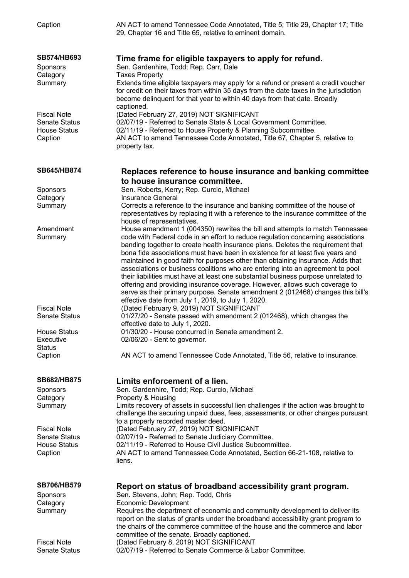| Caption                                                                      | AN ACT to amend Tennessee Code Annotated, Title 5; Title 29, Chapter 17; Title<br>29, Chapter 16 and Title 65, relative to eminent domain.                                                                                                                                                                                                                                                                                                                                                                                                                                                                                                                                                                                                                                                                               |
|------------------------------------------------------------------------------|--------------------------------------------------------------------------------------------------------------------------------------------------------------------------------------------------------------------------------------------------------------------------------------------------------------------------------------------------------------------------------------------------------------------------------------------------------------------------------------------------------------------------------------------------------------------------------------------------------------------------------------------------------------------------------------------------------------------------------------------------------------------------------------------------------------------------|
| SB574/HB693<br>Sponsors<br>Category<br>Summary                               | Time frame for eligible taxpayers to apply for refund.<br>Sen. Gardenhire, Todd; Rep. Carr, Dale<br><b>Taxes Property</b><br>Extends time eligible taxpayers may apply for a refund or present a credit voucher                                                                                                                                                                                                                                                                                                                                                                                                                                                                                                                                                                                                          |
|                                                                              | for credit on their taxes from within 35 days from the date taxes in the jurisdiction<br>become delinquent for that year to within 40 days from that date. Broadly<br>captioned.                                                                                                                                                                                                                                                                                                                                                                                                                                                                                                                                                                                                                                         |
| <b>Fiscal Note</b><br><b>Senate Status</b><br><b>House Status</b><br>Caption | (Dated February 27, 2019) NOT SIGNIFICANT<br>02/07/19 - Referred to Senate State & Local Government Committee.<br>02/11/19 - Referred to House Property & Planning Subcommittee.<br>AN ACT to amend Tennessee Code Annotated, Title 67, Chapter 5, relative to<br>property tax.                                                                                                                                                                                                                                                                                                                                                                                                                                                                                                                                          |
| SB645/HB874                                                                  | Replaces reference to house insurance and banking committee<br>to house insurance committee.                                                                                                                                                                                                                                                                                                                                                                                                                                                                                                                                                                                                                                                                                                                             |
| Sponsors<br>Category                                                         | Sen. Roberts, Kerry; Rep. Curcio, Michael<br>Insurance General                                                                                                                                                                                                                                                                                                                                                                                                                                                                                                                                                                                                                                                                                                                                                           |
| Summary                                                                      | Corrects a reference to the insurance and banking committee of the house of<br>representatives by replacing it with a reference to the insurance committee of the<br>house of representatives.                                                                                                                                                                                                                                                                                                                                                                                                                                                                                                                                                                                                                           |
| Amendment<br>Summary                                                         | House amendment 1 (004350) rewrites the bill and attempts to match Tennessee<br>code with Federal code in an effort to reduce regulation concerning associations<br>banding together to create health insurance plans. Deletes the requirement that<br>bona fide associations must have been in existence for at least five years and<br>maintained in good faith for purposes other than obtaining insurance. Adds that<br>associations or business coalitions who are entering into an agreement to pool<br>their liabilities must have at least one substantial business purpose unrelated to<br>offering and providing insurance coverage. However, allows such coverage to<br>serve as their primary purpose. Senate amendment 2 (012468) changes this bill's<br>effective date from July 1, 2019, to July 1, 2020. |
| <b>Fiscal Note</b>                                                           | (Dated February 9, 2019) NOT SIGNIFICANT                                                                                                                                                                                                                                                                                                                                                                                                                                                                                                                                                                                                                                                                                                                                                                                 |
| Senate Status                                                                | 01/27/20 - Senate passed with amendment 2 (012468), which changes the<br>effective date to July 1, 2020.                                                                                                                                                                                                                                                                                                                                                                                                                                                                                                                                                                                                                                                                                                                 |
| <b>House Status</b>                                                          | 01/30/20 - House concurred in Senate amendment 2.                                                                                                                                                                                                                                                                                                                                                                                                                                                                                                                                                                                                                                                                                                                                                                        |
| Executive<br><b>Status</b>                                                   | 02/06/20 - Sent to governor.                                                                                                                                                                                                                                                                                                                                                                                                                                                                                                                                                                                                                                                                                                                                                                                             |
| Caption                                                                      | AN ACT to amend Tennessee Code Annotated, Title 56, relative to insurance.                                                                                                                                                                                                                                                                                                                                                                                                                                                                                                                                                                                                                                                                                                                                               |
| SB682/HB875<br>Sponsors                                                      | Limits enforcement of a lien.<br>Sen. Gardenhire, Todd; Rep. Curcio, Michael                                                                                                                                                                                                                                                                                                                                                                                                                                                                                                                                                                                                                                                                                                                                             |
| Category                                                                     | Property & Housing                                                                                                                                                                                                                                                                                                                                                                                                                                                                                                                                                                                                                                                                                                                                                                                                       |
| Summary                                                                      | Limits recovery of assets in successful lien challenges if the action was brought to<br>challenge the securing unpaid dues, fees, assessments, or other charges pursuant<br>to a properly recorded master deed.                                                                                                                                                                                                                                                                                                                                                                                                                                                                                                                                                                                                          |
| <b>Fiscal Note</b>                                                           | (Dated February 27, 2019) NOT SIGNIFICANT                                                                                                                                                                                                                                                                                                                                                                                                                                                                                                                                                                                                                                                                                                                                                                                |
| <b>Senate Status</b><br><b>House Status</b>                                  | 02/07/19 - Referred to Senate Judiciary Committee.<br>02/11/19 - Referred to House Civil Justice Subcommittee.                                                                                                                                                                                                                                                                                                                                                                                                                                                                                                                                                                                                                                                                                                           |
| Caption                                                                      | AN ACT to amend Tennessee Code Annotated, Section 66-21-108, relative to<br>liens.                                                                                                                                                                                                                                                                                                                                                                                                                                                                                                                                                                                                                                                                                                                                       |
| <b>SB706/HB579</b><br>Sponsors                                               | Report on status of broadband accessibility grant program.<br>Sen. Stevens, John; Rep. Todd, Chris                                                                                                                                                                                                                                                                                                                                                                                                                                                                                                                                                                                                                                                                                                                       |
| Category<br>Summary                                                          | <b>Economic Development</b><br>Requires the department of economic and community development to deliver its<br>report on the status of grants under the broadband accessibility grant program to<br>the chairs of the commerce committee of the house and the commerce and labor                                                                                                                                                                                                                                                                                                                                                                                                                                                                                                                                         |
|                                                                              | committee of the senate. Broadly captioned.                                                                                                                                                                                                                                                                                                                                                                                                                                                                                                                                                                                                                                                                                                                                                                              |
| <b>Fiscal Note</b><br><b>Senate Status</b>                                   | (Dated February 8, 2019) NOT SIGNIFICANT<br>02/07/19 - Referred to Senate Commerce & Labor Committee.                                                                                                                                                                                                                                                                                                                                                                                                                                                                                                                                                                                                                                                                                                                    |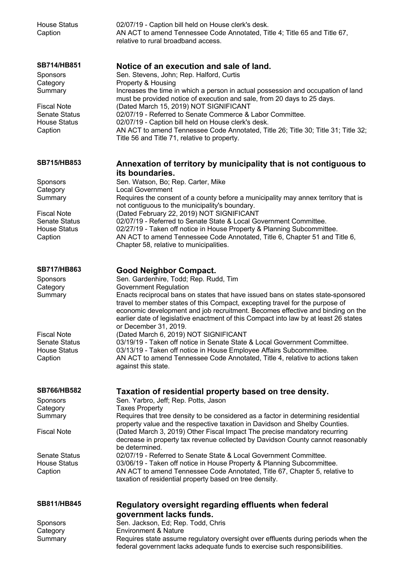| <b>House Status</b><br>Caption              | 02/07/19 - Caption bill held on House clerk's desk.<br>AN ACT to amend Tennessee Code Annotated, Title 4; Title 65 and Title 67,<br>relative to rural broadband access.                                                                                                                                                                                                                                             |
|---------------------------------------------|---------------------------------------------------------------------------------------------------------------------------------------------------------------------------------------------------------------------------------------------------------------------------------------------------------------------------------------------------------------------------------------------------------------------|
| SB714/HB851<br>Sponsors<br>Category         | Notice of an execution and sale of land.<br>Sen. Stevens, John; Rep. Halford, Curtis<br>Property & Housing                                                                                                                                                                                                                                                                                                          |
| Summary<br>Fiscal Note                      | Increases the time in which a person in actual possession and occupation of land<br>must be provided notice of execution and sale, from 20 days to 25 days.<br>(Dated March 15, 2019) NOT SIGNIFICANT                                                                                                                                                                                                               |
| <b>Senate Status</b><br><b>House Status</b> | 02/07/19 - Referred to Senate Commerce & Labor Committee.<br>02/07/19 - Caption bill held on House clerk's desk.                                                                                                                                                                                                                                                                                                    |
| Caption                                     | AN ACT to amend Tennessee Code Annotated, Title 26; Title 30; Title 31; Title 32;<br>Title 56 and Title 71, relative to property.                                                                                                                                                                                                                                                                                   |
| <b>SB715/HB853</b>                          | Annexation of territory by municipality that is not contiguous to<br>its boundaries.                                                                                                                                                                                                                                                                                                                                |
| Sponsors                                    | Sen. Watson, Bo; Rep. Carter, Mike                                                                                                                                                                                                                                                                                                                                                                                  |
| Category<br>Summary                         | <b>Local Government</b><br>Requires the consent of a county before a municipality may annex territory that is<br>not contiguous to the municipality's boundary.                                                                                                                                                                                                                                                     |
| <b>Fiscal Note</b><br><b>Senate Status</b>  | (Dated February 22, 2019) NOT SIGNIFICANT<br>02/07/19 - Referred to Senate State & Local Government Committee.                                                                                                                                                                                                                                                                                                      |
| <b>House Status</b><br>Caption              | 02/27/19 - Taken off notice in House Property & Planning Subcommittee.<br>AN ACT to amend Tennessee Code Annotated, Title 6, Chapter 51 and Title 6,<br>Chapter 58, relative to municipalities.                                                                                                                                                                                                                     |
| SB717/HB863                                 | <b>Good Neighbor Compact.</b>                                                                                                                                                                                                                                                                                                                                                                                       |
| Sponsors<br>Category<br>Summary             | Sen. Gardenhire, Todd; Rep. Rudd, Tim<br><b>Government Regulation</b><br>Enacts reciprocal bans on states that have issued bans on states state-sponsored<br>travel to member states of this Compact, excepting travel for the purpose of<br>economic development and job recruitment. Becomes effective and binding on the<br>earlier date of legislative enactment of this Compact into law by at least 26 states |
| <b>Fiscal Note</b>                          | or December 31, 2019.<br>(Dated March 6, 2019) NOT SIGNIFICANT                                                                                                                                                                                                                                                                                                                                                      |
| <b>Senate Status</b><br><b>House Status</b> | 03/19/19 - Taken off notice in Senate State & Local Government Committee.<br>03/13/19 - Taken off notice in House Employee Affairs Subcommittee.                                                                                                                                                                                                                                                                    |
| Caption                                     | AN ACT to amend Tennessee Code Annotated, Title 4, relative to actions taken<br>against this state.                                                                                                                                                                                                                                                                                                                 |
| <b>SB766/HB582</b>                          | Taxation of residential property based on tree density.                                                                                                                                                                                                                                                                                                                                                             |
| Sponsors<br>Category<br>Summary             | Sen. Yarbro, Jeff; Rep. Potts, Jason<br><b>Taxes Property</b><br>Requires that tree density to be considered as a factor in determining residential                                                                                                                                                                                                                                                                 |
|                                             | property value and the respective taxation in Davidson and Shelby Counties.                                                                                                                                                                                                                                                                                                                                         |
| <b>Fiscal Note</b>                          | (Dated March 3, 2019) Other Fiscal Impact The precise mandatory recurring<br>decrease in property tax revenue collected by Davidson County cannot reasonably<br>be determined.                                                                                                                                                                                                                                      |
| Senate Status<br><b>House Status</b>        | 02/07/19 - Referred to Senate State & Local Government Committee.<br>03/06/19 - Taken off notice in House Property & Planning Subcommittee.                                                                                                                                                                                                                                                                         |
| Caption                                     | AN ACT to amend Tennessee Code Annotated, Title 67, Chapter 5, relative to<br>taxation of residential property based on tree density.                                                                                                                                                                                                                                                                               |
| SB811/HB845                                 | Regulatory oversight regarding effluents when federal<br>government lacks funds.                                                                                                                                                                                                                                                                                                                                    |
| Sponsors                                    | Sen. Jackson, Ed; Rep. Todd, Chris                                                                                                                                                                                                                                                                                                                                                                                  |
| Category<br>Summary                         | <b>Environment &amp; Nature</b><br>Requires state assume regulatory oversight over effluents during periods when the                                                                                                                                                                                                                                                                                                |
|                                             | federal government lacks adequate funds to exercise such responsibilities.                                                                                                                                                                                                                                                                                                                                          |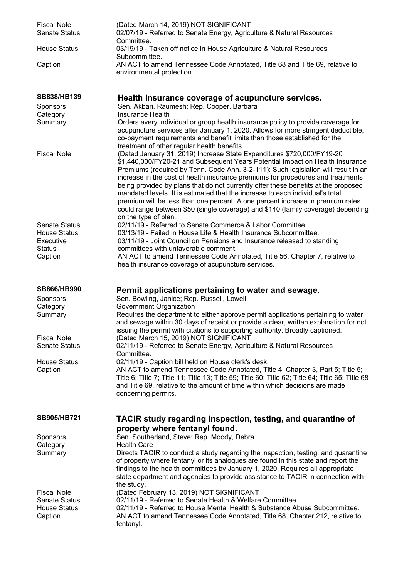| <b>Fiscal Note</b><br><b>Senate Status</b>                                   | (Dated March 14, 2019) NOT SIGNIFICANT<br>02/07/19 - Referred to Senate Energy, Agriculture & Natural Resources<br>Committee.                                                                                                                                                                                                                                                                                                                                                                                                                                                                                                                                                                         |
|------------------------------------------------------------------------------|-------------------------------------------------------------------------------------------------------------------------------------------------------------------------------------------------------------------------------------------------------------------------------------------------------------------------------------------------------------------------------------------------------------------------------------------------------------------------------------------------------------------------------------------------------------------------------------------------------------------------------------------------------------------------------------------------------|
| <b>House Status</b>                                                          | 03/19/19 - Taken off notice in House Agriculture & Natural Resources<br>Subcommittee.                                                                                                                                                                                                                                                                                                                                                                                                                                                                                                                                                                                                                 |
| Caption                                                                      | AN ACT to amend Tennessee Code Annotated, Title 68 and Title 69, relative to<br>environmental protection.                                                                                                                                                                                                                                                                                                                                                                                                                                                                                                                                                                                             |
| SB838/HB139                                                                  | Health insurance coverage of acupuncture services.                                                                                                                                                                                                                                                                                                                                                                                                                                                                                                                                                                                                                                                    |
| <b>Sponsors</b><br>Category                                                  | Sen. Akbari, Raumesh; Rep. Cooper, Barbara<br>Insurance Health                                                                                                                                                                                                                                                                                                                                                                                                                                                                                                                                                                                                                                        |
| Summary                                                                      | Orders every individual or group health insurance policy to provide coverage for<br>acupuncture services after January 1, 2020. Allows for more stringent deductible,<br>co-payment requirements and benefit limits than those established for the<br>treatment of other regular health benefits.                                                                                                                                                                                                                                                                                                                                                                                                     |
| <b>Fiscal Note</b>                                                           | (Dated January 31, 2019) Increase State Expenditures \$720,000/FY19-20<br>\$1,440,000/FY20-21 and Subsequent Years Potential Impact on Health Insurance<br>Premiums (required by Tenn. Code Ann. 3-2-111): Such legislation will result in an<br>increase in the cost of health insurance premiums for procedures and treatments<br>being provided by plans that do not currently offer these benefits at the proposed<br>mandated levels. It is estimated that the increase to each individual's total<br>premium will be less than one percent. A one percent increase in premium rates<br>could range between \$50 (single coverage) and \$140 (family coverage) depending<br>on the type of plan. |
| <b>Senate Status</b>                                                         | 02/11/19 - Referred to Senate Commerce & Labor Committee.                                                                                                                                                                                                                                                                                                                                                                                                                                                                                                                                                                                                                                             |
| <b>House Status</b><br>Executive                                             | 03/13/19 - Failed in House Life & Health Insurance Subcommittee.<br>03/11/19 - Joint Council on Pensions and Insurance released to standing                                                                                                                                                                                                                                                                                                                                                                                                                                                                                                                                                           |
| <b>Status</b>                                                                | committees with unfavorable comment.                                                                                                                                                                                                                                                                                                                                                                                                                                                                                                                                                                                                                                                                  |
| Caption                                                                      | AN ACT to amend Tennessee Code Annotated, Title 56, Chapter 7, relative to<br>health insurance coverage of acupuncture services.                                                                                                                                                                                                                                                                                                                                                                                                                                                                                                                                                                      |
| SB866/HB990                                                                  | Permit applications pertaining to water and sewage.                                                                                                                                                                                                                                                                                                                                                                                                                                                                                                                                                                                                                                                   |
| Sponsors<br>Category                                                         | Sen. Bowling, Janice; Rep. Russell, Lowell<br>Government Organization                                                                                                                                                                                                                                                                                                                                                                                                                                                                                                                                                                                                                                 |
| Summary                                                                      | Requires the department to either approve permit applications pertaining to water                                                                                                                                                                                                                                                                                                                                                                                                                                                                                                                                                                                                                     |
|                                                                              | and sewage within 30 days of receipt or provide a clear, written explanation for not<br>issuing the permit with citations to supporting authority. Broadly captioned.                                                                                                                                                                                                                                                                                                                                                                                                                                                                                                                                 |
| <b>Fiscal Note</b><br><b>Senate Status</b>                                   | (Dated March 15, 2019) NOT SIGNIFICANT<br>02/11/19 - Referred to Senate Energy, Agriculture & Natural Resources<br>Committee.                                                                                                                                                                                                                                                                                                                                                                                                                                                                                                                                                                         |
| <b>House Status</b><br>Caption                                               | 02/11/19 - Caption bill held on House clerk's desk.<br>AN ACT to amend Tennessee Code Annotated, Title 4, Chapter 3, Part 5; Title 5;<br>Title 6; Title 7; Title 11; Title 13; Title 59; Title 60; Title 62; Title 64; Title 65; Title 68<br>and Title 69, relative to the amount of time within which decisions are made<br>concerning permits.                                                                                                                                                                                                                                                                                                                                                      |
| <b>SB905/HB721</b>                                                           | TACIR study regarding inspection, testing, and quarantine of<br>property where fentanyl found.                                                                                                                                                                                                                                                                                                                                                                                                                                                                                                                                                                                                        |
| Sponsors                                                                     | Sen. Southerland, Steve; Rep. Moody, Debra                                                                                                                                                                                                                                                                                                                                                                                                                                                                                                                                                                                                                                                            |
| Category<br>Summary                                                          | <b>Health Care</b><br>Directs TACIR to conduct a study regarding the inspection, testing, and quarantine<br>of property where fentanyl or its analogues are found in this state and report the<br>findings to the health committees by January 1, 2020. Requires all appropriate<br>state department and agencies to provide assistance to TACIR in connection with<br>the study.                                                                                                                                                                                                                                                                                                                     |
| <b>Fiscal Note</b><br><b>Senate Status</b><br><b>House Status</b><br>Caption | (Dated February 13, 2019) NOT SIGNIFICANT<br>02/11/19 - Referred to Senate Health & Welfare Committee.<br>02/11/19 - Referred to House Mental Health & Substance Abuse Subcommittee.<br>AN ACT to amend Tennessee Code Annotated, Title 68, Chapter 212, relative to<br>fentanyl.                                                                                                                                                                                                                                                                                                                                                                                                                     |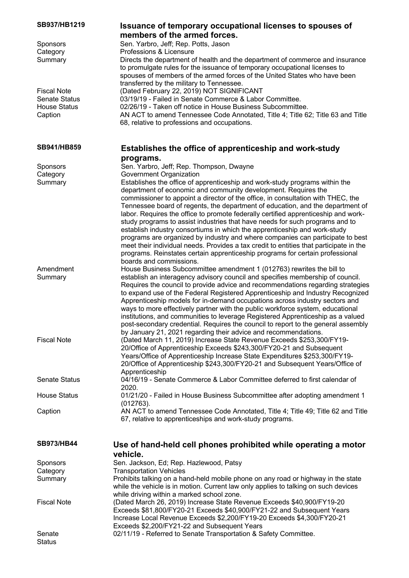| SB937/HB1219<br>Sponsors                    | <b>Issuance of temporary occupational licenses to spouses of</b><br>members of the armed forces.<br>Sen. Yarbro, Jeff; Rep. Potts, Jason                                                                                                                                                                                                                                                                                                                                                                                                                                                                                                                        |
|---------------------------------------------|-----------------------------------------------------------------------------------------------------------------------------------------------------------------------------------------------------------------------------------------------------------------------------------------------------------------------------------------------------------------------------------------------------------------------------------------------------------------------------------------------------------------------------------------------------------------------------------------------------------------------------------------------------------------|
| Category<br>Summary                         | Professions & Licensure<br>Directs the department of health and the department of commerce and insurance<br>to promulgate rules for the issuance of temporary occupational licenses to<br>spouses of members of the armed forces of the United States who have been<br>transferred by the military to Tennessee.                                                                                                                                                                                                                                                                                                                                                |
| <b>Fiscal Note</b>                          | (Dated February 22, 2019) NOT SIGNIFICANT                                                                                                                                                                                                                                                                                                                                                                                                                                                                                                                                                                                                                       |
| <b>Senate Status</b><br><b>House Status</b> | 03/19/19 - Failed in Senate Commerce & Labor Committee.<br>02/26/19 - Taken off notice in House Business Subcommittee.                                                                                                                                                                                                                                                                                                                                                                                                                                                                                                                                          |
| Caption                                     | AN ACT to amend Tennessee Code Annotated, Title 4; Title 62; Title 63 and Title<br>68, relative to professions and occupations.                                                                                                                                                                                                                                                                                                                                                                                                                                                                                                                                 |
| SB941/HB859                                 | Establishes the office of apprenticeship and work-study                                                                                                                                                                                                                                                                                                                                                                                                                                                                                                                                                                                                         |
|                                             | programs.                                                                                                                                                                                                                                                                                                                                                                                                                                                                                                                                                                                                                                                       |
| Sponsors<br>Category                        | Sen. Yarbro, Jeff; Rep. Thompson, Dwayne<br>Government Organization                                                                                                                                                                                                                                                                                                                                                                                                                                                                                                                                                                                             |
| Summary                                     | Establishes the office of apprenticeship and work-study programs within the<br>department of economic and community development. Requires the<br>commissioner to appoint a director of the office, in consultation with THEC, the<br>Tennessee board of regents, the department of education, and the department of                                                                                                                                                                                                                                                                                                                                             |
|                                             | labor. Requires the office to promote federally certified apprenticeship and work-<br>study programs to assist industries that have needs for such programs and to<br>establish industry consortiums in which the apprenticeship and work-study<br>programs are organized by industry and where companies can participate to best<br>meet their individual needs. Provides a tax credit to entities that participate in the<br>programs. Reinstates certain apprenticeship programs for certain professional<br>boards and commissions.                                                                                                                         |
| Amendment                                   | House Business Subcommittee amendment 1 (012763) rewrites the bill to                                                                                                                                                                                                                                                                                                                                                                                                                                                                                                                                                                                           |
| Summary                                     | establish an interagency advisory council and specifies membership of council.<br>Requires the council to provide advice and recommendations regarding strategies<br>to expand use of the Federal Registered Apprenticeship and Industry Recognized<br>Apprenticeship models for in-demand occupations across industry sectors and<br>ways to more effectively partner with the public workforce system, educational<br>institutions, and communities to leverage Registered Apprenticeship as a valued<br>post-secondary credential. Requires the council to report to the general assembly<br>by January 21, 2021 regarding their advice and recommendations. |
| <b>Fiscal Note</b>                          | (Dated March 11, 2019) Increase State Revenue Exceeds \$253,300/FY19-<br>20/Office of Apprenticeship Exceeds \$243,300/FY20-21 and Subsequent<br>Years/Office of Apprenticeship Increase State Expenditures \$253,300/FY19-<br>20/Office of Apprenticeship \$243,300/FY20-21 and Subsequent Years/Office of<br>Apprenticeship                                                                                                                                                                                                                                                                                                                                   |
| <b>Senate Status</b>                        | 04/16/19 - Senate Commerce & Labor Committee deferred to first calendar of<br>2020.                                                                                                                                                                                                                                                                                                                                                                                                                                                                                                                                                                             |
| <b>House Status</b>                         | 01/21/20 - Failed in House Business Subcommittee after adopting amendment 1<br>(012763).                                                                                                                                                                                                                                                                                                                                                                                                                                                                                                                                                                        |
| Caption                                     | AN ACT to amend Tennessee Code Annotated, Title 4; Title 49; Title 62 and Title<br>67, relative to apprenticeships and work-study programs.                                                                                                                                                                                                                                                                                                                                                                                                                                                                                                                     |
| <b>SB973/HB44</b>                           | Use of hand-held cell phones prohibited while operating a motor<br>vehicle.                                                                                                                                                                                                                                                                                                                                                                                                                                                                                                                                                                                     |
| Sponsors                                    | Sen. Jackson, Ed; Rep. Hazlewood, Patsy                                                                                                                                                                                                                                                                                                                                                                                                                                                                                                                                                                                                                         |
| Category                                    | <b>Transportation Vehicles</b>                                                                                                                                                                                                                                                                                                                                                                                                                                                                                                                                                                                                                                  |
| Summary                                     | Prohibits talking on a hand-held mobile phone on any road or highway in the state<br>while the vehicle is in motion. Current law only applies to talking on such devices                                                                                                                                                                                                                                                                                                                                                                                                                                                                                        |
| <b>Fiscal Note</b>                          | while driving within a marked school zone.<br>(Dated March 26, 2019) Increase State Revenue Exceeds \$40,900/FY19-20<br>Exceeds \$81,800/FY20-21 Exceeds \$40,900/FY21-22 and Subsequent Years<br>Increase Local Revenue Exceeds \$2,200/FY19-20 Exceeds \$4,300/FY20-21<br>Exceeds \$2,200/FY21-22 and Subsequent Years                                                                                                                                                                                                                                                                                                                                        |
| Senate<br><b>Status</b>                     | 02/11/19 - Referred to Senate Transportation & Safety Committee.                                                                                                                                                                                                                                                                                                                                                                                                                                                                                                                                                                                                |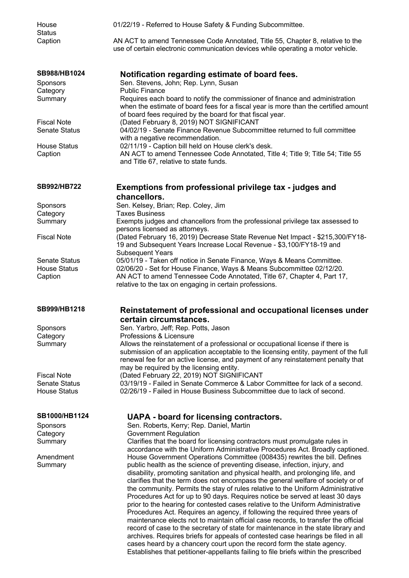| House<br><b>Status</b>                     | 01/22/19 - Referred to House Safety & Funding Subcommittee.                                                                                                                      |
|--------------------------------------------|----------------------------------------------------------------------------------------------------------------------------------------------------------------------------------|
| Caption                                    | AN ACT to amend Tennessee Code Annotated, Title 55, Chapter 8, relative to the<br>use of certain electronic communication devices while operating a motor vehicle.               |
| SB988/HB1024                               | Notification regarding estimate of board fees.                                                                                                                                   |
| <b>Sponsors</b>                            | Sen. Stevens, John; Rep. Lynn, Susan                                                                                                                                             |
| Category                                   | <b>Public Finance</b>                                                                                                                                                            |
| Summary                                    | Requires each board to notify the commissioner of finance and administration<br>when the estimate of board fees for a fiscal year is more than the certified amount              |
| <b>Fiscal Note</b>                         | of board fees required by the board for that fiscal year.<br>(Dated February 8, 2019) NOT SIGNIFICANT                                                                            |
| <b>Senate Status</b>                       | 04/02/19 - Senate Finance Revenue Subcommittee returned to full committee                                                                                                        |
|                                            | with a negative recommendation.                                                                                                                                                  |
| <b>House Status</b>                        | 02/11/19 - Caption bill held on House clerk's desk.                                                                                                                              |
| Caption                                    | AN ACT to amend Tennessee Code Annotated, Title 4; Title 9; Title 54; Title 55<br>and Title 67, relative to state funds.                                                         |
| SB992/HB722                                | Exemptions from professional privilege tax - judges and<br>chancellors.                                                                                                          |
| Sponsors                                   | Sen. Kelsey, Brian; Rep. Coley, Jim                                                                                                                                              |
| Category                                   | <b>Taxes Business</b>                                                                                                                                                            |
| Summary                                    | Exempts judges and chancellors from the professional privilege tax assessed to<br>persons licensed as attorneys.                                                                 |
| <b>Fiscal Note</b>                         | (Dated February 16, 2019) Decrease State Revenue Net Impact - \$215,300/FY18-<br>19 and Subsequent Years Increase Local Revenue - \$3,100/FY18-19 and<br><b>Subsequent Years</b> |
| <b>Senate Status</b>                       | 05/01/19 - Taken off notice in Senate Finance, Ways & Means Committee.                                                                                                           |
| <b>House Status</b>                        | 02/06/20 - Set for House Finance, Ways & Means Subcommittee 02/12/20.                                                                                                            |
| Caption                                    | AN ACT to amend Tennessee Code Annotated, Title 67, Chapter 4, Part 17,<br>relative to the tax on engaging in certain professions.                                               |
| SB999/HB1218                               | Reinstatement of professional and occupational licenses under<br>certain circumstances.                                                                                          |
| Sponsors                                   | Sen. Yarbro, Jeff; Rep. Potts, Jason                                                                                                                                             |
| Category                                   | Professions & Licensure                                                                                                                                                          |
| Summary                                    | Allows the reinstatement of a professional or occupational license if there is<br>submission of an application acceptable to the licensing entity, payment of the full           |
|                                            | renewal fee for an active license, and payment of any reinstatement penalty that                                                                                                 |
|                                            | may be required by the licensing entity.                                                                                                                                         |
| <b>Fiscal Note</b><br><b>Senate Status</b> | (Dated February 22, 2019) NOT SIGNIFICANT<br>03/19/19 - Failed in Senate Commerce & Labor Committee for lack of a second.                                                        |
| <b>House Status</b>                        | 02/26/19 - Failed in House Business Subcommittee due to lack of second.                                                                                                          |
| SB1000/HB1124                              | UAPA - board for licensing contractors.                                                                                                                                          |
| <b>Sponsors</b>                            | Sen. Roberts, Kerry; Rep. Daniel, Martin                                                                                                                                         |
| Category                                   | <b>Government Regulation</b>                                                                                                                                                     |
| Summary                                    | Clarifies that the board for licensing contractors must promulgate rules in                                                                                                      |
|                                            | accordance with the Uniform Administrative Procedures Act. Broadly captioned.                                                                                                    |
| Amendment                                  | House Government Operations Committee (008435) rewrites the bill. Defines                                                                                                        |
| Summary                                    | public health as the science of preventing disease, infection, injury, and                                                                                                       |
|                                            | disability, promoting sanitation and physical health, and prolonging life, and<br>clarifies that the term does not encompass the general welfare of society or of                |
|                                            | the community. Permits the stay of rules relative to the Uniform Administrative                                                                                                  |
|                                            | Procedures Act for up to 90 days. Requires notice be served at least 30 days                                                                                                     |
|                                            | prior to the hearing for contested cases relative to the Uniform Administrative                                                                                                  |
|                                            | Procedures Act. Requires an agency, if following the required three years of                                                                                                     |
|                                            | maintenance elects not to maintain official case records, to transfer the official                                                                                               |
|                                            | record of case to the secretary of state for maintenance in the state library and<br>archives. Requires briefs for appeals of contested case hearings be filed in all            |
|                                            | cases heard by a chancery court upon the record form the state agency.                                                                                                           |
|                                            | Establishes that petitioner-appellants failing to file briefs within the prescribed                                                                                              |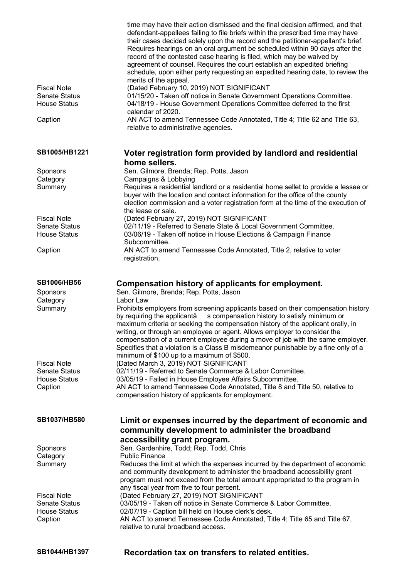|                                            | time may have their action dismissed and the final decision affirmed, and that<br>defendant-appellees failing to file briefs within the prescribed time may have<br>their cases decided solely upon the record and the petitioner-appellant's brief.<br>Requires hearings on an oral argument be scheduled within 90 days after the<br>record of the contested case hearing is filed, which may be waived by<br>agreement of counsel. Requires the court establish an expedited briefing<br>schedule, upon either party requesting an expedited hearing date, to review the<br>merits of the appeal. |
|--------------------------------------------|------------------------------------------------------------------------------------------------------------------------------------------------------------------------------------------------------------------------------------------------------------------------------------------------------------------------------------------------------------------------------------------------------------------------------------------------------------------------------------------------------------------------------------------------------------------------------------------------------|
| <b>Fiscal Note</b>                         | (Dated February 10, 2019) NOT SIGNIFICANT                                                                                                                                                                                                                                                                                                                                                                                                                                                                                                                                                            |
| <b>Senate Status</b>                       | 01/15/20 - Taken off notice in Senate Government Operations Committee.                                                                                                                                                                                                                                                                                                                                                                                                                                                                                                                               |
| <b>House Status</b>                        | 04/18/19 - House Government Operations Committee deferred to the first                                                                                                                                                                                                                                                                                                                                                                                                                                                                                                                               |
|                                            | calendar of 2020.                                                                                                                                                                                                                                                                                                                                                                                                                                                                                                                                                                                    |
| Caption                                    | AN ACT to amend Tennessee Code Annotated, Title 4; Title 62 and Title 63,<br>relative to administrative agencies.                                                                                                                                                                                                                                                                                                                                                                                                                                                                                    |
| SB1005/HB1221                              | Voter registration form provided by landlord and residential                                                                                                                                                                                                                                                                                                                                                                                                                                                                                                                                         |
|                                            | home sellers.                                                                                                                                                                                                                                                                                                                                                                                                                                                                                                                                                                                        |
| Sponsors                                   | Sen. Gilmore, Brenda; Rep. Potts, Jason                                                                                                                                                                                                                                                                                                                                                                                                                                                                                                                                                              |
| Category                                   | Campaigns & Lobbying                                                                                                                                                                                                                                                                                                                                                                                                                                                                                                                                                                                 |
| Summary                                    | Requires a residential landlord or a residential home sellet to provide a lessee or<br>buyer with the location and contact information for the office of the county<br>election commission and a voter registration form at the time of the execution of<br>the lease or sale.                                                                                                                                                                                                                                                                                                                       |
| <b>Fiscal Note</b>                         | (Dated February 27, 2019) NOT SIGNIFICANT                                                                                                                                                                                                                                                                                                                                                                                                                                                                                                                                                            |
| <b>Senate Status</b>                       | 02/11/19 - Referred to Senate State & Local Government Committee.                                                                                                                                                                                                                                                                                                                                                                                                                                                                                                                                    |
| <b>House Status</b>                        | 03/06/19 - Taken off notice in House Elections & Campaign Finance                                                                                                                                                                                                                                                                                                                                                                                                                                                                                                                                    |
|                                            | Subcommittee.                                                                                                                                                                                                                                                                                                                                                                                                                                                                                                                                                                                        |
| Caption                                    | AN ACT to amend Tennessee Code Annotated, Title 2, relative to voter<br>registration.                                                                                                                                                                                                                                                                                                                                                                                                                                                                                                                |
| <b>SB1006/HB56</b><br>Sponsors             | Compensation history of applicants for employment.<br>Sen. Gilmore, Brenda; Rep. Potts, Jason                                                                                                                                                                                                                                                                                                                                                                                                                                                                                                        |
| Category<br>Summary                        | Labor Law<br>Prohibits employers from screening applicants based on their compensation history<br>by requiring the applicantâ<br>s compensation history to satisfy minimum or<br>maximum criteria or seeking the compensation history of the applicant orally, in<br>writing, or through an employee or agent. Allows employer to consider the<br>compensation of a current employee during a move of job with the same employer.<br>Specifies that a violation is a Class B misdemeanor punishable by a fine only of a                                                                              |
|                                            | minimum of \$100 up to a maximum of \$500.                                                                                                                                                                                                                                                                                                                                                                                                                                                                                                                                                           |
| <b>Fiscal Note</b><br><b>Senate Status</b> | (Dated March 3, 2019) NOT SIGNIFICANT<br>02/11/19 - Referred to Senate Commerce & Labor Committee.                                                                                                                                                                                                                                                                                                                                                                                                                                                                                                   |
| <b>House Status</b>                        | 03/05/19 - Failed in House Employee Affairs Subcommittee.                                                                                                                                                                                                                                                                                                                                                                                                                                                                                                                                            |
| Caption                                    | AN ACT to amend Tennessee Code Annotated, Title 8 and Title 50, relative to<br>compensation history of applicants for employment.                                                                                                                                                                                                                                                                                                                                                                                                                                                                    |
| <b>SB1037/HB580</b>                        | Limit or expenses incurred by the department of economic and                                                                                                                                                                                                                                                                                                                                                                                                                                                                                                                                         |
|                                            | community development to administer the broadband                                                                                                                                                                                                                                                                                                                                                                                                                                                                                                                                                    |
|                                            | accessibility grant program.                                                                                                                                                                                                                                                                                                                                                                                                                                                                                                                                                                         |
| Sponsors<br>Category                       | Sen. Gardenhire, Todd; Rep. Todd, Chris<br><b>Public Finance</b>                                                                                                                                                                                                                                                                                                                                                                                                                                                                                                                                     |
| Summary                                    | Reduces the limit at which the expenses incurred by the department of economic                                                                                                                                                                                                                                                                                                                                                                                                                                                                                                                       |
|                                            | and community development to administer the broadband accessibility grant<br>program must not exceed from the total amount appropriated to the program in<br>any fiscal year from five to four percent.                                                                                                                                                                                                                                                                                                                                                                                              |
| <b>Fiscal Note</b>                         | (Dated February 27, 2019) NOT SIGNIFICANT                                                                                                                                                                                                                                                                                                                                                                                                                                                                                                                                                            |
| <b>Senate Status</b>                       | 03/05/19 - Taken off notice in Senate Commerce & Labor Committee.                                                                                                                                                                                                                                                                                                                                                                                                                                                                                                                                    |
| <b>House Status</b><br>Caption             | 02/07/19 - Caption bill held on House clerk's desk.<br>AN ACT to amend Tennessee Code Annotated, Title 4; Title 65 and Title 67,<br>relative to rural broadband access.                                                                                                                                                                                                                                                                                                                                                                                                                              |
| SB1044/HB1397                              | Recordation tax on transfers to related entities.                                                                                                                                                                                                                                                                                                                                                                                                                                                                                                                                                    |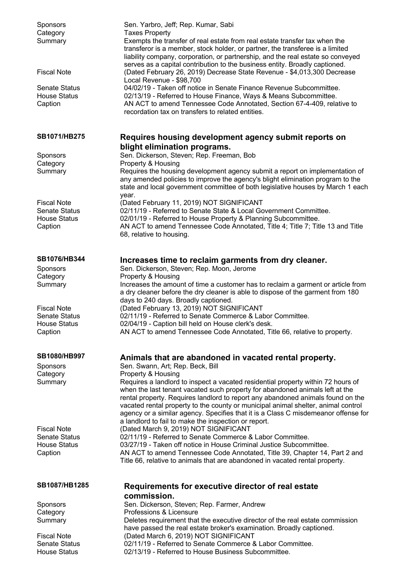| Sponsors<br>Category                        | Sen. Yarbro, Jeff; Rep. Kumar, Sabi<br><b>Taxes Property</b>                                                                                                                                                                                                                                                                                                                                                                   |
|---------------------------------------------|--------------------------------------------------------------------------------------------------------------------------------------------------------------------------------------------------------------------------------------------------------------------------------------------------------------------------------------------------------------------------------------------------------------------------------|
| Summary                                     | Exempts the transfer of real estate from real estate transfer tax when the<br>transferor is a member, stock holder, or partner, the transferee is a limited<br>liability company, corporation, or partnership, and the real estate so conveyed<br>serves as a capital contribution to the business entity. Broadly captioned.                                                                                                  |
| <b>Fiscal Note</b>                          | (Dated February 26, 2019) Decrease State Revenue - \$4,013,300 Decrease<br>Local Revenue - \$98,700                                                                                                                                                                                                                                                                                                                            |
| Senate Status                               | 04/02/19 - Taken off notice in Senate Finance Revenue Subcommittee.                                                                                                                                                                                                                                                                                                                                                            |
| <b>House Status</b><br>Caption              | 02/13/19 - Referred to House Finance, Ways & Means Subcommittee.<br>AN ACT to amend Tennessee Code Annotated, Section 67-4-409, relative to<br>recordation tax on transfers to related entities.                                                                                                                                                                                                                               |
| <b>SB1071/HB275</b>                         | Requires housing development agency submit reports on                                                                                                                                                                                                                                                                                                                                                                          |
| Sponsors                                    | blight elimination programs.<br>Sen. Dickerson, Steven; Rep. Freeman, Bob                                                                                                                                                                                                                                                                                                                                                      |
| Category                                    | Property & Housing                                                                                                                                                                                                                                                                                                                                                                                                             |
| Summary                                     | Requires the housing development agency submit a report on implementation of<br>any amended policies to improve the agency's blight elimination program to the<br>state and local government committee of both legislative houses by March 1 each<br>year.                                                                                                                                                                     |
| <b>Fiscal Note</b>                          | (Dated February 11, 2019) NOT SIGNIFICANT                                                                                                                                                                                                                                                                                                                                                                                      |
| <b>Senate Status</b><br><b>House Status</b> | 02/11/19 - Referred to Senate State & Local Government Committee.<br>02/01/19 - Referred to House Property & Planning Subcommittee.                                                                                                                                                                                                                                                                                            |
| Caption                                     | AN ACT to amend Tennessee Code Annotated, Title 4; Title 7; Title 13 and Title<br>68, relative to housing.                                                                                                                                                                                                                                                                                                                     |
| SB1076/HB344                                | Increases time to reclaim garments from dry cleaner.                                                                                                                                                                                                                                                                                                                                                                           |
| Sponsors<br>Category                        | Sen. Dickerson, Steven; Rep. Moon, Jerome<br>Property & Housing                                                                                                                                                                                                                                                                                                                                                                |
| Summary                                     | Increases the amount of time a customer has to reclaim a garment or article from                                                                                                                                                                                                                                                                                                                                               |
|                                             | a dry cleaner before the dry cleaner is able to dispose of the garment from 180                                                                                                                                                                                                                                                                                                                                                |
| <b>Fiscal Note</b>                          | days to 240 days. Broadly captioned.<br>(Dated February 13, 2019) NOT SIGNIFICANT                                                                                                                                                                                                                                                                                                                                              |
| <b>Senate Status</b>                        | 02/11/19 - Referred to Senate Commerce & Labor Committee.                                                                                                                                                                                                                                                                                                                                                                      |
| <b>House Status</b><br>Caption              | 02/04/19 - Caption bill held on House clerk's desk.<br>AN ACT to amend Tennessee Code Annotated, Title 66, relative to property.                                                                                                                                                                                                                                                                                               |
| <b>SB1080/HB997</b>                         | Animals that are abandoned in vacated rental property.                                                                                                                                                                                                                                                                                                                                                                         |
| <b>Sponsors</b><br>Category                 | Sen. Swann, Art; Rep. Beck, Bill<br>Property & Housing                                                                                                                                                                                                                                                                                                                                                                         |
| Summary                                     | Requires a landlord to inspect a vacated residential property within 72 hours of<br>when the last tenant vacated such property for abandoned animals left at the<br>rental property. Requires landlord to report any abandoned animals found on the<br>vacated rental property to the county or municipal animal shelter, animal control<br>agency or a similar agency. Specifies that it is a Class C misdemeanor offense for |
| <b>Fiscal Note</b>                          | a landlord to fail to make the inspection or report.<br>(Dated March 9, 2019) NOT SIGNIFICANT                                                                                                                                                                                                                                                                                                                                  |
| <b>Senate Status</b>                        | 02/11/19 - Referred to Senate Commerce & Labor Committee.                                                                                                                                                                                                                                                                                                                                                                      |
| <b>House Status</b><br>Caption              | 03/27/19 - Taken off notice in House Criminal Justice Subcommittee.<br>AN ACT to amend Tennessee Code Annotated, Title 39, Chapter 14, Part 2 and                                                                                                                                                                                                                                                                              |
|                                             | Title 66, relative to animals that are abandoned in vacated rental property.                                                                                                                                                                                                                                                                                                                                                   |
| SB1087/HB1285                               | Requirements for executive director of real estate<br>commission.                                                                                                                                                                                                                                                                                                                                                              |
| Sponsors                                    | Sen. Dickerson, Steven; Rep. Farmer, Andrew                                                                                                                                                                                                                                                                                                                                                                                    |
| Category<br>Summary                         | Professions & Licensure<br>Deletes requirement that the executive director of the real estate commission                                                                                                                                                                                                                                                                                                                       |
|                                             | have passed the real estate broker's examination. Broadly captioned.                                                                                                                                                                                                                                                                                                                                                           |
| <b>Fiscal Note</b><br><b>Senate Status</b>  | (Dated March 6, 2019) NOT SIGNIFICANT<br>02/11/19 - Referred to Senate Commerce & Labor Committee.                                                                                                                                                                                                                                                                                                                             |
| <b>House Status</b>                         | 02/13/19 - Referred to House Business Subcommittee.                                                                                                                                                                                                                                                                                                                                                                            |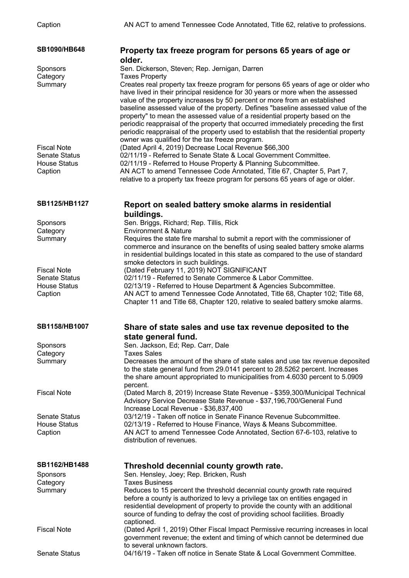| SB1090/HB648                               | Property tax freeze program for persons 65 years of age or<br>older.                                                                                         |
|--------------------------------------------|--------------------------------------------------------------------------------------------------------------------------------------------------------------|
| Sponsors                                   | Sen. Dickerson, Steven; Rep. Jernigan, Darren                                                                                                                |
| Category                                   | <b>Taxes Property</b>                                                                                                                                        |
| Summary                                    | Creates real property tax freeze program for persons 65 years of age or older who                                                                            |
|                                            | have lived in their principal residence for 30 years or more when the assessed                                                                               |
|                                            | value of the property increases by 50 percent or more from an established                                                                                    |
|                                            | baseline assessed value of the property. Defines "baseline assessed value of the                                                                             |
|                                            | property" to mean the assessed value of a residential property based on the                                                                                  |
|                                            | periodic reappraisal of the property that occurred immediately preceding the first                                                                           |
|                                            | periodic reappraisal of the property used to establish that the residential property                                                                         |
|                                            | owner was qualified for the tax freeze program.                                                                                                              |
| <b>Fiscal Note</b><br><b>Senate Status</b> | (Dated April 4, 2019) Decrease Local Revenue \$66,300<br>02/11/19 - Referred to Senate State & Local Government Committee.                                   |
| <b>House Status</b>                        | 02/11/19 - Referred to House Property & Planning Subcommittee.                                                                                               |
| Caption                                    | AN ACT to amend Tennessee Code Annotated, Title 67, Chapter 5, Part 7,                                                                                       |
|                                            | relative to a property tax freeze program for persons 65 years of age or older.                                                                              |
| SB1125/HB1127                              | Report on sealed battery smoke alarms in residential                                                                                                         |
|                                            | buildings.                                                                                                                                                   |
| Sponsors                                   | Sen. Briggs, Richard; Rep. Tillis, Rick                                                                                                                      |
| Category                                   | <b>Environment &amp; Nature</b>                                                                                                                              |
| Summary                                    | Requires the state fire marshal to submit a report with the commissioner of                                                                                  |
|                                            | commerce and insurance on the benefits of using sealed battery smoke alarms                                                                                  |
|                                            | in residential buildings located in this state as compared to the use of standard                                                                            |
|                                            | smoke detectors in such buildings.                                                                                                                           |
| <b>Fiscal Note</b><br><b>Senate Status</b> | (Dated February 11, 2019) NOT SIGNIFICANT<br>02/11/19 - Referred to Senate Commerce & Labor Committee.                                                       |
| <b>House Status</b>                        | 02/13/19 - Referred to House Department & Agencies Subcommittee.                                                                                             |
| Caption                                    | AN ACT to amend Tennessee Code Annotated, Title 68, Chapter 102; Title 68,                                                                                   |
|                                            | Chapter 11 and Title 68, Chapter 120, relative to sealed battery smoke alarms.                                                                               |
| <b>SB1158/HB1007</b>                       | Share of state sales and use tax revenue deposited to the                                                                                                    |
|                                            | state general fund.                                                                                                                                          |
| Sponsors                                   | Sen. Jackson, Ed; Rep. Carr, Dale                                                                                                                            |
| Category                                   | <b>Taxes Sales</b>                                                                                                                                           |
| Summary                                    | Decreases the amount of the share of state sales and use tax revenue deposited                                                                               |
|                                            | to the state general fund from 29.0141 percent to 28.5262 percent. Increases                                                                                 |
|                                            | the share amount appropriated to municipalities from 4.6030 percent to 5.0909                                                                                |
| <b>Fiscal Note</b>                         | percent.<br>(Dated March 8, 2019) Increase State Revenue - \$359,300/Municipal Technical                                                                     |
|                                            | Advisory Service Decrease State Revenue - \$37,196,700/General Fund                                                                                          |
|                                            | Increase Local Revenue - \$36,837,400                                                                                                                        |
| <b>Senate Status</b>                       | 03/12/19 - Taken off notice in Senate Finance Revenue Subcommittee.                                                                                          |
| <b>House Status</b>                        | 02/13/19 - Referred to House Finance, Ways & Means Subcommittee.                                                                                             |
| Caption                                    | AN ACT to amend Tennessee Code Annotated, Section 67-6-103, relative to                                                                                      |
|                                            | distribution of revenues.                                                                                                                                    |
| SB1162/HB1488                              | Threshold decennial county growth rate.                                                                                                                      |
| <b>Sponsors</b>                            | Sen. Hensley, Joey; Rep. Bricken, Rush                                                                                                                       |
| Category                                   | <b>Taxes Business</b>                                                                                                                                        |
| Summary                                    | Reduces to 15 percent the threshold decennial county growth rate required                                                                                    |
|                                            | before a county is authorized to levy a privilege tax on entities engaged in<br>residential development of property to provide the county with an additional |
|                                            | source of funding to defray the cost of providing school facilities. Broadly                                                                                 |
|                                            | captioned.                                                                                                                                                   |
| <b>Fiscal Note</b>                         | (Dated April 1, 2019) Other Fiscal Impact Permissive recurring increases in local                                                                            |
|                                            | government revenue; the extent and timing of which cannot be determined due                                                                                  |
|                                            | to several unknown factors.                                                                                                                                  |
| <b>Senate Status</b>                       | 04/16/19 - Taken off notice in Senate State & Local Government Committee.                                                                                    |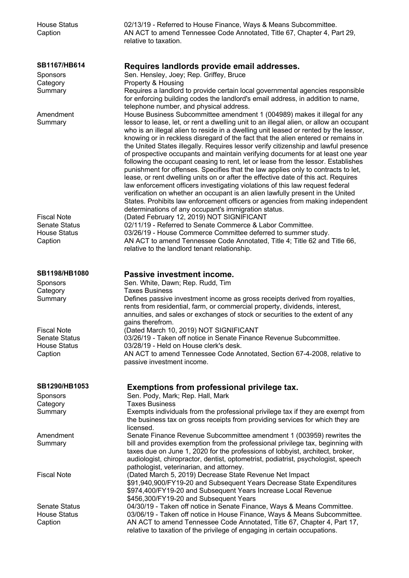| <b>House Status</b><br>Caption | 02/13/19 - Referred to House Finance, Ways & Means Subcommittee.<br>AN ACT to amend Tennessee Code Annotated, Title 67, Chapter 4, Part 29,<br>relative to taxation.                                                                                                                                                                                                                                                                                                                                                                                                                                                                                                                                                                                                                        |
|--------------------------------|---------------------------------------------------------------------------------------------------------------------------------------------------------------------------------------------------------------------------------------------------------------------------------------------------------------------------------------------------------------------------------------------------------------------------------------------------------------------------------------------------------------------------------------------------------------------------------------------------------------------------------------------------------------------------------------------------------------------------------------------------------------------------------------------|
| SB1167/HB614                   | Requires landlords provide email addresses.                                                                                                                                                                                                                                                                                                                                                                                                                                                                                                                                                                                                                                                                                                                                                 |
| <b>Sponsors</b>                | Sen. Hensley, Joey; Rep. Griffey, Bruce                                                                                                                                                                                                                                                                                                                                                                                                                                                                                                                                                                                                                                                                                                                                                     |
| Category                       | Property & Housing                                                                                                                                                                                                                                                                                                                                                                                                                                                                                                                                                                                                                                                                                                                                                                          |
| Summary                        | Requires a landlord to provide certain local governmental agencies responsible<br>for enforcing building codes the landlord's email address, in addition to name,<br>telephone number, and physical address.                                                                                                                                                                                                                                                                                                                                                                                                                                                                                                                                                                                |
| Amendment<br>Summary           | House Business Subcommittee amendment 1 (004989) makes it illegal for any<br>lessor to lease, let, or rent a dwelling unit to an illegal alien, or allow an occupant<br>who is an illegal alien to reside in a dwelling unit leased or rented by the lessor,<br>knowing or in reckless disregard of the fact that the alien entered or remains in<br>the United States illegally. Requires lessor verify citizenship and lawful presence<br>of prospective occupants and maintain verifying documents for at least one year<br>following the occupant ceasing to rent, let or lease from the lessor. Establishes<br>punishment for offenses. Specifies that the law applies only to contracts to let,<br>lease, or rent dwelling units on or after the effective date of this act. Requires |
| <b>Fiscal Note</b>             | law enforcement officers investigating violations of this law request federal<br>verification on whether an occupant is an alien lawfully present in the United<br>States. Prohibits law enforcement officers or agencies from making independent<br>determinations of any occupant's immigration status.<br>(Dated February 12, 2019) NOT SIGNIFICANT                                                                                                                                                                                                                                                                                                                                                                                                                                      |
| <b>Senate Status</b>           | 02/11/19 - Referred to Senate Commerce & Labor Committee.                                                                                                                                                                                                                                                                                                                                                                                                                                                                                                                                                                                                                                                                                                                                   |
| <b>House Status</b>            | 03/26/19 - House Commerce Committee deferred to summer study.                                                                                                                                                                                                                                                                                                                                                                                                                                                                                                                                                                                                                                                                                                                               |
| Caption                        | AN ACT to amend Tennessee Code Annotated, Title 4; Title 62 and Title 66,<br>relative to the landlord tenant relationship.                                                                                                                                                                                                                                                                                                                                                                                                                                                                                                                                                                                                                                                                  |
| <b>SB1198/HB1080</b>           | Passive investment income.                                                                                                                                                                                                                                                                                                                                                                                                                                                                                                                                                                                                                                                                                                                                                                  |
| Sponsors                       | Sen. White, Dawn; Rep. Rudd, Tim                                                                                                                                                                                                                                                                                                                                                                                                                                                                                                                                                                                                                                                                                                                                                            |
| Category                       | <b>Taxes Business</b>                                                                                                                                                                                                                                                                                                                                                                                                                                                                                                                                                                                                                                                                                                                                                                       |
| Summary                        | Defines passive investment income as gross receipts derived from royalties,<br>rents from residential, farm, or commercial property, dividends, interest,<br>annuities, and sales or exchanges of stock or securities to the extent of any<br>gains therefrom.                                                                                                                                                                                                                                                                                                                                                                                                                                                                                                                              |
| <b>Fiscal Note</b>             | (Dated March 10, 2019) NOT SIGNIFICANT                                                                                                                                                                                                                                                                                                                                                                                                                                                                                                                                                                                                                                                                                                                                                      |
| <b>Senate Status</b>           | 03/26/19 - Taken off notice in Senate Finance Revenue Subcommittee.                                                                                                                                                                                                                                                                                                                                                                                                                                                                                                                                                                                                                                                                                                                         |
| <b>House Status</b>            | 03/28/19 - Held on House clerk's desk.                                                                                                                                                                                                                                                                                                                                                                                                                                                                                                                                                                                                                                                                                                                                                      |
| Caption                        | AN ACT to amend Tennessee Code Annotated, Section 67-4-2008, relative to<br>passive investment income.                                                                                                                                                                                                                                                                                                                                                                                                                                                                                                                                                                                                                                                                                      |
| SB1290/HB1053                  | Exemptions from professional privilege tax.                                                                                                                                                                                                                                                                                                                                                                                                                                                                                                                                                                                                                                                                                                                                                 |
| Sponsors                       | Sen. Pody, Mark; Rep. Hall, Mark                                                                                                                                                                                                                                                                                                                                                                                                                                                                                                                                                                                                                                                                                                                                                            |
| Category                       | <b>Taxes Business</b>                                                                                                                                                                                                                                                                                                                                                                                                                                                                                                                                                                                                                                                                                                                                                                       |
| Summary                        | Exempts individuals from the professional privilege tax if they are exempt from<br>the business tax on gross receipts from providing services for which they are<br>licensed.                                                                                                                                                                                                                                                                                                                                                                                                                                                                                                                                                                                                               |
| Amendment                      | Senate Finance Revenue Subcommittee amendment 1 (003959) rewrites the                                                                                                                                                                                                                                                                                                                                                                                                                                                                                                                                                                                                                                                                                                                       |
| Summary                        | bill and provides exemption from the professional privilege tax, beginning with<br>taxes due on June 1, 2020 for the professions of lobbyist, architect, broker,<br>audiologist, chiropractor, dentist, optometrist, podiatrist, psychologist, speech<br>pathologist, veterinarian, and attorney.                                                                                                                                                                                                                                                                                                                                                                                                                                                                                           |
| <b>Fiscal Note</b>             | (Dated March 5, 2019) Decrease State Revenue Net Impact<br>\$91,940,900/FY19-20 and Subsequent Years Decrease State Expenditures<br>\$974,400/FY19-20 and Subsequent Years Increase Local Revenue<br>\$456,300/FY19-20 and Subsequent Years                                                                                                                                                                                                                                                                                                                                                                                                                                                                                                                                                 |
| <b>Senate Status</b>           | 04/30/19 - Taken off notice in Senate Finance, Ways & Means Committee.                                                                                                                                                                                                                                                                                                                                                                                                                                                                                                                                                                                                                                                                                                                      |
| <b>House Status</b><br>Caption | 03/06/19 - Taken off notice in House Finance, Ways & Means Subcommittee.<br>AN ACT to amend Tennessee Code Annotated, Title 67, Chapter 4, Part 17,<br>relative to taxation of the privilege of engaging in certain occupations.                                                                                                                                                                                                                                                                                                                                                                                                                                                                                                                                                            |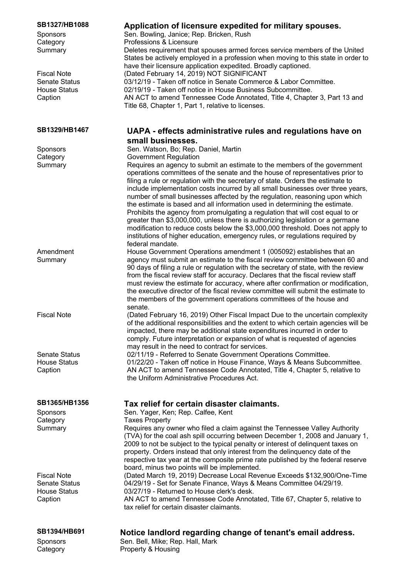| SB1327/HB1088<br>Sponsors<br>Category<br>Summary<br><b>Fiscal Note</b><br><b>Senate Status</b><br><b>House Status</b><br>Caption | Application of licensure expedited for military spouses.<br>Sen. Bowling, Janice; Rep. Bricken, Rush<br>Professions & Licensure<br>Deletes requirement that spouses armed forces service members of the United<br>States be actively employed in a profession when moving to this state in order to<br>have their licensure application expedited. Broadly captioned.<br>(Dated February 14, 2019) NOT SIGNIFICANT<br>03/12/19 - Taken off notice in Senate Commerce & Labor Committee.<br>02/19/19 - Taken off notice in House Business Subcommittee.<br>AN ACT to amend Tennessee Code Annotated, Title 4, Chapter 3, Part 13 and<br>Title 68, Chapter 1, Part 1, relative to licenses.                                                                                                                                              |
|----------------------------------------------------------------------------------------------------------------------------------|----------------------------------------------------------------------------------------------------------------------------------------------------------------------------------------------------------------------------------------------------------------------------------------------------------------------------------------------------------------------------------------------------------------------------------------------------------------------------------------------------------------------------------------------------------------------------------------------------------------------------------------------------------------------------------------------------------------------------------------------------------------------------------------------------------------------------------------|
| SB1329/HB1467                                                                                                                    | UAPA - effects administrative rules and regulations have on                                                                                                                                                                                                                                                                                                                                                                                                                                                                                                                                                                                                                                                                                                                                                                            |
|                                                                                                                                  | small businesses.                                                                                                                                                                                                                                                                                                                                                                                                                                                                                                                                                                                                                                                                                                                                                                                                                      |
| Sponsors                                                                                                                         | Sen. Watson, Bo; Rep. Daniel, Martin<br><b>Government Regulation</b>                                                                                                                                                                                                                                                                                                                                                                                                                                                                                                                                                                                                                                                                                                                                                                   |
| Category<br>Summary                                                                                                              | Requires an agency to submit an estimate to the members of the government<br>operations committees of the senate and the house of representatives prior to<br>filing a rule or regulation with the secretary of state. Orders the estimate to<br>include implementation costs incurred by all small businesses over three years,<br>number of small businesses affected by the regulation, reasoning upon which<br>the estimate is based and all information used in determining the estimate.<br>Prohibits the agency from promulgating a regulation that will cost equal to or<br>greater than \$3,000,000, unless there is authorizing legislation or a germane<br>modification to reduce costs below the \$3,000,000 threshold. Does not apply to<br>institutions of higher education, emergency rules, or regulations required by |
|                                                                                                                                  | federal mandate.                                                                                                                                                                                                                                                                                                                                                                                                                                                                                                                                                                                                                                                                                                                                                                                                                       |
| Amendment<br>Summary                                                                                                             | House Government Operations amendment 1 (005092) establishes that an<br>agency must submit an estimate to the fiscal review committee between 60 and<br>90 days of filing a rule or regulation with the secretary of state, with the review<br>from the fiscal review staff for accuracy. Declares that the fiscal review staff<br>must review the estimate for accuracy, where after confirmation or modification,<br>the executive director of the fiscal review committee will submit the estimate to<br>the members of the government operations committees of the house and<br>senate.                                                                                                                                                                                                                                            |
| <b>Fiscal Note</b>                                                                                                               | (Dated February 16, 2019) Other Fiscal Impact Due to the uncertain complexity<br>of the additional responsibilities and the extent to which certain agencies will be<br>impacted, there may be additional state expenditures incurred in order to<br>comply. Future interpretation or expansion of what is requested of agencies                                                                                                                                                                                                                                                                                                                                                                                                                                                                                                       |
| <b>Senate Status</b><br><b>House Status</b><br>Caption                                                                           | may result in the need to contract for services.<br>02/11/19 - Referred to Senate Government Operations Committee.<br>01/22/20 - Taken off notice in House Finance, Ways & Means Subcommittee.<br>AN ACT to amend Tennessee Code Annotated, Title 4, Chapter 5, relative to<br>the Uniform Administrative Procedures Act.                                                                                                                                                                                                                                                                                                                                                                                                                                                                                                              |
|                                                                                                                                  |                                                                                                                                                                                                                                                                                                                                                                                                                                                                                                                                                                                                                                                                                                                                                                                                                                        |
| SB1365/HB1356                                                                                                                    | Tax relief for certain disaster claimants.                                                                                                                                                                                                                                                                                                                                                                                                                                                                                                                                                                                                                                                                                                                                                                                             |
| Sponsors<br>Category                                                                                                             | Sen. Yager, Ken; Rep. Calfee, Kent<br><b>Taxes Property</b>                                                                                                                                                                                                                                                                                                                                                                                                                                                                                                                                                                                                                                                                                                                                                                            |
| Summary                                                                                                                          | Requires any owner who filed a claim against the Tennessee Valley Authority<br>(TVA) for the coal ash spill occurring between December 1, 2008 and January 1,<br>2009 to not be subject to the typical penalty or interest of delinquent taxes on<br>property. Orders instead that only interest from the delinquency date of the<br>respective tax year at the composite prime rate published by the federal reserve                                                                                                                                                                                                                                                                                                                                                                                                                  |
|                                                                                                                                  | board, minus two points will be implemented.                                                                                                                                                                                                                                                                                                                                                                                                                                                                                                                                                                                                                                                                                                                                                                                           |
| <b>Fiscal Note</b><br><b>Senate Status</b><br><b>House Status</b><br>Caption                                                     | (Dated March 19, 2019) Decrease Local Revenue Exceeds \$132,900/One-Time<br>04/29/19 - Set for Senate Finance, Ways & Means Committee 04/29/19.<br>03/27/19 - Returned to House clerk's desk.<br>AN ACT to amend Tennessee Code Annotated, Title 67, Chapter 5, relative to<br>tax relief for certain disaster claimants.                                                                                                                                                                                                                                                                                                                                                                                                                                                                                                              |
| <b>SB1394/HB691</b>                                                                                                              |                                                                                                                                                                                                                                                                                                                                                                                                                                                                                                                                                                                                                                                                                                                                                                                                                                        |
| Sponsors                                                                                                                         | Notice landlord regarding change of tenant's email address.<br>Sen. Bell, Mike; Rep. Hall, Mark                                                                                                                                                                                                                                                                                                                                                                                                                                                                                                                                                                                                                                                                                                                                        |
| Category                                                                                                                         | Property & Housing                                                                                                                                                                                                                                                                                                                                                                                                                                                                                                                                                                                                                                                                                                                                                                                                                     |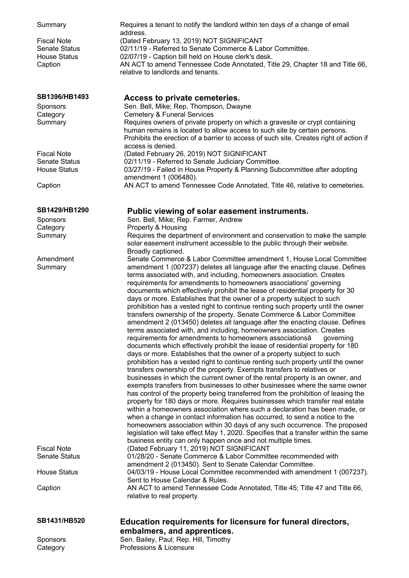| Summary              | Requires a tenant to notify the landlord within ten days of a change of email                                                                                                                                                                                            |
|----------------------|--------------------------------------------------------------------------------------------------------------------------------------------------------------------------------------------------------------------------------------------------------------------------|
| Fiscal Note          | address.<br>(Dated February 13, 2019) NOT SIGNIFICANT                                                                                                                                                                                                                    |
| <b>Senate Status</b> | 02/11/19 - Referred to Senate Commerce & Labor Committee.                                                                                                                                                                                                                |
| <b>House Status</b>  | 02/07/19 - Caption bill held on House clerk's desk.                                                                                                                                                                                                                      |
| Caption              | AN ACT to amend Tennessee Code Annotated, Title 29, Chapter 18 and Title 66,                                                                                                                                                                                             |
|                      | relative to landlords and tenants.                                                                                                                                                                                                                                       |
| SB1396/HB1493        | Access to private cemeteries.                                                                                                                                                                                                                                            |
| Sponsors             | Sen. Bell, Mike; Rep. Thompson, Dwayne                                                                                                                                                                                                                                   |
| Category             | <b>Cemetery &amp; Funeral Services</b>                                                                                                                                                                                                                                   |
| Summary              | Requires owners of private property on which a gravesite or crypt containing<br>human remains is located to allow access to such site by certain persons.<br>Prohibits the erection of a barrier to access of such site. Creates right of action if<br>access is denied. |
| <b>Fiscal Note</b>   | (Dated February 26, 2019) NOT SIGNIFICANT                                                                                                                                                                                                                                |
| <b>Senate Status</b> | 02/11/19 - Referred to Senate Judiciary Committee.                                                                                                                                                                                                                       |
| <b>House Status</b>  | 03/27/19 - Failed in House Property & Planning Subcommittee after adopting                                                                                                                                                                                               |
| Caption              | amendment 1 (006480).<br>AN ACT to amend Tennessee Code Annotated, Title 46, relative to cemeteries.                                                                                                                                                                     |
|                      |                                                                                                                                                                                                                                                                          |
| SB1429/HB1290        | Public viewing of solar easement instruments.                                                                                                                                                                                                                            |
| Sponsors             | Sen. Bell, Mike; Rep. Farmer, Andrew                                                                                                                                                                                                                                     |
| Category             | Property & Housing                                                                                                                                                                                                                                                       |
| Summary              | Requires the department of environment and conservation to make the sample<br>solar easement instrument accessible to the public through their website.                                                                                                                  |
|                      | Broadly captioned.                                                                                                                                                                                                                                                       |
| Amendment            | Senate Commerce & Labor Committee amendment 1, House Local Committee                                                                                                                                                                                                     |
| Summary              | amendment 1 (007237) deletes all language after the enacting clause. Defines                                                                                                                                                                                             |
|                      | terms associated with, and including, homeowners association. Creates                                                                                                                                                                                                    |
|                      | requirements for amendments to homeowners associations' governing                                                                                                                                                                                                        |
|                      | documents which effectively prohibit the lease of residential property for 30                                                                                                                                                                                            |
|                      | days or more. Establishes that the owner of a property subject to such                                                                                                                                                                                                   |
|                      | prohibition has a vested right to continue renting such property until the owner                                                                                                                                                                                         |
|                      | transfers ownership of the property. Senate Commerce & Labor Committee                                                                                                                                                                                                   |
|                      | amendment 2 (013450) deletes all language after the enacting clause. Defines<br>terms associated with, and including, homeowners association. Creates                                                                                                                    |
|                      | requirements for amendments to homeowners associationsâ<br>qoverning                                                                                                                                                                                                     |
|                      | documents which effectively prohibit the lease of residential property for 180                                                                                                                                                                                           |
|                      | days or more. Establishes that the owner of a property subject to such                                                                                                                                                                                                   |
|                      | prohibition has a vested right to continue renting such property until the owner                                                                                                                                                                                         |
|                      | transfers ownership of the property. Exempts transfers to relatives or                                                                                                                                                                                                   |
|                      | businesses in which the current owner of the rental property is an owner, and                                                                                                                                                                                            |
|                      | exempts transfers from businesses to other businesses where the same owner                                                                                                                                                                                               |
|                      | has control of the property being transferred from the prohibition of leasing the                                                                                                                                                                                        |
|                      | property for 180 days or more. Requires businesses which transfer real estate                                                                                                                                                                                            |
|                      | within a homeowners association where such a declaration has been made, or                                                                                                                                                                                               |
|                      | when a change in contact information has occurred, to send a notice to the                                                                                                                                                                                               |
|                      | homeowners association within 30 days of any such occurrence. The proposed                                                                                                                                                                                               |
| Fiscal Note          | legislation will take effect May 1, 2020. Specifies that a transfer within the same                                                                                                                                                                                      |
|                      | business entity can only happen once and not multiple times.<br>(Dated February 11, 2019) NOT SIGNIFICANT                                                                                                                                                                |
| Senate Status        | 01/28/20 - Senate Commerce & Labor Committee recommended with                                                                                                                                                                                                            |
|                      | amendment 2 (013450). Sent to Senate Calendar Committee.                                                                                                                                                                                                                 |
| House Status         | 04/03/19 - House Local Committee recommended with amendment 1 (007237).                                                                                                                                                                                                  |
|                      | Sent to House Calendar & Rules.                                                                                                                                                                                                                                          |
| Caption              | AN ACT to amend Tennessee Code Annotated, Title 45; Title 47 and Title 66,                                                                                                                                                                                               |
|                      | relative to real property.                                                                                                                                                                                                                                               |
| SB1431/HB520         | Education requirements for licensure for funeral directors,                                                                                                                                                                                                              |
|                      | embalmers, and apprentices.                                                                                                                                                                                                                                              |
| Sponsors             | Sen. Bailey, Paul; Rep. Hill, Timothy                                                                                                                                                                                                                                    |

Category Professions & Licensure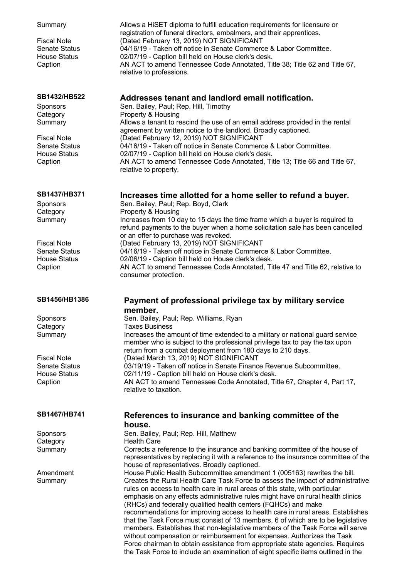| Summary<br><b>Fiscal Note</b><br><b>Senate Status</b><br><b>House Status</b><br>Caption | Allows a HiSET diploma to fulfill education requirements for licensure or<br>registration of funeral directors, embalmers, and their apprentices.<br>(Dated February 13, 2019) NOT SIGNIFICANT<br>04/16/19 - Taken off notice in Senate Commerce & Labor Committee.<br>02/07/19 - Caption bill held on House clerk's desk.<br>AN ACT to amend Tennessee Code Annotated, Title 38; Title 62 and Title 67,<br>relative to professions. |
|-----------------------------------------------------------------------------------------|--------------------------------------------------------------------------------------------------------------------------------------------------------------------------------------------------------------------------------------------------------------------------------------------------------------------------------------------------------------------------------------------------------------------------------------|
| SB1432/HB522                                                                            | Addresses tenant and landlord email notification.                                                                                                                                                                                                                                                                                                                                                                                    |
| <b>Sponsors</b>                                                                         | Sen. Bailey, Paul; Rep. Hill, Timothy                                                                                                                                                                                                                                                                                                                                                                                                |
| Category<br>Summary                                                                     | Property & Housing<br>Allows a tenant to rescind the use of an email address provided in the rental                                                                                                                                                                                                                                                                                                                                  |
|                                                                                         | agreement by written notice to the landlord. Broadly captioned.                                                                                                                                                                                                                                                                                                                                                                      |
| <b>Fiscal Note</b>                                                                      | (Dated February 12, 2019) NOT SIGNIFICANT                                                                                                                                                                                                                                                                                                                                                                                            |
| <b>Senate Status</b>                                                                    | 04/16/19 - Taken off notice in Senate Commerce & Labor Committee.                                                                                                                                                                                                                                                                                                                                                                    |
| <b>House Status</b>                                                                     | 02/07/19 - Caption bill held on House clerk's desk.                                                                                                                                                                                                                                                                                                                                                                                  |
| Caption                                                                                 | AN ACT to amend Tennessee Code Annotated, Title 13; Title 66 and Title 67,<br>relative to property.                                                                                                                                                                                                                                                                                                                                  |
| SB1437/HB371                                                                            | Increases time allotted for a home seller to refund a buyer.                                                                                                                                                                                                                                                                                                                                                                         |
| Sponsors                                                                                | Sen. Bailey, Paul; Rep. Boyd, Clark                                                                                                                                                                                                                                                                                                                                                                                                  |
| Category                                                                                | Property & Housing                                                                                                                                                                                                                                                                                                                                                                                                                   |
| Summary                                                                                 | Increases from 10 day to 15 days the time frame which a buyer is required to<br>refund payments to the buyer when a home solicitation sale has been cancelled                                                                                                                                                                                                                                                                        |
|                                                                                         | or an offer to purchase was revoked.                                                                                                                                                                                                                                                                                                                                                                                                 |
| <b>Fiscal Note</b>                                                                      | (Dated February 13, 2019) NOT SIGNIFICANT                                                                                                                                                                                                                                                                                                                                                                                            |
| <b>Senate Status</b>                                                                    | 04/16/19 - Taken off notice in Senate Commerce & Labor Committee.                                                                                                                                                                                                                                                                                                                                                                    |
| <b>House Status</b>                                                                     | 02/06/19 - Caption bill held on House clerk's desk.                                                                                                                                                                                                                                                                                                                                                                                  |
| Caption                                                                                 | AN ACT to amend Tennessee Code Annotated, Title 47 and Title 62, relative to<br>consumer protection.                                                                                                                                                                                                                                                                                                                                 |
| SB1456/HB1386                                                                           | Payment of professional privilege tax by military service<br>member.                                                                                                                                                                                                                                                                                                                                                                 |
| Sponsors                                                                                | Sen. Bailey, Paul; Rep. Williams, Ryan                                                                                                                                                                                                                                                                                                                                                                                               |
| Category                                                                                | Taxes Business                                                                                                                                                                                                                                                                                                                                                                                                                       |
| Summary                                                                                 | Increases the amount of time extended to a military or national guard service                                                                                                                                                                                                                                                                                                                                                        |
|                                                                                         | member who is subject to the professional privilege tax to pay the tax upon                                                                                                                                                                                                                                                                                                                                                          |
| <b>Fiscal Note</b>                                                                      | return from a combat deployment from 180 days to 210 days.<br>(Dated March 13, 2019) NOT SIGNIFICANT                                                                                                                                                                                                                                                                                                                                 |
| Senate Status                                                                           | 03/19/19 - Taken off notice in Senate Finance Revenue Subcommittee.                                                                                                                                                                                                                                                                                                                                                                  |
| <b>House Status</b>                                                                     | 02/11/19 - Caption bill held on House clerk's desk.                                                                                                                                                                                                                                                                                                                                                                                  |
| Caption                                                                                 | AN ACT to amend Tennessee Code Annotated, Title 67, Chapter 4, Part 17,                                                                                                                                                                                                                                                                                                                                                              |
|                                                                                         | relative to taxation.                                                                                                                                                                                                                                                                                                                                                                                                                |
|                                                                                         |                                                                                                                                                                                                                                                                                                                                                                                                                                      |
| SB1467/HB741                                                                            | References to insurance and banking committee of the                                                                                                                                                                                                                                                                                                                                                                                 |
|                                                                                         | house.                                                                                                                                                                                                                                                                                                                                                                                                                               |
| Sponsors                                                                                | Sen. Bailey, Paul; Rep. Hill, Matthew                                                                                                                                                                                                                                                                                                                                                                                                |
| Category                                                                                | <b>Health Care</b>                                                                                                                                                                                                                                                                                                                                                                                                                   |
| Summary                                                                                 | Corrects a reference to the insurance and banking committee of the house of<br>representatives by replacing it with a reference to the insurance committee of the<br>house of representatives. Broadly captioned.                                                                                                                                                                                                                    |
| Amendment                                                                               | House Public Health Subcommittee amendment 1 (005163) rewrites the bill.                                                                                                                                                                                                                                                                                                                                                             |
| Summary                                                                                 | Creates the Rural Health Care Task Force to assess the impact of administrative                                                                                                                                                                                                                                                                                                                                                      |
|                                                                                         | rules on access to health care in rural areas of this state, with particular                                                                                                                                                                                                                                                                                                                                                         |
|                                                                                         | emphasis on any effects administrative rules might have on rural health clinics                                                                                                                                                                                                                                                                                                                                                      |
|                                                                                         | (RHCs) and federally qualified health centers (FQHCs) and make<br>recommendations for improving access to health care in rural areas. Establishes                                                                                                                                                                                                                                                                                    |
|                                                                                         | that the Task Force must consist of 13 members, 6 of which are to be legislative                                                                                                                                                                                                                                                                                                                                                     |
|                                                                                         | members. Establishes that non-legislative members of the Task Force will serve                                                                                                                                                                                                                                                                                                                                                       |
|                                                                                         | without compensation or reimbursement for expenses. Authorizes the Task<br>Force chairman to obtain assistance from appropriate state agencies. Requires                                                                                                                                                                                                                                                                             |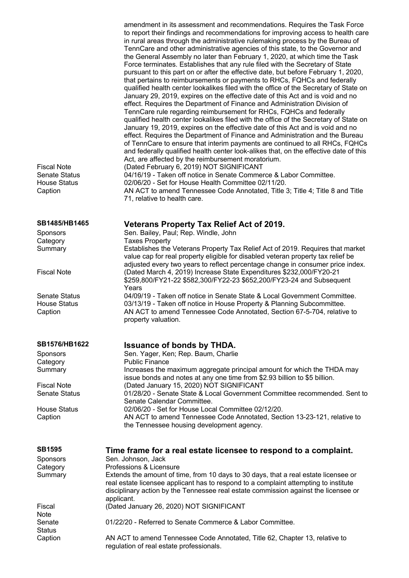amendment in its assessment and recommendations. Requires the Task Force to report their findings and recommendations for improving access to health care in rural areas through the administrative rulemaking process by the Bureau of TennCare and other administrative agencies of this state, to the Governor and the General Assembly no later than February 1, 2020, at which time the Task Force terminates. Establishes that any rule filed with the Secretary of State pursuant to this part on or after the effective date, but before February 1, 2020, that pertains to reimbursements or payments to RHCs, FQHCs and federally qualified health center lookalikes filed with the office of the Secretary of State on January 29, 2019, expires on the effective date of this Act and is void and no effect. Requires the Department of Finance and Administration Division of TennCare rule regarding reimbursement for RHCs, FQHCs and federally qualified health center lookalikes filed with the office of the Secretary of State on January 19, 2019, expires on the effective date of this Act and is void and no effect. Requires the Department of Finance and Administration and the Bureau of TennCare to ensure that interim payments are continued to all RHCs, FQHCs and federally qualified health center look-alikes that, on the effective date of this Act, are affected by the reimbursement moratorium. Fiscal Note (Dated February 6, 2019) NOT SIGNIFICANT Senate Status 04/16/19 - Taken off notice in Senate Commerce & Labor Committee. House Status 02/06/20 - Set for House Health Committee 02/11/20. Caption AN ACT to amend Tennessee Code Annotated, Title 3; Title 4; Title 8 and Title 71, relative to health care.

## **SB1485/HB1465 Veterans Property Tax Relief Act of 2019.**

Sponsors Sen. Bailey, Paul; Rep. Windle, John Category Taxes Property Summary Establishes the Veterans Property Tax Relief Act of 2019. Requires that market value cap for real property eligible for disabled veteran property tax relief be adjusted every two years to reflect percentage change in consumer price index. Fiscal Note (Dated March 4, 2019) Increase State Expenditures \$232,000/FY20-21 \$259,800/FY21-22 \$582,300/FY22-23 \$652,200/FY23-24 and Subsequent Years Senate Status 04/09/19 - Taken off notice in Senate State & Local Government Committee.<br>House Status 03/13/19 - Taken off notice in House Property & Planning Subcommittee. 03/13/19 - Taken off notice in House Property & Planning Subcommittee. Caption AN ACT to amend Tennessee Code Annotated, Section 67-5-704, relative to

property valuation.

## **SB1576/HB1622 Issuance of bonds by THDA.**

Sponsors Sen. Yager, Ken; Rep. Baum, Charlie Category Public Finance Summary Increases the maximum aggregate principal amount for which the THDA may issue bonds and notes at any one time from \$2.93 billion to \$5 billion. Fiscal Note (Dated January 15, 2020) NOT SIGNIFICANT Senate Status 01/28/20 - Senate State & Local Government Committee recommended. Sent to Senate Calendar Committee. House Status 02/06/20 - Set for House Local Committee 02/12/20. Caption AN ACT to amend Tennessee Code Annotated, Section 13-23-121, relative to the Tennessee housing development agency.

| <b>SB1595</b>    | Time frame for a real estate licensee to respond to a complaint.                                                                                                                                                                                                                 |
|------------------|----------------------------------------------------------------------------------------------------------------------------------------------------------------------------------------------------------------------------------------------------------------------------------|
| <b>Sponsors</b>  | Sen. Johnson, Jack                                                                                                                                                                                                                                                               |
| Category         | Professions & Licensure                                                                                                                                                                                                                                                          |
| Summary          | Extends the amount of time, from 10 days to 30 days, that a real estate licensee or<br>real estate licensee applicant has to respond to a complaint attempting to institute<br>disciplinary action by the Tennessee real estate commission against the licensee or<br>applicant. |
| Fiscal<br>Note   | (Dated January 26, 2020) NOT SIGNIFICANT                                                                                                                                                                                                                                         |
| Senate<br>Status | 01/22/20 - Referred to Senate Commerce & Labor Committee.                                                                                                                                                                                                                        |
| Caption          | AN ACT to amend Tennessee Code Annotated, Title 62, Chapter 13, relative to<br>regulation of real estate professionals.                                                                                                                                                          |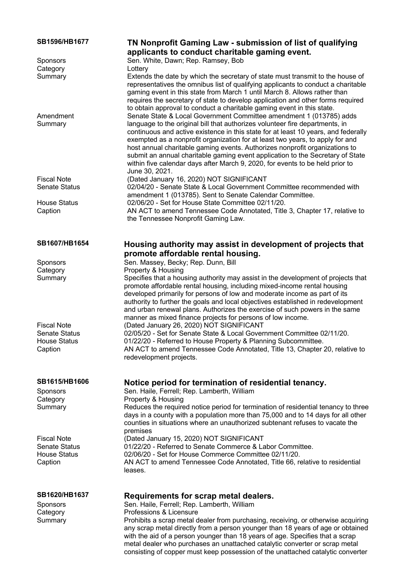### **SB1596/HB1677 TN Nonprofit Gaming Law - submission of list of qualifying applicants to conduct charitable gaming event.** Sponsors Sen. White, Dawn; Rep. Ramsey, Bob Category **Lottery** Summary Extends the date by which the secretary of state must transmit to the house of representatives the omnibus list of qualifying applicants to conduct a charitable gaming event in this state from March 1 until March 8. Allows rather than requires the secretary of state to develop application and other forms required to obtain approval to conduct a charitable gaming event in this state. Amendment **Summary** Senate State & Local Government Committee amendment 1 (013785) adds language to the original bill that authorizes volunteer fire departments, in continuous and active existence in this state for at least 10 years, and federally exempted as a nonprofit organization for at least two years, to apply for and host annual charitable gaming events. Authorizes nonprofit organizations to submit an annual charitable gaming event application to the Secretary of State within five calendar days after March 9, 2020, for events to be held prior to June 30, 2021. Fiscal Note (Dated January 16, 2020) NOT SIGNIFICANT Senate Status 02/04/20 - Senate State & Local Government Committee recommended with amendment 1 (013785). Sent to Senate Calendar Committee. House Status 02/06/20 - Set for House State Committee 02/11/20. Caption AN ACT to amend Tennessee Code Annotated, Title 3, Chapter 17, relative to the Tennessee Nonprofit Gaming Law. **SB1607/HB1654 Housing authority may assist in development of projects that promote affordable rental housing.** Sponsors Sen. Massey, Becky: Rep. Dunn, Bill Category **Property & Housing** Summary Specifies that a housing authority may assist in the development of projects that promote affordable rental housing, including mixed-income rental housing developed primarily for persons of low and moderate income as part of its authority to further the goals and local objectives established in redevelopment and urban renewal plans. Authorizes the exercise of such powers in the same manner as mixed finance projects for persons of low income. Fiscal Note (Dated January 26, 2020) NOT SIGNIFICANT Senate Status 02/05/20 - Set for Senate State & Local Government Committee 02/11/20.<br>House Status 01/22/20 - Referred to House Property & Planning Subcommittee. 01/22/20 - Referred to House Property & Planning Subcommittee. Caption AN ACT to amend Tennessee Code Annotated, Title 13, Chapter 20, relative to redevelopment projects. **SB1615/HB1606 Notice period for termination of residential tenancy.** Sponsors Sen. Haile, Ferrell; Rep. Lamberth, William Category **Property & Housing** Summary Reduces the required notice period for termination of residential tenancy to three days in a county with a population more than 75,000 and to 14 days for all other counties in situations where an unauthorized subtenant refuses to vacate the premises Fiscal Note (Dated January 15, 2020) NOT SIGNIFICANT<br>Senate Status 01/22/20 - Referred to Senate Commerce & La 01/22/20 - Referred to Senate Commerce & Labor Committee. House Status 02/06/20 - Set for House Commerce Committee 02/11/20. Caption AN ACT to amend Tennessee Code Annotated, Title 66, relative to residential leases. **SB1620/HB1637 Requirements for scrap metal dealers.** Sponsors Sen. Haile, Ferrell; Rep. Lamberth, William Category **Professions & Licensure** Summary Prohibits a scrap metal dealer from purchasing, receiving, or otherwise acquiring any scrap metal directly from a person younger than 18 years of age or obtained with the aid of a person younger than 18 years of age. Specifies that a scrap metal dealer who purchases an unattached catalytic converter or scrap metal

consisting of copper must keep possession of the unattached catalytic converter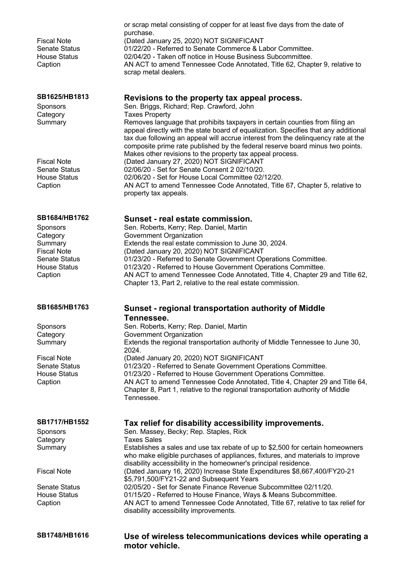| <b>Fiscal Note</b><br><b>Senate Status</b><br><b>House Status</b><br>Caption                                                            | or scrap metal consisting of copper for at least five days from the date of<br>purchase.<br>(Dated January 25, 2020) NOT SIGNIFICANT<br>01/22/20 - Referred to Senate Commerce & Labor Committee.<br>02/04/20 - Taken off notice in House Business Subcommittee.<br>AN ACT to amend Tennessee Code Annotated, Title 62, Chapter 9, relative to<br>scrap metal dealers.                                                                                                                       |
|-----------------------------------------------------------------------------------------------------------------------------------------|----------------------------------------------------------------------------------------------------------------------------------------------------------------------------------------------------------------------------------------------------------------------------------------------------------------------------------------------------------------------------------------------------------------------------------------------------------------------------------------------|
| SB1625/HB1813<br><b>Sponsors</b><br>Category<br>Summary                                                                                 | Revisions to the property tax appeal process.<br>Sen. Briggs, Richard; Rep. Crawford, John<br><b>Taxes Property</b><br>Removes language that prohibits taxpayers in certain counties from filing an<br>appeal directly with the state board of equalization. Specifies that any additional<br>tax due following an appeal will accrue interest from the delinquency rate at the<br>composite prime rate published by the federal reserve board minus two points.                             |
| <b>Fiscal Note</b><br><b>Senate Status</b><br><b>House Status</b><br>Caption                                                            | Makes other revisions to the property tax appeal process.<br>(Dated January 27, 2020) NOT SIGNIFICANT<br>02/06/20 - Set for Senate Consent 2 02/10/20.<br>02/06/20 - Set for House Local Committee 02/12/20.<br>AN ACT to amend Tennessee Code Annotated, Title 67, Chapter 5, relative to<br>property tax appeals.                                                                                                                                                                          |
| SB1684/HB1762<br><b>Sponsors</b><br>Category<br>Summary<br><b>Fiscal Note</b><br><b>Senate Status</b><br><b>House Status</b><br>Caption | Sunset - real estate commission.<br>Sen. Roberts, Kerry; Rep. Daniel, Martin<br>Government Organization<br>Extends the real estate commission to June 30, 2024.<br>(Dated January 20, 2020) NOT SIGNIFICANT<br>01/23/20 - Referred to Senate Government Operations Committee.<br>01/23/20 - Referred to House Government Operations Committee.<br>AN ACT to amend Tennessee Code Annotated, Title 4, Chapter 29 and Title 62,<br>Chapter 13, Part 2, relative to the real estate commission. |
| SB1685/HB1763                                                                                                                           | <b>Sunset - regional transportation authority of Middle</b>                                                                                                                                                                                                                                                                                                                                                                                                                                  |
| Sponsors<br>Category<br>Summary                                                                                                         | Tennessee.<br>Sen. Roberts, Kerry; Rep. Daniel, Martin<br>Government Organization<br>Extends the regional transportation authority of Middle Tennessee to June 30,                                                                                                                                                                                                                                                                                                                           |
| <b>Fiscal Note</b><br><b>Senate Status</b><br><b>House Status</b><br>Caption                                                            | 2024.<br>(Dated January 20, 2020) NOT SIGNIFICANT<br>01/23/20 - Referred to Senate Government Operations Committee.<br>01/23/20 - Referred to House Government Operations Committee.<br>AN ACT to amend Tennessee Code Annotated, Title 4, Chapter 29 and Title 64,<br>Chapter 8, Part 1, relative to the regional transportation authority of Middle<br>Tennessee.                                                                                                                          |
| SB1717/HB1552<br><b>Sponsors</b><br>Category                                                                                            | Tax relief for disability accessibility improvements.<br>Sen. Massey, Becky; Rep. Staples, Rick<br><b>Taxes Sales</b>                                                                                                                                                                                                                                                                                                                                                                        |

Summary Establishes a sales and use tax rebate of up to \$2,500 for certain homeowners

Fiscal Note (Dated January 16, 2020) Increase State Expenditures \$8,667,400/FY20-21

Senate Status 02/05/20 - Set for Senate Finance Revenue Subcommittee 02/11/20.<br>House Status 01/15/20 - Referred to House Finance. Wavs & Means Subcommittee Caption AN ACT to amend Tennessee Code Annotated, Title 67, relative to tax relief for

**SB1748/HB1616 Use of wireless telecommunications devices while operating a motor vehicle.**

who make eligible purchases of appliances, fixtures, and materials to improve

disability accessibility in the homeowner's principal residence.

01/15/20 - Referred to House Finance, Ways & Means Subcommittee.

\$5,791,500/FY21-22 and Subsequent Years

disability accessibility improvements.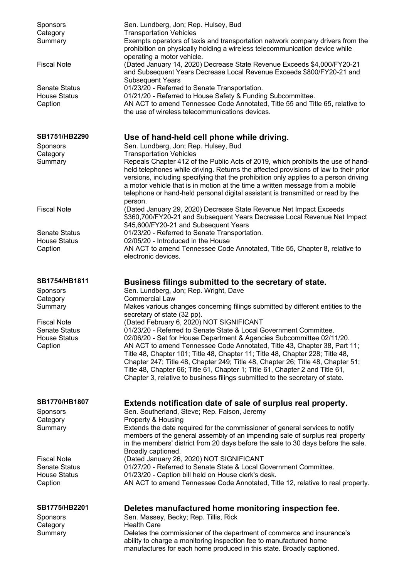| <b>Sponsors</b><br>Category<br>Summary                 | Sen. Lundberg, Jon; Rep. Hulsey, Bud<br><b>Transportation Vehicles</b><br>Exempts operators of taxis and transportation network company drivers from the<br>prohibition on physically holding a wireless telecommunication device while<br>operating a motor vehicle.                                                                                                                                                                                                                                                                                      |
|--------------------------------------------------------|------------------------------------------------------------------------------------------------------------------------------------------------------------------------------------------------------------------------------------------------------------------------------------------------------------------------------------------------------------------------------------------------------------------------------------------------------------------------------------------------------------------------------------------------------------|
| <b>Fiscal Note</b>                                     | (Dated January 14, 2020) Decrease State Revenue Exceeds \$4,000/FY20-21<br>and Subsequent Years Decrease Local Revenue Exceeds \$800/FY20-21 and<br><b>Subsequent Years</b>                                                                                                                                                                                                                                                                                                                                                                                |
| <b>Senate Status</b><br><b>House Status</b><br>Caption | 01/23/20 - Referred to Senate Transportation.<br>01/21/20 - Referred to House Safety & Funding Subcommittee.<br>AN ACT to amend Tennessee Code Annotated, Title 55 and Title 65, relative to<br>the use of wireless telecommunications devices.                                                                                                                                                                                                                                                                                                            |
| SB1751/HB2290                                          | Use of hand-held cell phone while driving.                                                                                                                                                                                                                                                                                                                                                                                                                                                                                                                 |
| <b>Sponsors</b>                                        | Sen. Lundberg, Jon; Rep. Hulsey, Bud                                                                                                                                                                                                                                                                                                                                                                                                                                                                                                                       |
| Category<br>Summary                                    | <b>Transportation Vehicles</b><br>Repeals Chapter 412 of the Public Acts of 2019, which prohibits the use of hand-<br>held telephones while driving. Returns the affected provisions of law to their prior<br>versions, including specifying that the prohibition only applies to a person driving<br>a motor vehicle that is in motion at the time a written message from a mobile<br>telephone or hand-held personal digital assistant is transmitted or read by the<br>person.                                                                          |
| <b>Fiscal Note</b>                                     | (Dated January 29, 2020) Decrease State Revenue Net Impact Exceeds<br>\$360,700/FY20-21 and Subsequent Years Decrease Local Revenue Net Impact<br>\$45,600/FY20-21 and Subsequent Years                                                                                                                                                                                                                                                                                                                                                                    |
| <b>Senate Status</b>                                   | 01/23/20 - Referred to Senate Transportation.                                                                                                                                                                                                                                                                                                                                                                                                                                                                                                              |
| <b>House Status</b><br>Caption                         | 02/05/20 - Introduced in the House<br>AN ACT to amend Tennessee Code Annotated, Title 55, Chapter 8, relative to<br>electronic devices.                                                                                                                                                                                                                                                                                                                                                                                                                    |
| SB1754/HB1811                                          | Business filings submitted to the secretary of state.                                                                                                                                                                                                                                                                                                                                                                                                                                                                                                      |
| Sponsors                                               | Sen. Lundberg, Jon; Rep. Wright, Dave                                                                                                                                                                                                                                                                                                                                                                                                                                                                                                                      |
| Category                                               | <b>Commercial Law</b>                                                                                                                                                                                                                                                                                                                                                                                                                                                                                                                                      |
| Summary                                                | Makes various changes concerning filings submitted by different entities to the<br>secretary of state (32 pp).                                                                                                                                                                                                                                                                                                                                                                                                                                             |
| <b>Fiscal Note</b>                                     | (Dated February 6, 2020) NOT SIGNIFICANT                                                                                                                                                                                                                                                                                                                                                                                                                                                                                                                   |
| <b>Senate Status</b><br><b>House Status</b><br>Caption | 01/23/20 - Referred to Senate State & Local Government Committee.<br>02/06/20 - Set for House Department & Agencies Subcommittee 02/11/20.<br>AN ACT to amend Tennessee Code Annotated, Title 43, Chapter 38, Part 11;<br>Title 48, Chapter 101; Title 48, Chapter 11; Title 48, Chapter 228; Title 48,<br>Chapter 247; Title 48, Chapter 249; Title 48, Chapter 26; Title 48, Chapter 51;<br>Title 48, Chapter 66; Title 61, Chapter 1; Title 61, Chapter 2 and Title 61,<br>Chapter 3, relative to business filings submitted to the secretary of state. |
| <b>SB1770/HB1807</b>                                   | Extends notification date of sale of surplus real property.                                                                                                                                                                                                                                                                                                                                                                                                                                                                                                |
| Sponsors                                               | Sen. Southerland, Steve; Rep. Faison, Jeremy                                                                                                                                                                                                                                                                                                                                                                                                                                                                                                               |
| Category<br>Summary                                    | Property & Housing<br>Extends the date required for the commissioner of general services to notify<br>members of the general assembly of an impending sale of surplus real property<br>in the members' district from 20 days before the sale to 30 days before the sale.<br>Broadly captioned.                                                                                                                                                                                                                                                             |
| <b>Fiscal Note</b>                                     | (Dated January 26, 2020) NOT SIGNIFICANT                                                                                                                                                                                                                                                                                                                                                                                                                                                                                                                   |
| <b>Senate Status</b><br><b>House Status</b>            | 01/27/20 - Referred to Senate State & Local Government Committee.                                                                                                                                                                                                                                                                                                                                                                                                                                                                                          |
| Caption                                                | 01/23/20 - Caption bill held on House clerk's desk.<br>AN ACT to amend Tennessee Code Annotated, Title 12, relative to real property.                                                                                                                                                                                                                                                                                                                                                                                                                      |
| SB1775/HB2201                                          | Deletes manufactured home monitoring inspection fee.                                                                                                                                                                                                                                                                                                                                                                                                                                                                                                       |
| Sponsors                                               | Sen. Massey, Becky; Rep. Tillis, Rick                                                                                                                                                                                                                                                                                                                                                                                                                                                                                                                      |
| Category                                               | <b>Health Care</b>                                                                                                                                                                                                                                                                                                                                                                                                                                                                                                                                         |
| Summary                                                | Deletes the commissioner of the department of commerce and insurance's<br>ability to charge a monitoring inspection fee to manufactured home                                                                                                                                                                                                                                                                                                                                                                                                               |

manufactures for each home produced in this state. Broadly captioned.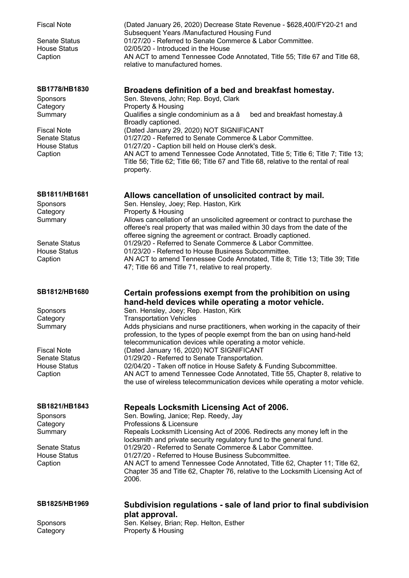| <b>Fiscal Note</b><br>Senate Status<br><b>House Status</b><br>Caption                                                            | (Dated January 26, 2020) Decrease State Revenue - \$628,400/FY20-21 and<br>Subsequent Years /Manufactured Housing Fund<br>01/27/20 - Referred to Senate Commerce & Labor Committee.<br>02/05/20 - Introduced in the House<br>AN ACT to amend Tennessee Code Annotated, Title 55; Title 67 and Title 68,<br>relative to manufactured homes.                                                                                                                                                                                                                                                                                                                                                                                                                 |
|----------------------------------------------------------------------------------------------------------------------------------|------------------------------------------------------------------------------------------------------------------------------------------------------------------------------------------------------------------------------------------------------------------------------------------------------------------------------------------------------------------------------------------------------------------------------------------------------------------------------------------------------------------------------------------------------------------------------------------------------------------------------------------------------------------------------------------------------------------------------------------------------------|
| SB1778/HB1830<br>Sponsors<br>Category<br>Summary<br><b>Fiscal Note</b><br>Senate Status<br><b>House Status</b><br>Caption        | Broadens definition of a bed and breakfast homestay.<br>Sen. Stevens, John; Rep. Boyd, Clark<br>Property & Housing<br>Qualifies a single condominium as a â<br>bed and breakfast homestay.â<br>Broadly captioned.<br>(Dated January 29, 2020) NOT SIGNIFICANT<br>01/27/20 - Referred to Senate Commerce & Labor Committee.<br>01/27/20 - Caption bill held on House clerk's desk.<br>AN ACT to amend Tennessee Code Annotated, Title 5; Title 6; Title 7; Title 13;<br>Title 56; Title 62; Title 66; Title 67 and Title 68, relative to the rental of real<br>property.                                                                                                                                                                                    |
| SB1811/HB1681<br>Sponsors<br>Category<br>Summary<br><b>Senate Status</b><br><b>House Status</b><br>Caption                       | Allows cancellation of unsolicited contract by mail.<br>Sen. Hensley, Joey; Rep. Haston, Kirk<br>Property & Housing<br>Allows cancellation of an unsolicited agreement or contract to purchase the<br>offeree's real property that was mailed within 30 days from the date of the<br>offeree signing the agreement or contract. Broadly captioned.<br>01/29/20 - Referred to Senate Commerce & Labor Committee.<br>01/23/20 - Referred to House Business Subcommittee.<br>AN ACT to amend Tennessee Code Annotated, Title 8; Title 13; Title 39; Title<br>47; Title 66 and Title 71, relative to real property.                                                                                                                                            |
| SB1812/HB1680<br>Sponsors<br>Category<br>Summary<br><b>Fiscal Note</b><br><b>Senate Status</b><br><b>House Status</b><br>Caption | Certain professions exempt from the prohibition on using<br>hand-held devices while operating a motor vehicle.<br>Sen. Hensley, Joey; Rep. Haston, Kirk<br><b>Transportation Vehicles</b><br>Adds physicians and nurse practitioners, when working in the capacity of their<br>profession, to the types of people exempt from the ban on using hand-held<br>telecommunication devices while operating a motor vehicle.<br>(Dated January 16, 2020) NOT SIGNIFICANT<br>01/29/20 - Referred to Senate Transportation.<br>02/04/20 - Taken off notice in House Safety & Funding Subcommittee.<br>AN ACT to amend Tennessee Code Annotated, Title 55, Chapter 8, relative to<br>the use of wireless telecommunication devices while operating a motor vehicle. |
| SB1821/HB1843<br><b>Sponsors</b><br>Category<br>Summary<br><b>Senate Status</b><br><b>House Status</b><br>Caption                | <b>Repeals Locksmith Licensing Act of 2006.</b><br>Sen. Bowling, Janice; Rep. Reedy, Jay<br>Professions & Licensure<br>Repeals Locksmith Licensing Act of 2006. Redirects any money left in the<br>locksmith and private security regulatory fund to the general fund.<br>01/29/20 - Referred to Senate Commerce & Labor Committee.<br>01/27/20 - Referred to House Business Subcommittee.<br>AN ACT to amend Tennessee Code Annotated, Title 62, Chapter 11; Title 62,<br>Chapter 35 and Title 62, Chapter 76, relative to the Locksmith Licensing Act of<br>2006.                                                                                                                                                                                        |
| SB1825/HB1969<br>Sponsors<br>Category                                                                                            | Subdivision regulations - sale of land prior to final subdivision<br>plat approval.<br>Sen. Kelsey, Brian; Rep. Helton, Esther<br>Property & Housing                                                                                                                                                                                                                                                                                                                                                                                                                                                                                                                                                                                                       |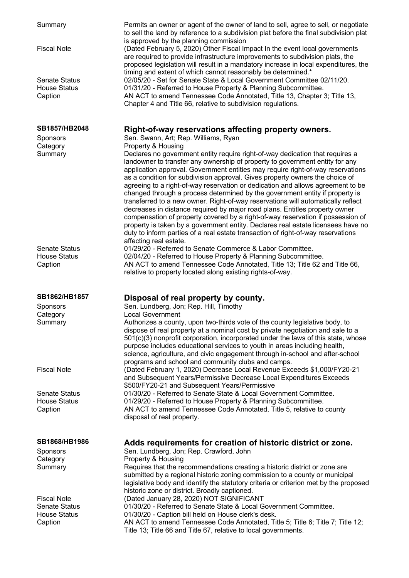| Summary<br><b>Fiscal Note</b><br><b>Senate Status</b><br><b>House Status</b> | Permits an owner or agent of the owner of land to sell, agree to sell, or negotiate<br>to sell the land by reference to a subdivision plat before the final subdivision plat<br>is approved by the planning commission<br>(Dated February 5, 2020) Other Fiscal Impact In the event local governments<br>are required to provide infrastructure improvements to subdivision plats, the<br>proposed legislation will result in a mandatory increase in local expenditures, the<br>timing and extent of which cannot reasonably be determined.*<br>02/05/20 - Set for Senate State & Local Government Committee 02/11/20.<br>01/31/20 - Referred to House Property & Planning Subcommittee.                                                                                                                                                                                                                                                                                         |
|------------------------------------------------------------------------------|-----------------------------------------------------------------------------------------------------------------------------------------------------------------------------------------------------------------------------------------------------------------------------------------------------------------------------------------------------------------------------------------------------------------------------------------------------------------------------------------------------------------------------------------------------------------------------------------------------------------------------------------------------------------------------------------------------------------------------------------------------------------------------------------------------------------------------------------------------------------------------------------------------------------------------------------------------------------------------------|
| Caption                                                                      | AN ACT to amend Tennessee Code Annotated, Title 13, Chapter 3; Title 13,<br>Chapter 4 and Title 66, relative to subdivision regulations.                                                                                                                                                                                                                                                                                                                                                                                                                                                                                                                                                                                                                                                                                                                                                                                                                                          |
| SB1857/HB2048                                                                | Right-of-way reservations affecting property owners.                                                                                                                                                                                                                                                                                                                                                                                                                                                                                                                                                                                                                                                                                                                                                                                                                                                                                                                              |
| Sponsors                                                                     | Sen. Swann, Art; Rep. Williams, Ryan                                                                                                                                                                                                                                                                                                                                                                                                                                                                                                                                                                                                                                                                                                                                                                                                                                                                                                                                              |
| Category<br>Summary                                                          | Property & Housing<br>Declares no government entity require right-of-way dedication that requires a<br>landowner to transfer any ownership of property to government entity for any<br>application approval. Government entities may require right-of-way reservations<br>as a condition for subdivision approval. Gives property owners the choice of<br>agreeing to a right-of-way reservation or dedication and allows agreement to be<br>changed through a process determined by the government entity if property is<br>transferred to a new owner. Right-of-way reservations will automatically reflect<br>decreases in distance required by major road plans. Entitles property owner<br>compensation of property covered by a right-of-way reservation if possession of<br>property is taken by a government entity. Declares real estate licensees have no<br>duty to inform parties of a real estate transaction of right-of-way reservations<br>affecting real estate. |
| <b>Senate Status</b><br><b>House Status</b><br>Caption                       | 01/29/20 - Referred to Senate Commerce & Labor Committee.<br>02/04/20 - Referred to House Property & Planning Subcommittee.<br>AN ACT to amend Tennessee Code Annotated, Title 13; Title 62 and Title 66,<br>relative to property located along existing rights-of-way.                                                                                                                                                                                                                                                                                                                                                                                                                                                                                                                                                                                                                                                                                                           |
| SB1862/HB1857                                                                | Disposal of real property by county.                                                                                                                                                                                                                                                                                                                                                                                                                                                                                                                                                                                                                                                                                                                                                                                                                                                                                                                                              |
| Sponsors                                                                     | Sen. Lundberg, Jon; Rep. Hill, Timothy                                                                                                                                                                                                                                                                                                                                                                                                                                                                                                                                                                                                                                                                                                                                                                                                                                                                                                                                            |
| Category                                                                     | <b>Local Government</b>                                                                                                                                                                                                                                                                                                                                                                                                                                                                                                                                                                                                                                                                                                                                                                                                                                                                                                                                                           |
| Summary                                                                      | Authorizes a county, upon two-thirds vote of the county legislative body, to<br>dispose of real property at a nominal cost by private negotiation and sale to a<br>$501(c)(3)$ nonprofit corporation, incorporated under the laws of this state, whose<br>purpose includes educational services to youth in areas including health,<br>science, agriculture, and civic engagement through in-school and after-school<br>programs and school and community clubs and camps.                                                                                                                                                                                                                                                                                                                                                                                                                                                                                                        |
| <b>Fiscal Note</b>                                                           | (Dated February 1, 2020) Decrease Local Revenue Exceeds \$1,000/FY20-21<br>and Subsequent Years/Permissive Decrease Local Expenditures Exceeds<br>\$500/FY20-21 and Subsequent Years/Permissive                                                                                                                                                                                                                                                                                                                                                                                                                                                                                                                                                                                                                                                                                                                                                                                   |
| <b>Senate Status</b>                                                         | 01/30/20 - Referred to Senate State & Local Government Committee.                                                                                                                                                                                                                                                                                                                                                                                                                                                                                                                                                                                                                                                                                                                                                                                                                                                                                                                 |
| <b>House Status</b>                                                          | 01/29/20 - Referred to House Property & Planning Subcommittee.                                                                                                                                                                                                                                                                                                                                                                                                                                                                                                                                                                                                                                                                                                                                                                                                                                                                                                                    |
| Caption                                                                      | AN ACT to amend Tennessee Code Annotated, Title 5, relative to county<br>disposal of real property.                                                                                                                                                                                                                                                                                                                                                                                                                                                                                                                                                                                                                                                                                                                                                                                                                                                                               |
| SB1868/HB1986                                                                | Adds requirements for creation of historic district or zone.                                                                                                                                                                                                                                                                                                                                                                                                                                                                                                                                                                                                                                                                                                                                                                                                                                                                                                                      |
| Sponsors                                                                     | Sen. Lundberg, Jon; Rep. Crawford, John                                                                                                                                                                                                                                                                                                                                                                                                                                                                                                                                                                                                                                                                                                                                                                                                                                                                                                                                           |
| Category<br>Summary                                                          | Property & Housing<br>Requires that the recommendations creating a historic district or zone are<br>submitted by a regional historic zoning commission to a county or municipal<br>legislative body and identify the statutory criteria or criterion met by the proposed<br>historic zone or district. Broadly captioned.                                                                                                                                                                                                                                                                                                                                                                                                                                                                                                                                                                                                                                                         |
| <b>Fiscal Note</b><br><b>Senate Status</b>                                   | (Dated January 28, 2020) NOT SIGNIFICANT<br>01/30/20 - Referred to Senate State & Local Government Committee.                                                                                                                                                                                                                                                                                                                                                                                                                                                                                                                                                                                                                                                                                                                                                                                                                                                                     |
| <b>House Status</b>                                                          | 01/30/20 - Caption bill held on House clerk's desk.                                                                                                                                                                                                                                                                                                                                                                                                                                                                                                                                                                                                                                                                                                                                                                                                                                                                                                                               |
| Caption                                                                      | AN ACT to amend Tennessee Code Annotated, Title 5; Title 6; Title 7; Title 12;<br>Title 13; Title 66 and Title 67, relative to local governments.                                                                                                                                                                                                                                                                                                                                                                                                                                                                                                                                                                                                                                                                                                                                                                                                                                 |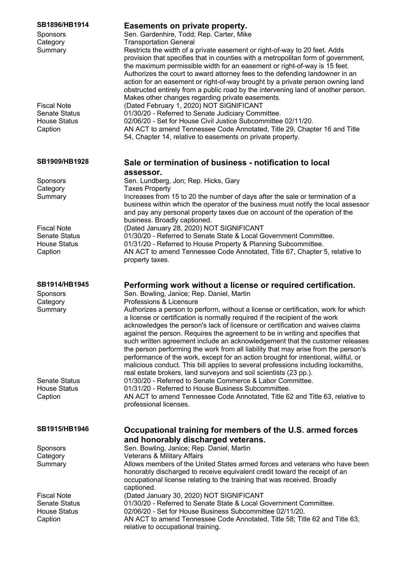| SB1914/HB1945<br>Sponsors<br>Category<br>Summary                      | Performing work without a license or required certification.<br>Sen. Bowling, Janice; Rep. Daniel, Martin<br>Professions & Licensure<br>Authorizes a person to perform, without a license or certification, work for which<br>a license or certification is normally required if the recipient of the work<br>acknowledges the person's lack of licensure or certification and waives claims<br>against the person. Requires the agreement to be in writing and specifies that<br>such written agreement include an acknowledgement that the customer releases<br>the person performing the work from all liability that may arise from the person's<br>performance of the work, except for an action brought for intentional, willful, or |
|-----------------------------------------------------------------------|--------------------------------------------------------------------------------------------------------------------------------------------------------------------------------------------------------------------------------------------------------------------------------------------------------------------------------------------------------------------------------------------------------------------------------------------------------------------------------------------------------------------------------------------------------------------------------------------------------------------------------------------------------------------------------------------------------------------------------------------|
| Senate Status<br><b>House Status</b><br>Caption                       | malicious conduct. This bill applies to several professions including locksmiths,<br>real estate brokers, land surveyors and soil scientists (23 pp.).<br>01/30/20 - Referred to Senate Commerce & Labor Committee.<br>01/31/20 - Referred to House Business Subcommittee.<br>AN ACT to amend Tennessee Code Annotated, Title 62 and Title 63, relative to<br>professional licenses.                                                                                                                                                                                                                                                                                                                                                       |
| SB1915/HB1946                                                         | Occupational training for members of the U.S. armed forces<br>and honorably discharged veterans.                                                                                                                                                                                                                                                                                                                                                                                                                                                                                                                                                                                                                                           |
| Sponsors                                                              | Sen. Bowling, Janice; Rep. Daniel, Martin                                                                                                                                                                                                                                                                                                                                                                                                                                                                                                                                                                                                                                                                                                  |
| Category                                                              | <b>Veterans &amp; Military Affairs</b>                                                                                                                                                                                                                                                                                                                                                                                                                                                                                                                                                                                                                                                                                                     |
| Summary                                                               | Allows members of the United States armed forces and veterans who have been<br>honorably discharged to receive equivalent credit toward the receipt of an<br>occupational license relating to the training that was received. Broadly<br>captioned.                                                                                                                                                                                                                                                                                                                                                                                                                                                                                        |
| <b>Fiscal Note</b><br>Senate Status<br><b>House Status</b><br>Caption | (Dated January 30, 2020) NOT SIGNIFICANT<br>01/30/20 - Referred to Senate State & Local Government Committee.<br>02/06/20 - Set for House Business Subcommittee 02/11/20.<br>AN ACT to amend Tennessee Code Annotated, Title 58; Title 62 and Title 63,<br>relative to occupational training.                                                                                                                                                                                                                                                                                                                                                                                                                                              |

## **SB1896/HB1914 Easements on private property.**

Sponsors Sen. Gardenhire, Todd; Rep. Carter, Mike Category **Transportation General** Summary Restricts the width of a private easement or right-of-way to 20 feet. Adds provision that specifies that in counties with a metropolitan form of government, the maximum permissible width for an easement or right-of-way is 15 feet. Authorizes the court to award attorney fees to the defending landowner in an action for an easement or right-of-way brought by a private person owning land obstructed entirely from a public road by the intervening land of another person. Makes other changes regarding private easements. Fiscal Note (Dated February 1, 2020) NOT SIGNIFICANT Senate Status 01/30/20 - Referred to Senate Judiciary Committee. House Status 02/06/20 - Set for House Civil Justice Subcommittee 02/11/20. Caption AN ACT to amend Tennessee Code Annotated, Title 29, Chapter 16 and Title 54, Chapter 14, relative to easements on private property.

## **SB1909/HB1928 Sale or termination of business - notification to local assessor.**

Sponsors Sen. Lundberg, Jon; Rep. Hicks, Gary Category Taxes Property Summary Increases from 15 to 20 the number of days after the sale or termination of a business within which the operator of the business must notify the local assessor and pay any personal property taxes due on account of the operation of the business. Broadly captioned. Fiscal Note (Dated January 28, 2020) NOT SIGNIFICANT Senate Status 01/30/20 - Referred to Senate State & Local Government Committee. House Status 01/31/20 - Referred to House Property & Planning Subcommittee. Caption AN ACT to amend Tennessee Code Annotated, Title 67, Chapter 5, relative to property taxes.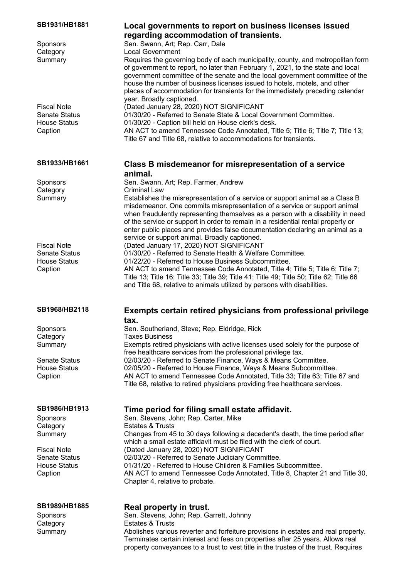| SB1931/HB1881                               | Local governments to report on business licenses issued                                                                                                              |
|---------------------------------------------|----------------------------------------------------------------------------------------------------------------------------------------------------------------------|
|                                             | regarding accommodation of transients.                                                                                                                               |
| Sponsors<br>Category                        | Sen. Swann, Art; Rep. Carr, Dale<br><b>Local Government</b>                                                                                                          |
| Summary                                     | Requires the governing body of each municipality, county, and metropolitan form                                                                                      |
|                                             | of government to report, no later than February 1, 2021, to the state and local                                                                                      |
|                                             | government committee of the senate and the local government committee of the                                                                                         |
|                                             | house the number of business licenses issued to hotels, motels, and other                                                                                            |
|                                             | places of accommodation for transients for the immediately preceding calendar                                                                                        |
| <b>Fiscal Note</b>                          | year. Broadly captioned.<br>(Dated January 28, 2020) NOT SIGNIFICANT                                                                                                 |
| <b>Senate Status</b>                        | 01/30/20 - Referred to Senate State & Local Government Committee.                                                                                                    |
| <b>House Status</b>                         | 01/30/20 - Caption bill held on House clerk's desk.                                                                                                                  |
| Caption                                     | AN ACT to amend Tennessee Code Annotated, Title 5; Title 6; Title 7; Title 13;                                                                                       |
|                                             | Title 67 and Title 68, relative to accommodations for transients.                                                                                                    |
| SB1933/HB1661                               | Class B misdemeanor for misrepresentation of a service                                                                                                               |
|                                             | animal.                                                                                                                                                              |
| Sponsors                                    | Sen. Swann, Art; Rep. Farmer, Andrew                                                                                                                                 |
| Category                                    | <b>Criminal Law</b>                                                                                                                                                  |
| Summary                                     | Establishes the misrepresentation of a service or support animal as a Class B                                                                                        |
|                                             | misdemeanor. One commits misrepresentation of a service or support animal                                                                                            |
|                                             | when fraudulently representing themselves as a person with a disability in need<br>of the service or support in order to remain in a residential rental property or  |
|                                             | enter public places and provides false documentation declaring an animal as a                                                                                        |
|                                             | service or support animal. Broadly captioned.                                                                                                                        |
| <b>Fiscal Note</b>                          | (Dated January 17, 2020) NOT SIGNIFICANT                                                                                                                             |
| <b>Senate Status</b><br><b>House Status</b> | 01/30/20 - Referred to Senate Health & Welfare Committee.<br>01/22/20 - Referred to House Business Subcommittee.                                                     |
| Caption                                     | AN ACT to amend Tennessee Code Annotated, Title 4; Title 5; Title 6; Title 7;                                                                                        |
|                                             | Title 13; Title 16; Title 33; Title 39; Title 41; Title 49; Title 50; Title 62; Title 66                                                                             |
|                                             | and Title 68, relative to animals utilized by persons with disabilities.                                                                                             |
| SB1968/HB2118                               | Exempts certain retired physicians from professional privilege                                                                                                       |
|                                             | tax.                                                                                                                                                                 |
| Sponsors                                    | Sen. Southerland, Steve; Rep. Eldridge, Rick                                                                                                                         |
| Category                                    | <b>Taxes Business</b>                                                                                                                                                |
| Summary                                     | Exempts retired physicians with active licenses used solely for the purpose of                                                                                       |
| <b>Senate Status</b>                        | free healthcare services from the professional privilege tax.<br>02/03/20 - Referred to Senate Finance, Ways & Means Committee.                                      |
| <b>House Status</b>                         | 02/05/20 - Referred to House Finance, Ways & Means Subcommittee.                                                                                                     |
| Caption                                     | AN ACT to amend Tennessee Code Annotated, Title 33; Title 63; Title 67 and                                                                                           |
|                                             | Title 68, relative to retired physicians providing free healthcare services.                                                                                         |
| SB1986/HB1913                               | Time period for filing small estate affidavit.                                                                                                                       |
| <b>Sponsors</b>                             | Sen. Stevens, John; Rep. Carter, Mike                                                                                                                                |
| Category                                    | <b>Estates &amp; Trusts</b>                                                                                                                                          |
| Summary                                     | Changes from 45 to 30 days following a decedent's death, the time period after                                                                                       |
|                                             | which a small estate affidavit must be filed with the clerk of court.                                                                                                |
| <b>Fiscal Note</b><br><b>Senate Status</b>  | (Dated January 28, 2020) NOT SIGNIFICANT<br>02/03/20 - Referred to Senate Judiciary Committee.                                                                       |
| <b>House Status</b>                         | 01/31/20 - Referred to House Children & Families Subcommittee.                                                                                                       |
| Caption                                     | AN ACT to amend Tennessee Code Annotated, Title 8, Chapter 21 and Title 30,                                                                                          |
|                                             | Chapter 4, relative to probate.                                                                                                                                      |
| SB1989/HB1885                               | Real property in trust.                                                                                                                                              |
| Sponsors                                    | Sen. Stevens, John; Rep. Garrett, Johnny                                                                                                                             |
| Category                                    | <b>Estates &amp; Trusts</b>                                                                                                                                          |
| Summary                                     | Abolishes various reverter and forfeiture provisions in estates and real property.<br>Terminates certain interest and fees on properties after 25 years. Allows real |

property conveyances to a trust to vest title in the trustee of the trust. Requires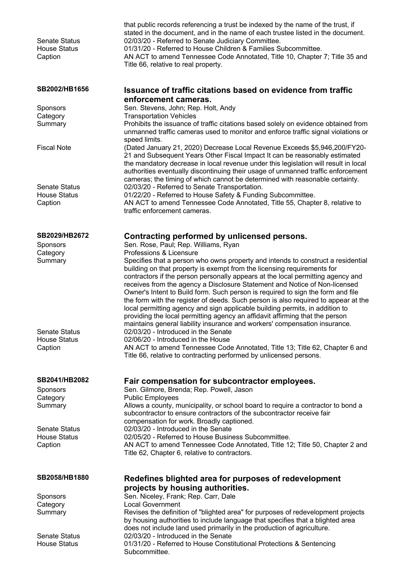| <b>Senate Status</b><br><b>House Status</b><br>Caption | that public records referencing a trust be indexed by the name of the trust, if<br>stated in the document, and in the name of each trustee listed in the document.<br>02/03/20 - Referred to Senate Judiciary Committee.<br>01/31/20 - Referred to House Children & Families Subcommittee.<br>AN ACT to amend Tennessee Code Annotated, Title 10, Chapter 7; Title 35 and<br>Title 66, relative to real property.                                                                                                                                                                                                                                                     |
|--------------------------------------------------------|-----------------------------------------------------------------------------------------------------------------------------------------------------------------------------------------------------------------------------------------------------------------------------------------------------------------------------------------------------------------------------------------------------------------------------------------------------------------------------------------------------------------------------------------------------------------------------------------------------------------------------------------------------------------------|
| SB2002/HB1656                                          | <b>Issuance of traffic citations based on evidence from traffic</b>                                                                                                                                                                                                                                                                                                                                                                                                                                                                                                                                                                                                   |
| Sponsors                                               | enforcement cameras.<br>Sen. Stevens, John; Rep. Holt, Andy                                                                                                                                                                                                                                                                                                                                                                                                                                                                                                                                                                                                           |
| Category                                               | <b>Transportation Vehicles</b>                                                                                                                                                                                                                                                                                                                                                                                                                                                                                                                                                                                                                                        |
| Summary                                                | Prohibits the issuance of traffic citations based solely on evidence obtained from<br>unmanned traffic cameras used to monitor and enforce traffic signal violations or<br>speed limits.                                                                                                                                                                                                                                                                                                                                                                                                                                                                              |
| <b>Fiscal Note</b>                                     | (Dated January 21, 2020) Decrease Local Revenue Exceeds \$5,946,200/FY20-<br>21 and Subsequent Years Other Fiscal Impact It can be reasonably estimated<br>the mandatory decrease in local revenue under this legislation will result in local<br>authorities eventually discontinuing their usage of unmanned traffic enforcement<br>cameras; the timing of which cannot be determined with reasonable certainty.                                                                                                                                                                                                                                                    |
| <b>Senate Status</b>                                   | 02/03/20 - Referred to Senate Transportation.                                                                                                                                                                                                                                                                                                                                                                                                                                                                                                                                                                                                                         |
| <b>House Status</b><br>Caption                         | 01/22/20 - Referred to House Safety & Funding Subcommittee.<br>AN ACT to amend Tennessee Code Annotated, Title 55, Chapter 8, relative to<br>traffic enforcement cameras.                                                                                                                                                                                                                                                                                                                                                                                                                                                                                             |
| SB2029/HB2672                                          | Contracting performed by unlicensed persons.                                                                                                                                                                                                                                                                                                                                                                                                                                                                                                                                                                                                                          |
| Sponsors<br>Category                                   | Sen. Rose, Paul; Rep. Williams, Ryan<br>Professions & Licensure                                                                                                                                                                                                                                                                                                                                                                                                                                                                                                                                                                                                       |
| Summary                                                | Specifies that a person who owns property and intends to construct a residential<br>building on that property is exempt from the licensing requirements for<br>contractors if the person personally appears at the local permitting agency and<br>receives from the agency a Disclosure Statement and Notice of Non-licensed<br>Owner's Intent to Build form. Such person is required to sign the form and file<br>the form with the register of deeds. Such person is also required to appear at the<br>local permitting agency and sign applicable building permits, in addition to<br>providing the local permitting agency an affidavit affirming that the person |
| Senate Status                                          | maintains general liability insurance and workers' compensation insurance.<br>02/03/20 - Introduced in the Senate                                                                                                                                                                                                                                                                                                                                                                                                                                                                                                                                                     |
| <b>House Status</b><br>Caption                         | 02/06/20 - Introduced in the House<br>AN ACT to amend Tennessee Code Annotated, Title 13; Title 62, Chapter 6 and<br>Title 66, relative to contracting performed by unlicensed persons.                                                                                                                                                                                                                                                                                                                                                                                                                                                                               |
| SB2041/HB2082                                          | Fair compensation for subcontractor employees.                                                                                                                                                                                                                                                                                                                                                                                                                                                                                                                                                                                                                        |
| Sponsors<br>Category                                   | Sen. Gilmore, Brenda; Rep. Powell, Jason<br><b>Public Employees</b>                                                                                                                                                                                                                                                                                                                                                                                                                                                                                                                                                                                                   |
| Summary                                                | Allows a county, municipality, or school board to require a contractor to bond a<br>subcontractor to ensure contractors of the subcontractor receive fair<br>compensation for work. Broadly captioned.                                                                                                                                                                                                                                                                                                                                                                                                                                                                |
| <b>Senate Status</b>                                   | 02/03/20 - Introduced in the Senate                                                                                                                                                                                                                                                                                                                                                                                                                                                                                                                                                                                                                                   |
| <b>House Status</b><br>Caption                         | 02/05/20 - Referred to House Business Subcommittee.<br>AN ACT to amend Tennessee Code Annotated, Title 12; Title 50, Chapter 2 and<br>Title 62, Chapter 6, relative to contractors.                                                                                                                                                                                                                                                                                                                                                                                                                                                                                   |
| SB2058/HB1880                                          | Redefines blighted area for purposes of redevelopment                                                                                                                                                                                                                                                                                                                                                                                                                                                                                                                                                                                                                 |
| Sponsors                                               | projects by housing authorities.<br>Sen. Niceley, Frank; Rep. Carr, Dale                                                                                                                                                                                                                                                                                                                                                                                                                                                                                                                                                                                              |
| Category                                               | <b>Local Government</b>                                                                                                                                                                                                                                                                                                                                                                                                                                                                                                                                                                                                                                               |
| Summary                                                | Revises the definition of "blighted area" for purposes of redevelopment projects<br>by housing authorities to include language that specifies that a blighted area<br>does not include land used primarily in the production of agriculture.                                                                                                                                                                                                                                                                                                                                                                                                                          |
| <b>Senate Status</b><br><b>House Status</b>            | 02/03/20 - Introduced in the Senate<br>01/31/20 - Referred to House Constitutional Protections & Sentencing<br>Subcommittee.                                                                                                                                                                                                                                                                                                                                                                                                                                                                                                                                          |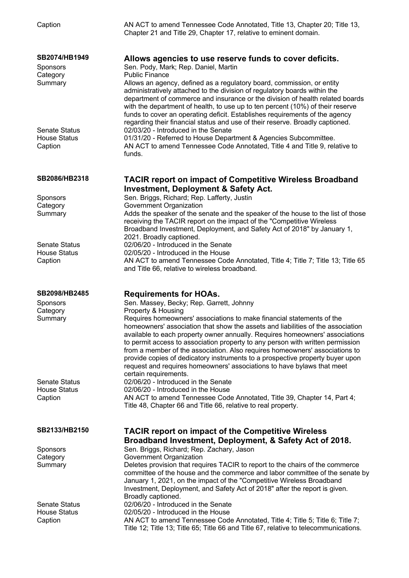| Caption                                                | AN ACT to amend Tennessee Code Annotated, Title 13, Chapter 20; Title 13,<br>Chapter 21 and Title 29, Chapter 17, relative to eminent domain.                                                                                                                                                                                                                                                                                                                                                                                                                                                                                                                                                    |
|--------------------------------------------------------|--------------------------------------------------------------------------------------------------------------------------------------------------------------------------------------------------------------------------------------------------------------------------------------------------------------------------------------------------------------------------------------------------------------------------------------------------------------------------------------------------------------------------------------------------------------------------------------------------------------------------------------------------------------------------------------------------|
| SB2074/HB1949<br>Sponsors<br>Category<br>Summary       | Allows agencies to use reserve funds to cover deficits.<br>Sen. Pody, Mark; Rep. Daniel, Martin<br><b>Public Finance</b><br>Allows an agency, defined as a regulatory board, commission, or entity<br>administratively attached to the division of regulatory boards within the<br>department of commerce and insurance or the division of health related boards<br>with the department of health, to use up to ten percent (10%) of their reserve<br>funds to cover an operating deficit. Establishes requirements of the agency<br>regarding their financial status and use of their reserve. Broadly captioned.                                                                               |
| <b>Senate Status</b><br><b>House Status</b><br>Caption | 02/03/20 - Introduced in the Senate<br>01/31/20 - Referred to House Department & Agencies Subcommittee.<br>AN ACT to amend Tennessee Code Annotated, Title 4 and Title 9, relative to<br>funds.                                                                                                                                                                                                                                                                                                                                                                                                                                                                                                  |
| SB2086/HB2318                                          | <b>TACIR report on impact of Competitive Wireless Broadband</b><br><b>Investment, Deployment &amp; Safety Act.</b>                                                                                                                                                                                                                                                                                                                                                                                                                                                                                                                                                                               |
| Sponsors<br>Category<br>Summary                        | Sen. Briggs, Richard; Rep. Lafferty, Justin<br>Government Organization<br>Adds the speaker of the senate and the speaker of the house to the list of those<br>receiving the TACIR report on the impact of the "Competitive Wireless<br>Broadband Investment, Deployment, and Safety Act of 2018" by January 1,<br>2021. Broadly captioned.                                                                                                                                                                                                                                                                                                                                                       |
| <b>Senate Status</b><br><b>House Status</b><br>Caption | 02/06/20 - Introduced in the Senate<br>02/05/20 - Introduced in the House<br>AN ACT to amend Tennessee Code Annotated, Title 4; Title 7; Title 13; Title 65<br>and Title 66, relative to wireless broadband.                                                                                                                                                                                                                                                                                                                                                                                                                                                                                     |
| SB2098/HB2485<br>Sponsors<br>Category<br>Summary       | <b>Requirements for HOAs.</b><br>Sen. Massey, Becky; Rep. Garrett, Johnny<br>Property & Housing<br>Requires homeowners' associations to make financial statements of the<br>homeowners' association that show the assets and liabilities of the association<br>available to each property owner annually. Requires homeowners' associations<br>to permit access to association property to any person with written permission<br>from a member of the association. Also requires homeowners' associations to<br>provide copies of dedicatory instruments to a prospective property buyer upon<br>request and requires homeowners' associations to have bylaws that meet<br>certain requirements. |
| <b>Senate Status</b><br><b>House Status</b><br>Caption | 02/06/20 - Introduced in the Senate<br>02/06/20 - Introduced in the House<br>AN ACT to amend Tennessee Code Annotated, Title 39, Chapter 14, Part 4;<br>Title 48, Chapter 66 and Title 66, relative to real property.                                                                                                                                                                                                                                                                                                                                                                                                                                                                            |
| SB2133/HB2150                                          | <b>TACIR report on impact of the Competitive Wireless</b><br>Broadband Investment, Deployment, & Safety Act of 2018.                                                                                                                                                                                                                                                                                                                                                                                                                                                                                                                                                                             |
| Sponsors<br>Category<br>Summary                        | Sen. Briggs, Richard; Rep. Zachary, Jason<br>Government Organization<br>Deletes provision that requires TACIR to report to the chairs of the commerce<br>committee of the house and the commerce and labor committee of the senate by<br>January 1, 2021, on the impact of the "Competitive Wireless Broadband<br>Investment, Deployment, and Safety Act of 2018" after the report is given.<br>Broadly captioned.                                                                                                                                                                                                                                                                               |
| <b>Senate Status</b><br><b>House Status</b><br>Caption | 02/06/20 - Introduced in the Senate<br>02/05/20 - Introduced in the House<br>AN ACT to amend Tennessee Code Annotated, Title 4; Title 5; Title 6; Title 7;<br>Title 12; Title 13; Title 65; Title 66 and Title 67, relative to telecommunications.                                                                                                                                                                                                                                                                                                                                                                                                                                               |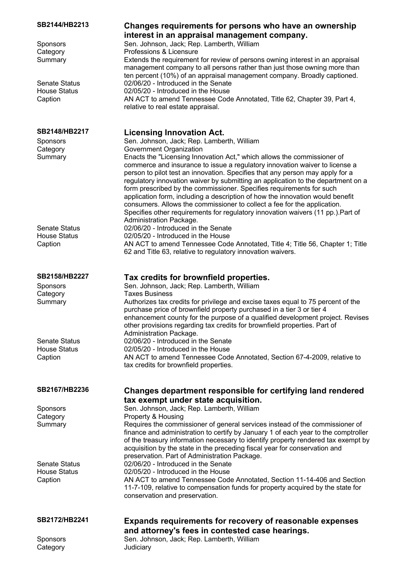| SB2144/HB2213        | Changes requirements for persons who have an ownership                                                                                                                                                                                                                                                                   |
|----------------------|--------------------------------------------------------------------------------------------------------------------------------------------------------------------------------------------------------------------------------------------------------------------------------------------------------------------------|
|                      | interest in an appraisal management company.                                                                                                                                                                                                                                                                             |
| Sponsors             | Sen. Johnson, Jack; Rep. Lamberth, William                                                                                                                                                                                                                                                                               |
| Category             | Professions & Licensure                                                                                                                                                                                                                                                                                                  |
| Summary              | Extends the requirement for review of persons owning interest in an appraisal<br>management company to all persons rather than just those owning more than<br>ten percent (10%) of an appraisal management company. Broadly captioned.                                                                                   |
| <b>Senate Status</b> | 02/06/20 - Introduced in the Senate                                                                                                                                                                                                                                                                                      |
| <b>House Status</b>  | 02/05/20 - Introduced in the House                                                                                                                                                                                                                                                                                       |
| Caption              | AN ACT to amend Tennessee Code Annotated, Title 62, Chapter 39, Part 4,<br>relative to real estate appraisal.                                                                                                                                                                                                            |
| SB2148/HB2217        | <b>Licensing Innovation Act.</b>                                                                                                                                                                                                                                                                                         |
| Sponsors             | Sen. Johnson, Jack; Rep. Lamberth, William                                                                                                                                                                                                                                                                               |
| Category             | Government Organization                                                                                                                                                                                                                                                                                                  |
| Summary              | Enacts the "Licensing Innovation Act," which allows the commissioner of<br>commerce and insurance to issue a regulatory innovation waiver to license a                                                                                                                                                                   |
|                      | person to pilot test an innovation. Specifies that any person may apply for a                                                                                                                                                                                                                                            |
|                      | regulatory innovation waiver by submitting an application to the department on a<br>form prescribed by the commissioner. Specifies requirements for such<br>application form, including a description of how the innovation would benefit                                                                                |
|                      | consumers. Allows the commissioner to collect a fee for the application.                                                                                                                                                                                                                                                 |
|                      | Specifies other requirements for regulatory innovation waivers (11 pp.). Part of<br>Administration Package.                                                                                                                                                                                                              |
| <b>Senate Status</b> | 02/06/20 - Introduced in the Senate                                                                                                                                                                                                                                                                                      |
| <b>House Status</b>  | 02/05/20 - Introduced in the House                                                                                                                                                                                                                                                                                       |
| Caption              | AN ACT to amend Tennessee Code Annotated, Title 4; Title 56, Chapter 1; Title                                                                                                                                                                                                                                            |
|                      | 62 and Title 63, relative to regulatory innovation waivers.                                                                                                                                                                                                                                                              |
| SB2158/HB2227        | Tax credits for brownfield properties.                                                                                                                                                                                                                                                                                   |
| Sponsors             | Sen. Johnson, Jack; Rep. Lamberth, William                                                                                                                                                                                                                                                                               |
| Category             | <b>Taxes Business</b>                                                                                                                                                                                                                                                                                                    |
| Summary              | Authorizes tax credits for privilege and excise taxes equal to 75 percent of the<br>purchase price of brownfield property purchased in a tier 3 or tier 4<br>enhancement county for the purpose of a qualified development project. Revises<br>other provisions regarding tax credits for brownfield properties. Part of |
|                      | Administration Package.                                                                                                                                                                                                                                                                                                  |
| <b>Senate Status</b> | 02/06/20 - Introduced in the Senate                                                                                                                                                                                                                                                                                      |
| <b>House Status</b>  | 02/05/20 - Introduced in the House                                                                                                                                                                                                                                                                                       |
| Caption              | AN ACT to amend Tennessee Code Annotated, Section 67-4-2009, relative to                                                                                                                                                                                                                                                 |
|                      | tax credits for brownfield properties.                                                                                                                                                                                                                                                                                   |
| SB2167/HB2236        | Changes department responsible for certifying land rendered                                                                                                                                                                                                                                                              |
|                      | tax exempt under state acquisition.                                                                                                                                                                                                                                                                                      |
| Sponsors             | Sen. Johnson, Jack; Rep. Lamberth, William                                                                                                                                                                                                                                                                               |
| Category             | Property & Housing                                                                                                                                                                                                                                                                                                       |
| Summary              | Requires the commissioner of general services instead of the commissioner of                                                                                                                                                                                                                                             |
|                      | finance and administration to certify by January 1 of each year to the comptroller<br>of the treasury information necessary to identify property rendered tax exempt by<br>acquisition by the state in the preceding fiscal year for conservation and                                                                    |
|                      | preservation. Part of Administration Package.                                                                                                                                                                                                                                                                            |
| <b>Senate Status</b> | 02/06/20 - Introduced in the Senate                                                                                                                                                                                                                                                                                      |
| <b>House Status</b>  | 02/05/20 - Introduced in the House                                                                                                                                                                                                                                                                                       |
| Caption              | AN ACT to amend Tennessee Code Annotated, Section 11-14-406 and Section                                                                                                                                                                                                                                                  |
|                      | 11-7-109, relative to compensation funds for property acquired by the state for                                                                                                                                                                                                                                          |
|                      | conservation and preservation.                                                                                                                                                                                                                                                                                           |
| SB2172/HB2241        | <b>Expands requirements for recovery of reasonable expenses</b>                                                                                                                                                                                                                                                          |
|                      | and attorney's fees in contested case hearings.                                                                                                                                                                                                                                                                          |
| Sponsors             | Sen. Johnson, Jack; Rep. Lamberth, William                                                                                                                                                                                                                                                                               |
| Category             | Judiciary                                                                                                                                                                                                                                                                                                                |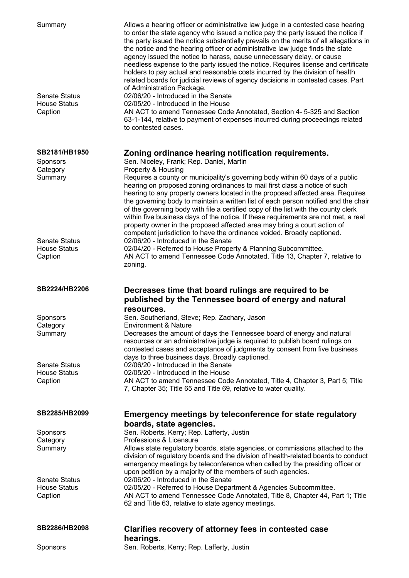| Summary<br><b>Senate Status</b><br><b>House Status</b><br>Caption | Allows a hearing officer or administrative law judge in a contested case hearing<br>to order the state agency who issued a notice pay the party issued the notice if<br>the party issued the notice substantially prevails on the merits of all allegations in<br>the notice and the hearing officer or administrative law judge finds the state<br>agency issued the notice to harass, cause unnecessary delay, or cause<br>needless expense to the party issued the notice. Requires license and certificate<br>holders to pay actual and reasonable costs incurred by the division of health<br>related boards for judicial reviews of agency decisions in contested cases. Part<br>of Administration Package.<br>02/06/20 - Introduced in the Senate<br>02/05/20 - Introduced in the House<br>AN ACT to amend Tennessee Code Annotated, Section 4- 5-325 and Section<br>63-1-144, relative to payment of expenses incurred during proceedings related<br>to contested cases. |
|-------------------------------------------------------------------|----------------------------------------------------------------------------------------------------------------------------------------------------------------------------------------------------------------------------------------------------------------------------------------------------------------------------------------------------------------------------------------------------------------------------------------------------------------------------------------------------------------------------------------------------------------------------------------------------------------------------------------------------------------------------------------------------------------------------------------------------------------------------------------------------------------------------------------------------------------------------------------------------------------------------------------------------------------------------------|
| SB2181/HB1950                                                     | Zoning ordinance hearing notification requirements.                                                                                                                                                                                                                                                                                                                                                                                                                                                                                                                                                                                                                                                                                                                                                                                                                                                                                                                              |
| Sponsors                                                          | Sen. Niceley, Frank; Rep. Daniel, Martin                                                                                                                                                                                                                                                                                                                                                                                                                                                                                                                                                                                                                                                                                                                                                                                                                                                                                                                                         |
| Category                                                          | Property & Housing                                                                                                                                                                                                                                                                                                                                                                                                                                                                                                                                                                                                                                                                                                                                                                                                                                                                                                                                                               |
| Summary<br><b>Senate Status</b>                                   | Requires a county or municipality's governing body within 60 days of a public<br>hearing on proposed zoning ordinances to mail first class a notice of such<br>hearing to any property owners located in the proposed affected area. Requires<br>the governing body to maintain a written list of each person notified and the chair<br>of the governing body with file a certified copy of the list with the county clerk<br>within five business days of the notice. If these requirements are not met, a real<br>property owner in the proposed affected area may bring a court action of<br>competent jurisdiction to have the ordinance voided. Broadly captioned.<br>02/06/20 - Introduced in the Senate                                                                                                                                                                                                                                                                   |
| <b>House Status</b>                                               | 02/04/20 - Referred to House Property & Planning Subcommittee.                                                                                                                                                                                                                                                                                                                                                                                                                                                                                                                                                                                                                                                                                                                                                                                                                                                                                                                   |
| Caption                                                           | AN ACT to amend Tennessee Code Annotated, Title 13, Chapter 7, relative to                                                                                                                                                                                                                                                                                                                                                                                                                                                                                                                                                                                                                                                                                                                                                                                                                                                                                                       |
|                                                                   | zoning.                                                                                                                                                                                                                                                                                                                                                                                                                                                                                                                                                                                                                                                                                                                                                                                                                                                                                                                                                                          |
|                                                                   |                                                                                                                                                                                                                                                                                                                                                                                                                                                                                                                                                                                                                                                                                                                                                                                                                                                                                                                                                                                  |
| SB2224/HB2206                                                     | Decreases time that board rulings are required to be<br>published by the Tennessee board of energy and natural                                                                                                                                                                                                                                                                                                                                                                                                                                                                                                                                                                                                                                                                                                                                                                                                                                                                   |
|                                                                   | resources.                                                                                                                                                                                                                                                                                                                                                                                                                                                                                                                                                                                                                                                                                                                                                                                                                                                                                                                                                                       |
| <b>Sponsors</b>                                                   | Sen. Southerland, Steve; Rep. Zachary, Jason                                                                                                                                                                                                                                                                                                                                                                                                                                                                                                                                                                                                                                                                                                                                                                                                                                                                                                                                     |
| Category<br>Summary                                               | <b>Environment &amp; Nature</b><br>Decreases the amount of days the Tennessee board of energy and natural<br>resources or an administrative judge is required to publish board rulings on<br>contested cases and acceptance of judgments by consent from five business                                                                                                                                                                                                                                                                                                                                                                                                                                                                                                                                                                                                                                                                                                           |
| <b>Senate Status</b>                                              | days to three business days. Broadly captioned.<br>02/06/20 - Introduced in the Senate                                                                                                                                                                                                                                                                                                                                                                                                                                                                                                                                                                                                                                                                                                                                                                                                                                                                                           |
| <b>House Status</b>                                               | 02/05/20 - Introduced in the House                                                                                                                                                                                                                                                                                                                                                                                                                                                                                                                                                                                                                                                                                                                                                                                                                                                                                                                                               |
| Caption                                                           | AN ACT to amend Tennessee Code Annotated, Title 4, Chapter 3, Part 5; Title<br>7, Chapter 35; Title 65 and Title 69, relative to water quality.                                                                                                                                                                                                                                                                                                                                                                                                                                                                                                                                                                                                                                                                                                                                                                                                                                  |
| SB2285/HB2099                                                     | Emergency meetings by teleconference for state regulatory                                                                                                                                                                                                                                                                                                                                                                                                                                                                                                                                                                                                                                                                                                                                                                                                                                                                                                                        |
|                                                                   | boards, state agencies.                                                                                                                                                                                                                                                                                                                                                                                                                                                                                                                                                                                                                                                                                                                                                                                                                                                                                                                                                          |
| <b>Sponsors</b>                                                   | Sen. Roberts, Kerry; Rep. Lafferty, Justin                                                                                                                                                                                                                                                                                                                                                                                                                                                                                                                                                                                                                                                                                                                                                                                                                                                                                                                                       |
| Category                                                          | Professions & Licensure                                                                                                                                                                                                                                                                                                                                                                                                                                                                                                                                                                                                                                                                                                                                                                                                                                                                                                                                                          |
| Summary                                                           | Allows state regulatory boards, state agencies, or commissions attached to the<br>division of regulatory boards and the division of health-related boards to conduct<br>emergency meetings by teleconference when called by the presiding officer or<br>upon petition by a majority of the members of such agencies.                                                                                                                                                                                                                                                                                                                                                                                                                                                                                                                                                                                                                                                             |
| <b>Senate Status</b>                                              | 02/06/20 - Introduced in the Senate                                                                                                                                                                                                                                                                                                                                                                                                                                                                                                                                                                                                                                                                                                                                                                                                                                                                                                                                              |
| <b>House Status</b>                                               | 02/05/20 - Referred to House Department & Agencies Subcommittee.                                                                                                                                                                                                                                                                                                                                                                                                                                                                                                                                                                                                                                                                                                                                                                                                                                                                                                                 |
| Caption                                                           | AN ACT to amend Tennessee Code Annotated, Title 8, Chapter 44, Part 1; Title<br>62 and Title 63, relative to state agency meetings.                                                                                                                                                                                                                                                                                                                                                                                                                                                                                                                                                                                                                                                                                                                                                                                                                                              |
| SB2286/HB2098                                                     | Clarifies recovery of attorney fees in contested case                                                                                                                                                                                                                                                                                                                                                                                                                                                                                                                                                                                                                                                                                                                                                                                                                                                                                                                            |
| <b>Sponsors</b>                                                   | hearings.<br>Sen. Roberts, Kerry; Rep. Lafferty, Justin                                                                                                                                                                                                                                                                                                                                                                                                                                                                                                                                                                                                                                                                                                                                                                                                                                                                                                                          |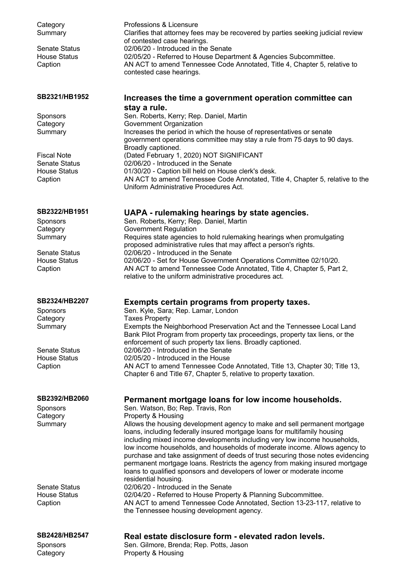| Category<br>Summary                         | Professions & Licensure<br>Clarifies that attorney fees may be recovered by parties seeking judicial review<br>of contested case hearings.             |
|---------------------------------------------|--------------------------------------------------------------------------------------------------------------------------------------------------------|
| Senate Status                               | 02/06/20 - Introduced in the Senate                                                                                                                    |
| <b>House Status</b>                         | 02/05/20 - Referred to House Department & Agencies Subcommittee.                                                                                       |
| Caption                                     | AN ACT to amend Tennessee Code Annotated, Title 4, Chapter 5, relative to<br>contested case hearings.                                                  |
|                                             |                                                                                                                                                        |
| SB2321/HB1952                               | Increases the time a government operation committee can<br>stay a rule.                                                                                |
| Sponsors                                    | Sen. Roberts, Kerry; Rep. Daniel, Martin                                                                                                               |
| Category                                    | Government Organization                                                                                                                                |
| Summary                                     | Increases the period in which the house of representatives or senate<br>government operations committee may stay a rule from 75 days to 90 days.       |
|                                             | Broadly captioned.                                                                                                                                     |
| <b>Fiscal Note</b>                          | (Dated February 1, 2020) NOT SIGNIFICANT                                                                                                               |
| <b>Senate Status</b><br><b>House Status</b> | 02/06/20 - Introduced in the Senate<br>01/30/20 - Caption bill held on House clerk's desk.                                                             |
| Caption                                     | AN ACT to amend Tennessee Code Annotated, Title 4, Chapter 5, relative to the                                                                          |
|                                             | Uniform Administrative Procedures Act.                                                                                                                 |
| SB2322/HB1951                               | UAPA - rulemaking hearings by state agencies.                                                                                                          |
| Sponsors                                    | Sen. Roberts, Kerry; Rep. Daniel, Martin                                                                                                               |
| Category                                    | <b>Government Regulation</b>                                                                                                                           |
| Summary                                     | Requires state agencies to hold rulemaking hearings when promulgating<br>proposed administrative rules that may affect a person's rights.              |
| <b>Senate Status</b>                        | 02/06/20 - Introduced in the Senate                                                                                                                    |
| <b>House Status</b>                         | 02/06/20 - Set for House Government Operations Committee 02/10/20.                                                                                     |
| Caption                                     | AN ACT to amend Tennessee Code Annotated, Title 4, Chapter 5, Part 2,<br>relative to the uniform administrative procedures act.                        |
|                                             |                                                                                                                                                        |
| SB2324/HB2207                               | Exempts certain programs from property taxes.                                                                                                          |
| Sponsors                                    | Sen. Kyle, Sara; Rep. Lamar, London                                                                                                                    |
| Category<br>Summary                         | <b>Taxes Property</b><br>Exempts the Neighborhood Preservation Act and the Tennessee Local Land                                                        |
|                                             | Bank Pilot Program from property tax proceedings, property tax liens, or the                                                                           |
|                                             | enforcement of such property tax liens. Broadly captioned.                                                                                             |
| Senate Status                               | 02/06/20 - Introduced in the Senate                                                                                                                    |
| <b>House Status</b><br>Caption              | 02/05/20 - Introduced in the House<br>AN ACT to amend Tennessee Code Annotated, Title 13, Chapter 30; Title 13,                                        |
|                                             | Chapter 6 and Title 67, Chapter 5, relative to property taxation.                                                                                      |
| SB2392/HB2060                               | Permanent mortgage loans for low income households.                                                                                                    |
| <b>Sponsors</b>                             | Sen. Watson, Bo; Rep. Travis, Ron                                                                                                                      |
| Category                                    | Property & Housing                                                                                                                                     |
| Summary                                     | Allows the housing development agency to make and sell permanent mortgage                                                                              |
|                                             | loans, including federally insured mortgage loans for multifamily housing<br>including mixed income developments including very low income households, |
|                                             | low income households, and households of moderate income. Allows agency to                                                                             |
|                                             | purchase and take assignment of deeds of trust securing those notes evidencing                                                                         |
|                                             | permanent mortgage loans. Restricts the agency from making insured mortgage<br>loans to qualified sponsors and developers of lower or moderate income  |
|                                             | residential housing.                                                                                                                                   |
| Senate Status                               | 02/06/20 - Introduced in the Senate                                                                                                                    |
| <b>House Status</b>                         | 02/04/20 - Referred to House Property & Planning Subcommittee.                                                                                         |
| Caption                                     | AN ACT to amend Tennessee Code Annotated, Section 13-23-117, relative to<br>the Tennessee housing development agency.                                  |
|                                             |                                                                                                                                                        |

## **SB2428/HB2547 Real estate disclosure form - elevated radon levels.**

Sponsors **Sen.** Gilmore, Brenda; Rep. Potts, Jason Category **Property & Housing**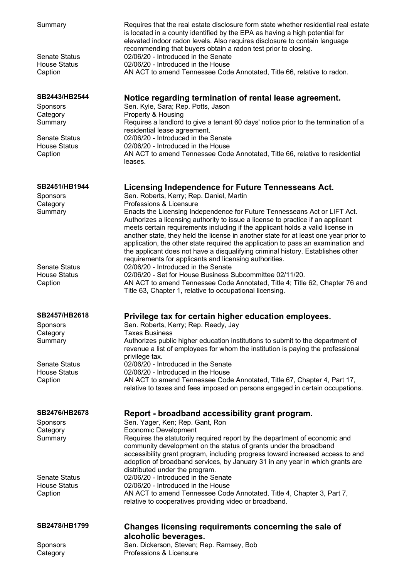| Summary                                     | Requires that the real estate disclosure form state whether residential real estate<br>is located in a county identified by the EPA as having a high potential for<br>elevated indoor radon levels. Also requires disclosure to contain language<br>recommending that buyers obtain a radon test prior to closing. |
|---------------------------------------------|--------------------------------------------------------------------------------------------------------------------------------------------------------------------------------------------------------------------------------------------------------------------------------------------------------------------|
| <b>Senate Status</b>                        | 02/06/20 - Introduced in the Senate                                                                                                                                                                                                                                                                                |
| <b>House Status</b>                         | 02/06/20 - Introduced in the House                                                                                                                                                                                                                                                                                 |
| Caption                                     | AN ACT to amend Tennessee Code Annotated, Title 66, relative to radon.                                                                                                                                                                                                                                             |
| SB2443/HB2544                               | Notice regarding termination of rental lease agreement.                                                                                                                                                                                                                                                            |
| <b>Sponsors</b>                             | Sen. Kyle, Sara; Rep. Potts, Jason                                                                                                                                                                                                                                                                                 |
| Category<br>Summary                         | Property & Housing<br>Requires a landlord to give a tenant 60 days' notice prior to the termination of a                                                                                                                                                                                                           |
|                                             | residential lease agreement.                                                                                                                                                                                                                                                                                       |
| Senate Status                               | 02/06/20 - Introduced in the Senate                                                                                                                                                                                                                                                                                |
| <b>House Status</b>                         | 02/06/20 - Introduced in the House                                                                                                                                                                                                                                                                                 |
| Caption                                     | AN ACT to amend Tennessee Code Annotated, Title 66, relative to residential<br>leases.                                                                                                                                                                                                                             |
| SB2451/HB1944<br>Sponsors                   | Licensing Independence for Future Tennesseans Act.<br>Sen. Roberts, Kerry; Rep. Daniel, Martin                                                                                                                                                                                                                     |
| Category                                    | Professions & Licensure                                                                                                                                                                                                                                                                                            |
| Summary                                     | Enacts the Licensing Independence for Future Tennesseans Act or LIFT Act.                                                                                                                                                                                                                                          |
|                                             | Authorizes a licensing authority to issue a license to practice if an applicant<br>meets certain requirements including if the applicant holds a valid license in                                                                                                                                                  |
|                                             | another state, they held the license in another state for at least one year prior to                                                                                                                                                                                                                               |
|                                             | application, the other state required the application to pass an examination and                                                                                                                                                                                                                                   |
|                                             | the applicant does not have a disqualifying criminal history. Establishes other                                                                                                                                                                                                                                    |
| <b>Senate Status</b>                        | requirements for applicants and licensing authorities.<br>02/06/20 - Introduced in the Senate                                                                                                                                                                                                                      |
| <b>House Status</b>                         | 02/06/20 - Set for House Business Subcommittee 02/11/20.                                                                                                                                                                                                                                                           |
| Caption                                     | AN ACT to amend Tennessee Code Annotated, Title 4; Title 62, Chapter 76 and                                                                                                                                                                                                                                        |
|                                             | Title 63, Chapter 1, relative to occupational licensing.                                                                                                                                                                                                                                                           |
| SB2457/HB2618                               | Privilege tax for certain higher education employees.                                                                                                                                                                                                                                                              |
| Sponsors                                    | Sen. Roberts, Kerry; Rep. Reedy, Jay                                                                                                                                                                                                                                                                               |
| Category                                    | <b>Taxes Business</b>                                                                                                                                                                                                                                                                                              |
| Summary                                     | Authorizes public higher education institutions to submit to the department of<br>revenue a list of employees for whom the institution is paying the professional                                                                                                                                                  |
|                                             | privilege tax.                                                                                                                                                                                                                                                                                                     |
| <b>Senate Status</b><br><b>House Status</b> | 02/06/20 - Introduced in the Senate                                                                                                                                                                                                                                                                                |
| Caption                                     | 02/06/20 - Introduced in the House<br>AN ACT to amend Tennessee Code Annotated, Title 67, Chapter 4, Part 17,                                                                                                                                                                                                      |
|                                             | relative to taxes and fees imposed on persons engaged in certain occupations.                                                                                                                                                                                                                                      |
| SB2476/HB2678                               | Report - broadband accessibility grant program.                                                                                                                                                                                                                                                                    |
| <b>Sponsors</b>                             | Sen. Yager, Ken; Rep. Gant, Ron                                                                                                                                                                                                                                                                                    |
| Category                                    | <b>Economic Development</b>                                                                                                                                                                                                                                                                                        |
| Summary                                     | Requires the statutorily required report by the department of economic and<br>community development on the status of grants under the broadband                                                                                                                                                                    |
|                                             | accessibility grant program, including progress toward increased access to and                                                                                                                                                                                                                                     |
|                                             | adoption of broadband services, by January 31 in any year in which grants are                                                                                                                                                                                                                                      |
| Senate Status                               | distributed under the program.<br>02/06/20 - Introduced in the Senate                                                                                                                                                                                                                                              |
| <b>House Status</b>                         | 02/06/20 - Introduced in the House                                                                                                                                                                                                                                                                                 |
| Caption                                     | AN ACT to amend Tennessee Code Annotated, Title 4, Chapter 3, Part 7,                                                                                                                                                                                                                                              |
|                                             | relative to cooperatives providing video or broadband.                                                                                                                                                                                                                                                             |
| SB2478/HB1799                               | Changes licensing requirements concerning the sale of                                                                                                                                                                                                                                                              |
|                                             | alcoholic beverages.                                                                                                                                                                                                                                                                                               |
| Sponsors                                    | Sen. Dickerson, Steven; Rep. Ramsey, Bob                                                                                                                                                                                                                                                                           |
| Category                                    | Professions & Licensure                                                                                                                                                                                                                                                                                            |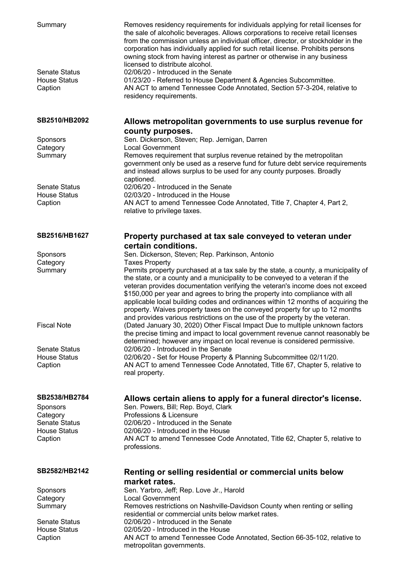| Summary<br><b>Senate Status</b><br><b>House Status</b><br>Caption | Removes residency requirements for individuals applying for retail licenses for<br>the sale of alcoholic beverages. Allows corporations to receive retail licenses<br>from the commission unless an individual officer, director, or stockholder in the<br>corporation has individually applied for such retail license. Prohibits persons<br>owning stock from having interest as partner or otherwise in any business<br>licensed to distribute alcohol.<br>02/06/20 - Introduced in the Senate<br>01/23/20 - Referred to House Department & Agencies Subcommittee.<br>AN ACT to amend Tennessee Code Annotated, Section 57-3-204, relative to<br>residency requirements. |
|-------------------------------------------------------------------|-----------------------------------------------------------------------------------------------------------------------------------------------------------------------------------------------------------------------------------------------------------------------------------------------------------------------------------------------------------------------------------------------------------------------------------------------------------------------------------------------------------------------------------------------------------------------------------------------------------------------------------------------------------------------------|
| SB2510/HB2092                                                     | Allows metropolitan governments to use surplus revenue for                                                                                                                                                                                                                                                                                                                                                                                                                                                                                                                                                                                                                  |
| Sponsors                                                          | county purposes.<br>Sen. Dickerson, Steven; Rep. Jernigan, Darren                                                                                                                                                                                                                                                                                                                                                                                                                                                                                                                                                                                                           |
| Category                                                          | <b>Local Government</b>                                                                                                                                                                                                                                                                                                                                                                                                                                                                                                                                                                                                                                                     |
| Summary                                                           | Removes requirement that surplus revenue retained by the metropolitan<br>government only be used as a reserve fund for future debt service requirements<br>and instead allows surplus to be used for any county purposes. Broadly<br>captioned.                                                                                                                                                                                                                                                                                                                                                                                                                             |
| <b>Senate Status</b>                                              | 02/06/20 - Introduced in the Senate                                                                                                                                                                                                                                                                                                                                                                                                                                                                                                                                                                                                                                         |
| <b>House Status</b>                                               | 02/03/20 - Introduced in the House                                                                                                                                                                                                                                                                                                                                                                                                                                                                                                                                                                                                                                          |
| Caption                                                           | AN ACT to amend Tennessee Code Annotated, Title 7, Chapter 4, Part 2,<br>relative to privilege taxes.                                                                                                                                                                                                                                                                                                                                                                                                                                                                                                                                                                       |
| SB2516/HB1627                                                     | Property purchased at tax sale conveyed to veteran under<br>certain conditions.                                                                                                                                                                                                                                                                                                                                                                                                                                                                                                                                                                                             |
| Sponsors                                                          | Sen. Dickerson, Steven; Rep. Parkinson, Antonio                                                                                                                                                                                                                                                                                                                                                                                                                                                                                                                                                                                                                             |
| Category                                                          | <b>Taxes Property</b>                                                                                                                                                                                                                                                                                                                                                                                                                                                                                                                                                                                                                                                       |
| Summary                                                           | Permits property purchased at a tax sale by the state, a county, a municipality of<br>the state, or a county and a municipality to be conveyed to a veteran if the<br>veteran provides documentation verifying the veteran's income does not exceed<br>\$150,000 per year and agrees to bring the property into compliance with all<br>applicable local building codes and ordinances within 12 months of acquiring the<br>property. Waives property taxes on the conveyed property for up to 12 months<br>and provides various restrictions on the use of the property by the veteran.                                                                                     |
| <b>Fiscal Note</b>                                                | (Dated January 30, 2020) Other Fiscal Impact Due to multiple unknown factors<br>the precise timing and impact to local government revenue cannot reasonably be<br>determined; however any impact on local revenue is considered permissive.                                                                                                                                                                                                                                                                                                                                                                                                                                 |
| <b>Senate Status</b>                                              | 02/06/20 - Introduced in the Senate                                                                                                                                                                                                                                                                                                                                                                                                                                                                                                                                                                                                                                         |
| <b>House Status</b><br>Caption                                    | 02/06/20 - Set for House Property & Planning Subcommittee 02/11/20.<br>AN ACT to amend Tennessee Code Annotated, Title 67, Chapter 5, relative to<br>real property.                                                                                                                                                                                                                                                                                                                                                                                                                                                                                                         |
| SB2538/HB2784                                                     | Allows certain aliens to apply for a funeral director's license.                                                                                                                                                                                                                                                                                                                                                                                                                                                                                                                                                                                                            |
| <b>Sponsors</b>                                                   | Sen. Powers, Bill; Rep. Boyd, Clark                                                                                                                                                                                                                                                                                                                                                                                                                                                                                                                                                                                                                                         |
| Category                                                          | Professions & Licensure                                                                                                                                                                                                                                                                                                                                                                                                                                                                                                                                                                                                                                                     |
| <b>Senate Status</b>                                              | 02/06/20 - Introduced in the Senate                                                                                                                                                                                                                                                                                                                                                                                                                                                                                                                                                                                                                                         |
| <b>House Status</b><br>Caption                                    | 02/06/20 - Introduced in the House<br>AN ACT to amend Tennessee Code Annotated, Title 62, Chapter 5, relative to                                                                                                                                                                                                                                                                                                                                                                                                                                                                                                                                                            |
|                                                                   | professions.                                                                                                                                                                                                                                                                                                                                                                                                                                                                                                                                                                                                                                                                |
| SB2582/HB2142                                                     | Renting or selling residential or commercial units below<br>market rates.                                                                                                                                                                                                                                                                                                                                                                                                                                                                                                                                                                                                   |
| Sponsors                                                          | Sen. Yarbro, Jeff; Rep. Love Jr., Harold                                                                                                                                                                                                                                                                                                                                                                                                                                                                                                                                                                                                                                    |
| Category                                                          | <b>Local Government</b>                                                                                                                                                                                                                                                                                                                                                                                                                                                                                                                                                                                                                                                     |
| Summary                                                           | Removes restrictions on Nashville-Davidson County when renting or selling<br>residential or commercial units below market rates.                                                                                                                                                                                                                                                                                                                                                                                                                                                                                                                                            |
| <b>Senate Status</b>                                              | 02/06/20 - Introduced in the Senate                                                                                                                                                                                                                                                                                                                                                                                                                                                                                                                                                                                                                                         |
| <b>House Status</b>                                               | 02/05/20 - Introduced in the House                                                                                                                                                                                                                                                                                                                                                                                                                                                                                                                                                                                                                                          |
| Caption                                                           | AN ACT to amend Tennessee Code Annotated, Section 66-35-102, relative to<br>metropolitan governments.                                                                                                                                                                                                                                                                                                                                                                                                                                                                                                                                                                       |